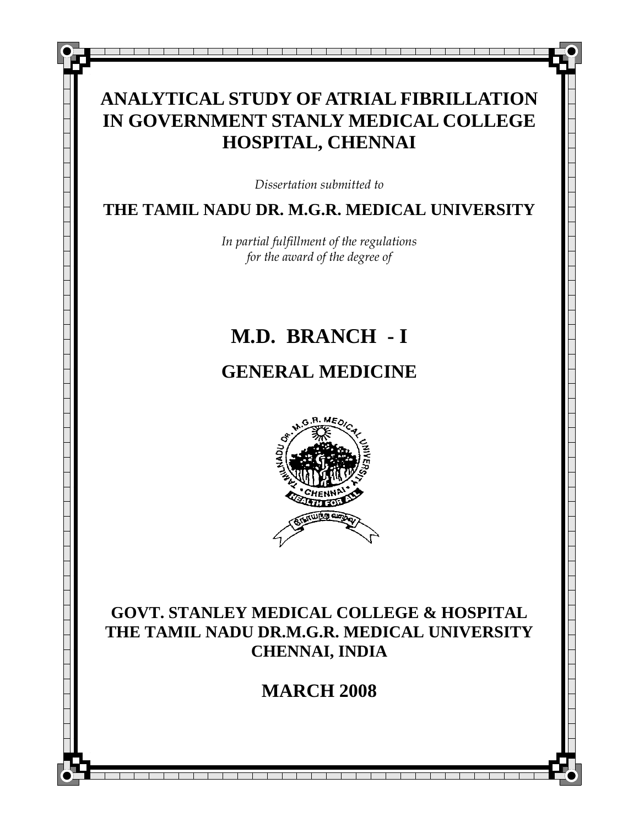# **ANALYTICAL STUDY OF ATRIAL FIBRILLATION IN GOVERNMENT STANLY MEDICAL COLLEGE HOSPITAL, CHENNAI**

\_\_\_\_\_\_\_\_\_\_\_\_\_\_\_\_\_\_\_\_\_\_

*Dissertation submitted to* 

# **THE TAMIL NADU DR. M.G.R. MEDICAL UNIVERSITY**

*In partial fulfillment of the regulations for the award of the degree of* 

# **M.D. BRANCH - I**

# **GENERAL MEDICINE**



**GOVT. STANLEY MEDICAL COLLEGE & HOSPITAL THE TAMIL NADU DR.M.G.R. MEDICAL UNIVERSITY CHENNAI, INDIA** 

# **MARCH 2008**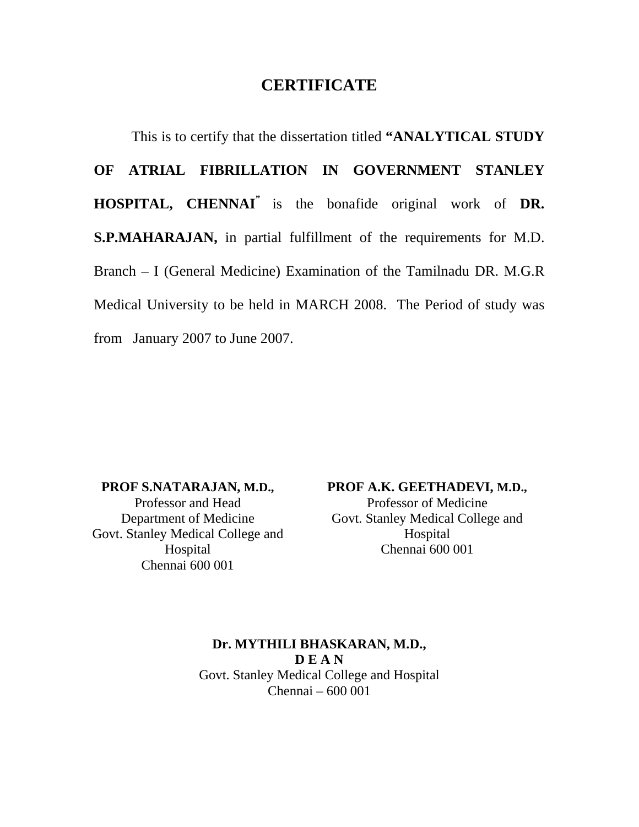# **CERTIFICATE**

This is to certify that the dissertation titled **"ANALYTICAL STUDY OF ATRIAL FIBRILLATION IN GOVERNMENT STANLEY HOSPITAL, CHENNAI"** is the bonafide original work of **DR. S.P.MAHARAJAN,** in partial fulfillment of the requirements for M.D. Branch – I (General Medicine) Examination of the Tamilnadu DR. M.G.R Medical University to be held in MARCH 2008. The Period of study was from January 2007 to June 2007.

**PROF S.NATARAJAN, M.D.,**  Professor and Head Department of Medicine Govt. Stanley Medical College and Hospital Chennai 600 001

**PROF A.K. GEETHADEVI, M.D.,** 

Professor of Medicine Govt. Stanley Medical College and Hospital Chennai 600 001

**Dr. MYTHILI BHASKARAN, M.D., D E A N**  Govt. Stanley Medical College and Hospital Chennai – 600 001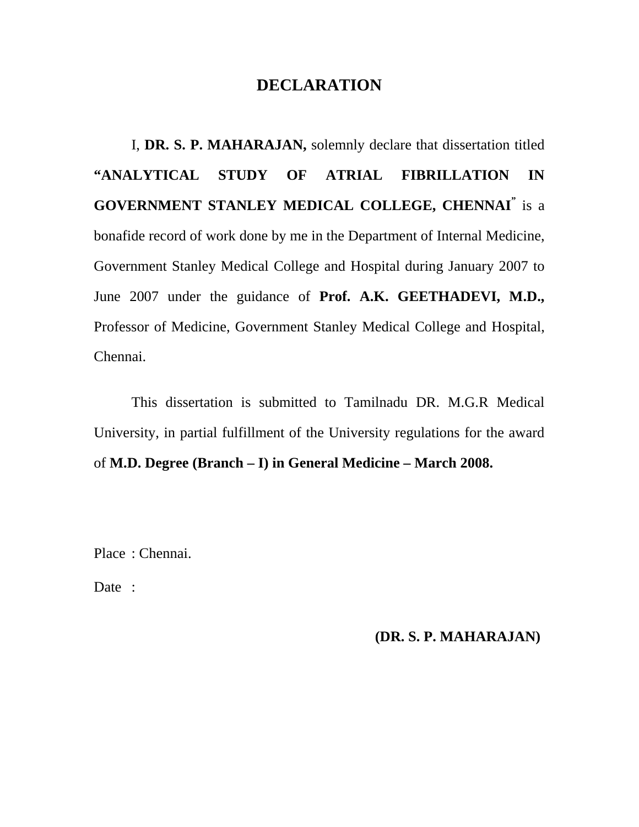# **DECLARATION**

I, **DR. S. P. MAHARAJAN,** solemnly declare that dissertation titled **"ANALYTICAL STUDY OF ATRIAL FIBRILLATION IN GOVERNMENT STANLEY MEDICAL COLLEGE, CHENNAI"** is a bonafide record of work done by me in the Department of Internal Medicine, Government Stanley Medical College and Hospital during January 2007 to June 2007 under the guidance of **Prof. A.K. GEETHADEVI, M.D.,**  Professor of Medicine, Government Stanley Medical College and Hospital, Chennai.

This dissertation is submitted to Tamilnadu DR. M.G.R Medical University, in partial fulfillment of the University regulations for the award of **M.D. Degree (Branch – I) in General Medicine – March 2008.** 

Place : Chennai.

Date :

## **(DR. S. P. MAHARAJAN)**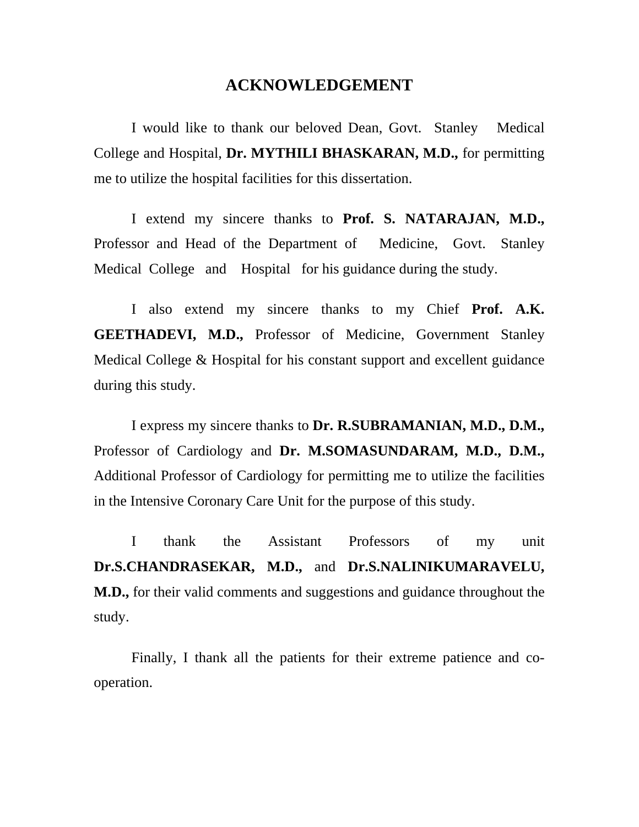# **ACKNOWLEDGEMENT**

I would like to thank our beloved Dean, Govt. Stanley Medical College and Hospital, **Dr. MYTHILI BHASKARAN, M.D.,** for permitting me to utilize the hospital facilities for this dissertation.

I extend my sincere thanks to **Prof. S. NATARAJAN, M.D.,** Professor and Head of the Department of Medicine, Govt. Stanley Medical College and Hospital for his guidance during the study.

I also extend my sincere thanks to my Chief **Prof. A.K. GEETHADEVI, M.D.,** Professor of Medicine, Government Stanley Medical College & Hospital for his constant support and excellent guidance during this study.

I express my sincere thanks to **Dr. R.SUBRAMANIAN, M.D., D.M.,**  Professor of Cardiology and **Dr. M.SOMASUNDARAM, M.D., D.M.,**  Additional Professor of Cardiology for permitting me to utilize the facilities in the Intensive Coronary Care Unit for the purpose of this study.

I thank the Assistant Professors of my unit **Dr.S.CHANDRASEKAR, M.D.,** and **Dr.S.NALINIKUMARAVELU, M.D.,** for their valid comments and suggestions and guidance throughout the study.

Finally, I thank all the patients for their extreme patience and cooperation.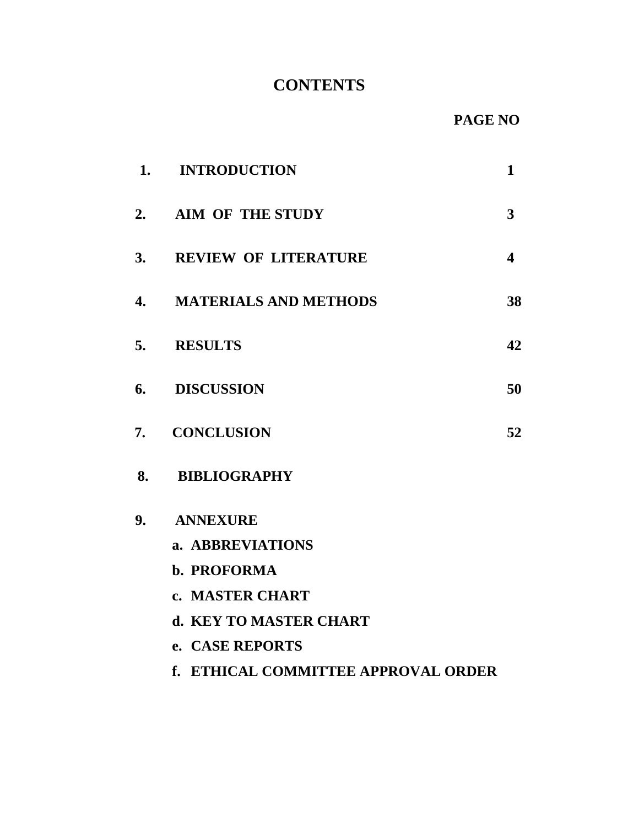# **CONTENTS**

| 1. | <b>INTRODUCTION</b>                                                                                            | $\mathbf{1}$            |
|----|----------------------------------------------------------------------------------------------------------------|-------------------------|
| 2. | <b>AIM OF THE STUDY</b>                                                                                        | 3                       |
| 3. | <b>REVIEW OF LITERATURE</b>                                                                                    | $\overline{\mathbf{4}}$ |
| 4. | <b>MATERIALS AND METHODS</b>                                                                                   | 38                      |
| 5. | <b>RESULTS</b>                                                                                                 | 42                      |
| 6. | <b>DISCUSSION</b>                                                                                              | 50                      |
| 7. | <b>CONCLUSION</b>                                                                                              | 52                      |
| 8. | <b>BIBLIOGRAPHY</b>                                                                                            |                         |
|    | 9. ANNEXURE<br>a. ABBREVIATIONS<br>b. PROFORMA<br>c. MASTER CHART<br>d. KEY TO MASTER CHART<br>e. CASE REPORTS |                         |
|    | f. ETHICAL COMMITTEE APPROVAL ORDER                                                                            |                         |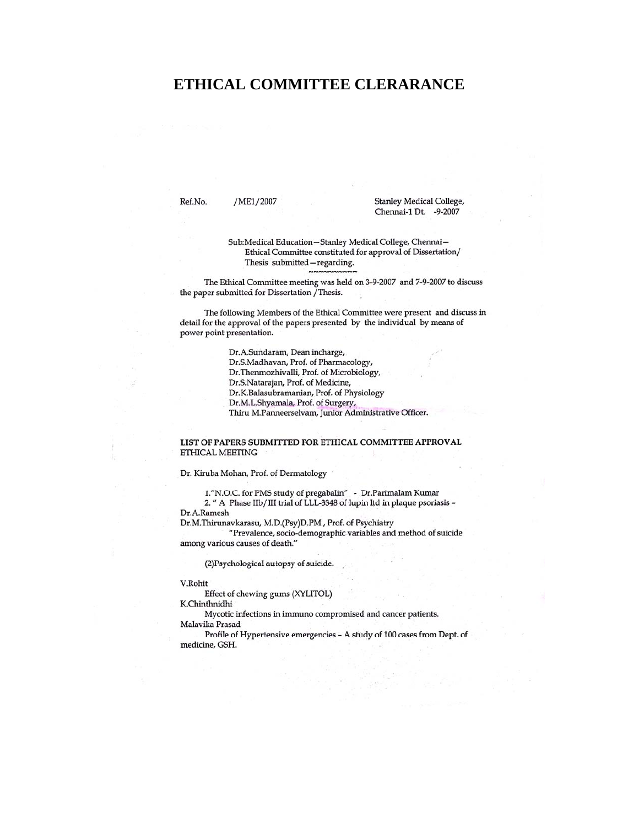# **ETHICAL COMMITTEE CLERARANCE**

Ref.No. /ME1/2007 **Stanley Medical College,** Chennai-1 Dt. -9-2007

Sub:Medical Education-Stanley Medical College, Chennai-Ethical Committee constituted for approval of Dissertation/ Thesis submitted - regarding.

The Ethical Committee meeting was held on 3-9-2007 and 7-9-2007 to discuss the paper submitted for Dissertation / Thesis.

The following Members of the Ethical Committee were present and discuss in detail for the approval of the papers presented by the individual by means of power point presentation.

> Dr.A.Sundaram, Dean incharge, Dr.S.Madhavan, Prof. of Pharmacology, Dr.Thenmozhivalli, Prof. of Microbiology, Dr.S.Natarajan, Prof. of Medicine, Dr.K.Balasubramanian, Prof. of Physiology Dr.M.L.Shyamala, Prof. of Surgery, Thiru M.Panneerselvam, Junior Administrative Officer.

#### LIST OF PAPERS SUBMITTED FOR ETHICAL COMMITTEE APPROVAL ETHICAL MEETING

Dr. Kiruba Mohan, Prof. of Dermatology

1."N.O.C. for PMS study of pregabalin" - Dr.Parimalam Kumar 2. " A Phase IIb/III trial of LLL-3348 of lupin ltd in plaque psoriasis -Dr.A.Ramesh

Dr.M.Thirunavkarasu, M.D.(Psy)D.PM, Prof. of Psychiatry "Prevalence, socio-demographic variables and method of suicide

among various causes of death."

(2) Psychological autopsy of suicide.

V.Rohit

Effect of chewing gums (XYLITOL)

K.Chinthnidhi

Mycotic infections in immuno compromised and cancer patients. Malavika Prasad

Profile of Hypertensive emergencies - A study of 100 cases from Dept. of medicine, GSH.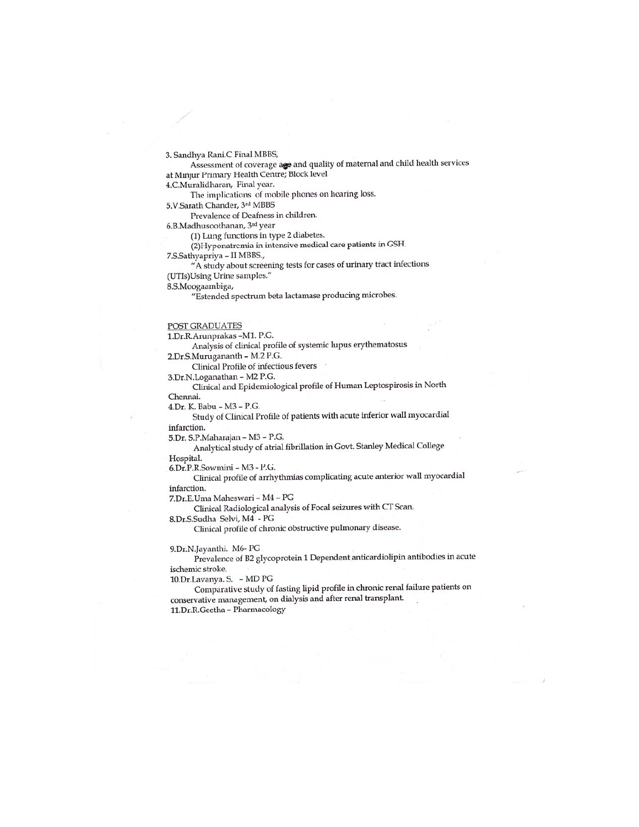3. Sandhya Rani.C Final MBBS,

Assessment of coverage age and quality of maternal and child health services at Minjur Primary Health Centre; Block level

4.C.Muralidharan, Final year.

The implications of mobile phones on hearing loss.

5.V.Sarath Chander, 3rd MBBS

Prevalence of Deafness in children.

6.B.Madhusoothanan, 3rd year

(1) Lung functions in type 2 diabetes.

(2) Hyponatremia in intensive medical care patients in GSH.

7.S.Sathyapriya - II MBBS.,

"A study about screening tests for cases of urinary tract infections (UTIs)Using Urine samples."

8.S.Moogaambiga,

"Estended spectrum beta lactamase producing microbes.

#### **POST GRADUATES**

1.Dr.R.Arunprakas -M1. P.G.

Analysis of clinical profile of systemic lupus erythematosus

2.Dr.S.Murugananth - M.2 P.G.

Clinical Profile of infectious fevers

3.Dr.N.Loganathan - M2 P.G. Clinical and Epidemiological profile of Human Leptospirosis in North Chennai.

4.Dr. K. Babu - M3 - P.G.

Study of Clinical Profile of patients with acute inferior wall myocardial infarction.

5.Dr. S.P.Maharajan - M3 - P.G.

Analytical study of atrial fibrillation in Govt. Stanley Medical College Hospital.

6.Dr.P.R.Sowmini - M3 - P.G.

Clinical profile of arrhythmias complicating acute anterior wall myocardial infarction.

7.Dr.E.Uma Maheswari - M4 - PG

Clinical Radiological analysis of Focal seizures with CT Scan.

8.Dr.S.Sudha Selvi, M4 - PG Clinical profile of chronic obstructive pulmonary disease.

9.Dr.N.Jayanthi. M6-PG

Prevalence of B2 glycoprotein 1 Dependent anticardiolipin antibodies in acute ischemic stroke.

10.Dr.Lavanya. S. - MD PG

Comparative study of fasting lipid profile in chronic renal failure patients on conservative management, on dialysis and after renal transplant. 11.Dr.R.Geetha - Pharmacology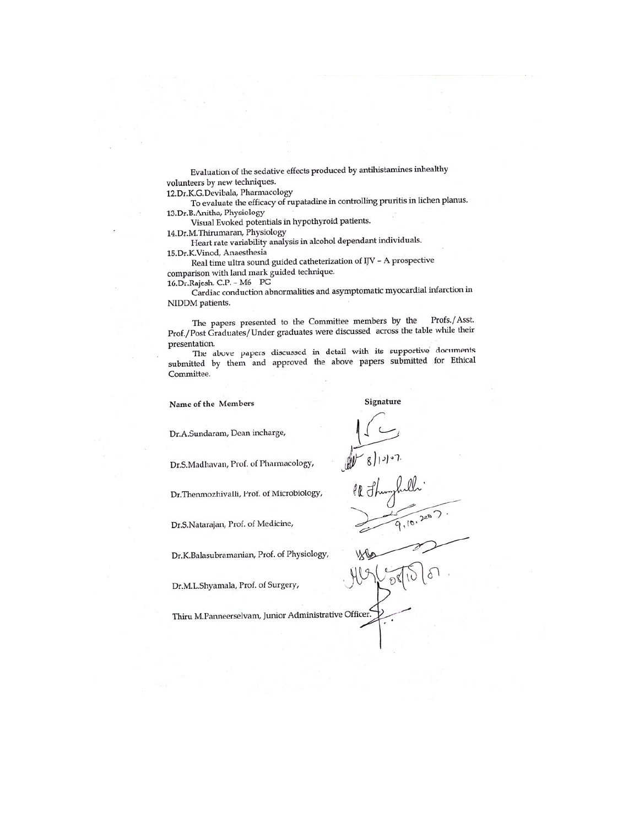Evaluation of the sedative effects produced by antihistamines inhealthy volunteers by new techniques.

12.Dr.K.G.Devibala, Pharmacology

To evaluate the efficacy of rupatadine in controlling pruritis in lichen planus. 13.Dr.B.Anitha, Physiology

Visual Evoked potentials in hypothyroid patients.

14.Dr.M.Thirumaran, Physiology

Heart rate variability analysis in alcohol dependant individuals. 15.Dr.K.Vinod, Anaesthesia

Real time ultra sound guided catheterization of IJV - A prospective comparison with land mark guided technique.

16.Dr.Rajesh. C.P. - M6 - PG

Cardiac conduction abnormalities and asymptomatic myocardial infarction in NIDDM patients.

The papers presented to the Committee members by the Profs./Asst. Prof./Post Graduates/Under graduates were discussed across the table while their presentation.

The above papers discussed in detail with its supportive documents submitted by them and approved the above papers submitted for Ethical Committee.

Name of the Members

Signature

 $\sqrt{8}$ // $\sqrt{2}$ 

Dr.A.Sundaram, Dean incharge,

Dr.S.Madhavan, Prof. of Pharmacology,

Dr.Thenmozhivalli, Prof. of Microbiology,

Dr.S.Natarajan, Prof. of Medicine,

Dr.K.Balasubramanian, Prof. of Physiology,

Dr.M.L.Shyamala, Prof. of Surgery,

Thiru M.Panneerselvam, Junior Administrative Officer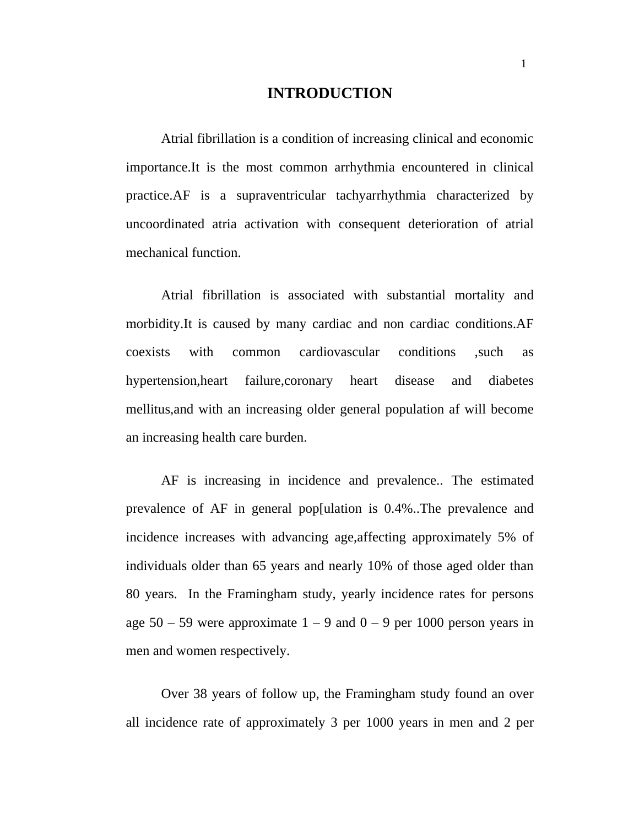## **INTRODUCTION**

Atrial fibrillation is a condition of increasing clinical and economic importance.It is the most common arrhythmia encountered in clinical practice.AF is a supraventricular tachyarrhythmia characterized by uncoordinated atria activation with consequent deterioration of atrial mechanical function.

Atrial fibrillation is associated with substantial mortality and morbidity.It is caused by many cardiac and non cardiac conditions.AF coexists with common cardiovascular conditions ,such as hypertension,heart failure,coronary heart disease and diabetes mellitus,and with an increasing older general population af will become an increasing health care burden.

AF is increasing in incidence and prevalence.. The estimated prevalence of AF in general pop[ulation is 0.4%..The prevalence and incidence increases with advancing age,affecting approximately 5% of individuals older than 65 years and nearly 10% of those aged older than 80 years. In the Framingham study, yearly incidence rates for persons age  $50 - 59$  were approximate  $1 - 9$  and  $0 - 9$  per 1000 person years in men and women respectively.

Over 38 years of follow up, the Framingham study found an over all incidence rate of approximately 3 per 1000 years in men and 2 per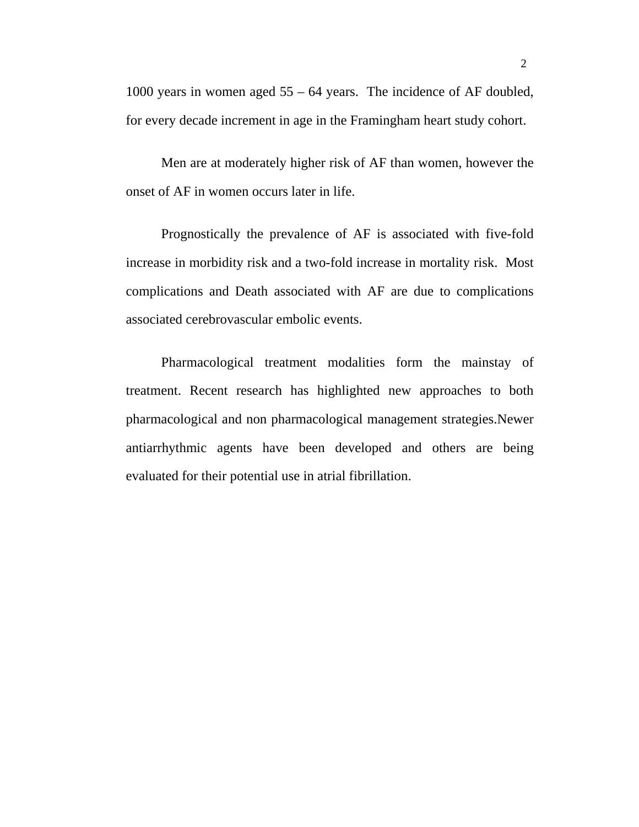1000 years in women aged 55 – 64 years. The incidence of AF doubled, for every decade increment in age in the Framingham heart study cohort.

Men are at moderately higher risk of AF than women, however the onset of AF in women occurs later in life.

Prognostically the prevalence of AF is associated with five-fold increase in morbidity risk and a two-fold increase in mortality risk. Most complications and Death associated with AF are due to complications associated cerebrovascular embolic events.

Pharmacological treatment modalities form the mainstay of treatment. Recent research has highlighted new approaches to both pharmacological and non pharmacological management strategies.Newer antiarrhythmic agents have been developed and others are being evaluated for their potential use in atrial fibrillation.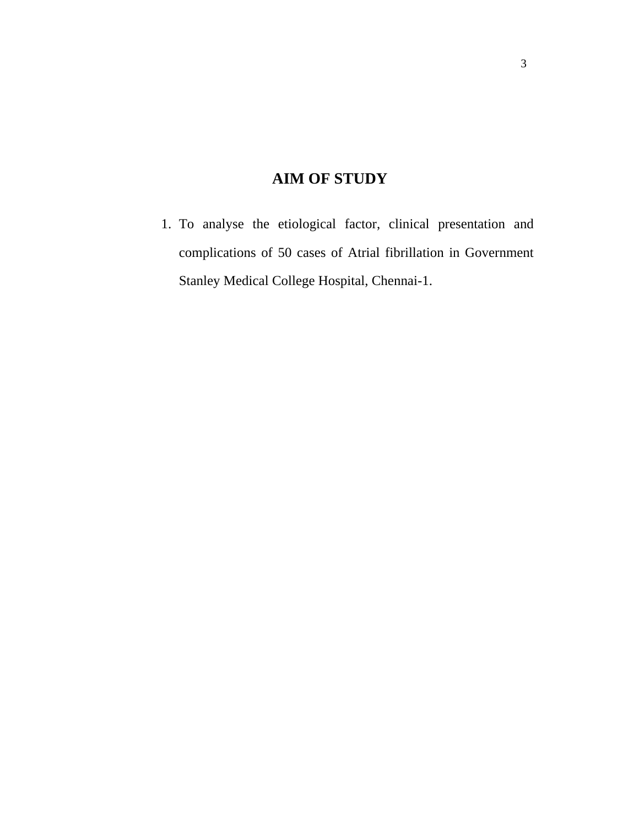# **AIM OF STUDY**

1. To analyse the etiological factor, clinical presentation and complications of 50 cases of Atrial fibrillation in Government Stanley Medical College Hospital, Chennai-1.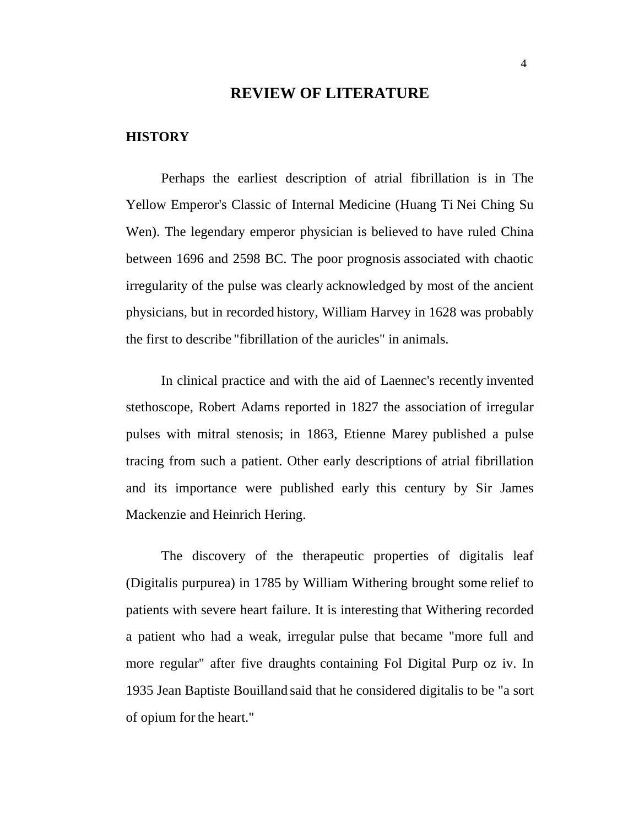## **REVIEW OF LITERATURE**

#### **HISTORY**

Perhaps the earliest description of atrial fibrillation is in The Yellow Emperor's Classic of Internal Medicine (Huang Ti Nei Ching Su Wen). The legendary emperor physician is believed to have ruled China between 1696 and 2598 BC. The poor prognosis associated with chaotic irregularity of the pulse was clearly acknowledged by most of the ancient physicians, but in recorded history, William Harvey in 1628 was probably the first to describe "fibrillation of the auricles" in animals.

In clinical practice and with the aid of Laennec's recently invented stethoscope, Robert Adams reported in 1827 the association of irregular pulses with mitral stenosis; in 1863, Etienne Marey published a pulse tracing from such a patient. Other early descriptions of atrial fibrillation and its importance were published early this century by Sir James Mackenzie and Heinrich Hering.

The discovery of the therapeutic properties of digitalis leaf (Digitalis purpurea) in 1785 by William Withering brought some relief to patients with severe heart failure. It is interesting that Withering recorded a patient who had a weak, irregular pulse that became "more full and more regular" after five draughts containing Fol Digital Purp oz iv. In 1935 Jean Baptiste Bouilland said that he considered digitalis to be "a sort of opium forthe heart."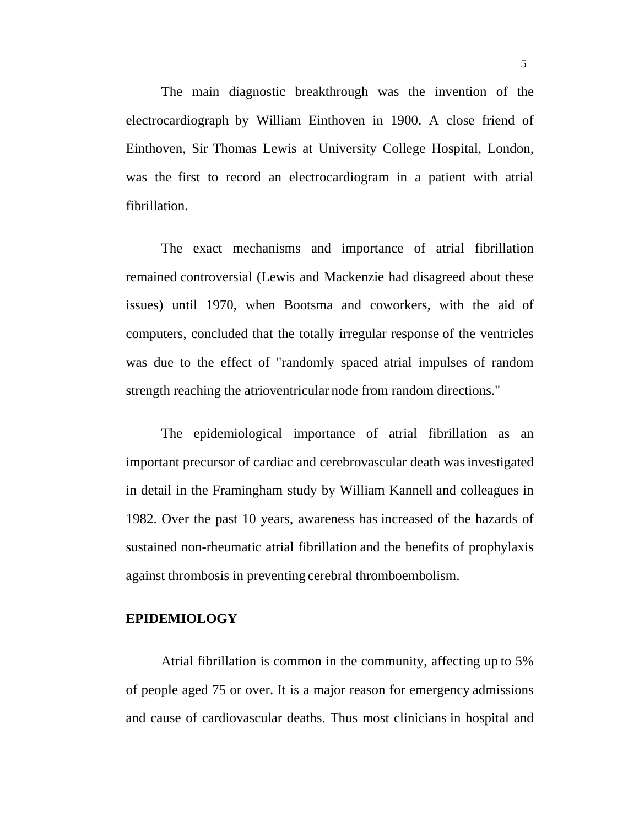The main diagnostic breakthrough was the invention of the electrocardiograph by William Einthoven in 1900. A close friend of Einthoven, Sir Thomas Lewis at University College Hospital, London, was the first to record an electrocardiogram in a patient with atrial fibrillation.

The exact mechanisms and importance of atrial fibrillation remained controversial (Lewis and Mackenzie had disagreed about these issues) until 1970, when Bootsma and coworkers, with the aid of computers, concluded that the totally irregular response of the ventricles was due to the effect of "randomly spaced atrial impulses of random strength reaching the atrioventricular node from random directions."

The epidemiological importance of atrial fibrillation as an important precursor of cardiac and cerebrovascular death wasinvestigated in detail in the Framingham study by William Kannell and colleagues in 1982. Over the past 10 years, awareness has increased of the hazards of sustained non-rheumatic atrial fibrillation and the benefits of prophylaxis against thrombosis in preventing cerebral thromboembolism.

## **EPIDEMIOLOGY**

Atrial fibrillation is common in the community, affecting up to 5% of people aged 75 or over. It is a major reason for emergency admissions and cause of cardiovascular deaths. Thus most clinicians in hospital and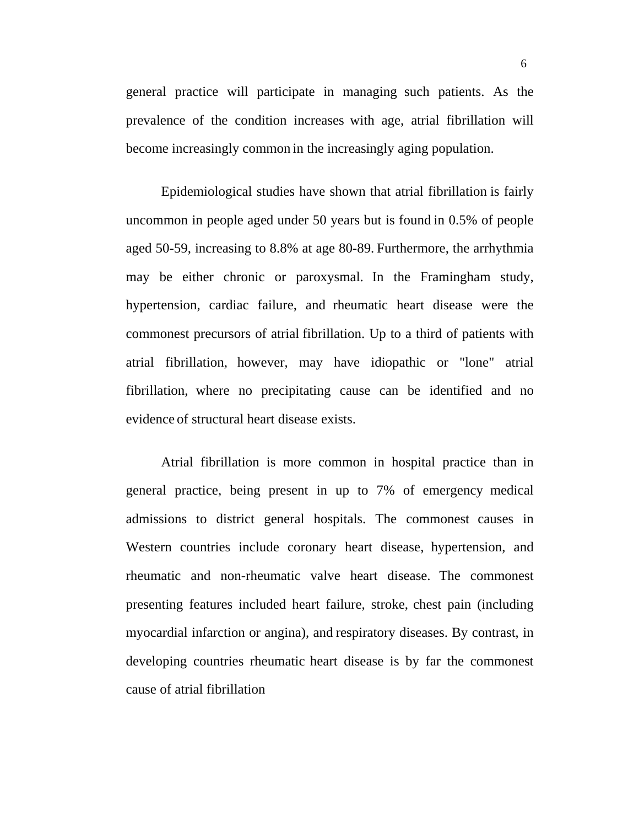general practice will participate in managing such patients. As the prevalence of the condition increases with age, atrial fibrillation will become increasingly common in the increasingly aging population.

Epidemiological studies have shown that atrial fibrillation is fairly uncommon in people aged under 50 years but is found in 0.5% of people aged 50-59, increasing to 8.8% at age 80-89. Furthermore, the arrhythmia may be either chronic or paroxysmal. In the Framingham study, hypertension, cardiac failure, and rheumatic heart disease were the commonest precursors of atrial fibrillation. Up to a third of patients with atrial fibrillation, however, may have idiopathic or "lone" atrial fibrillation, where no precipitating cause can be identified and no evidence of structural heart disease exists.

Atrial fibrillation is more common in hospital practice than in general practice, being present in up to 7% of emergency medical admissions to district general hospitals. The commonest causes in Western countries include coronary heart disease, hypertension, and rheumatic and non-rheumatic valve heart disease. The commonest presenting features included heart failure, stroke, chest pain (including myocardial infarction or angina), and respiratory diseases. By contrast, in developing countries rheumatic heart disease is by far the commonest cause of atrial fibrillation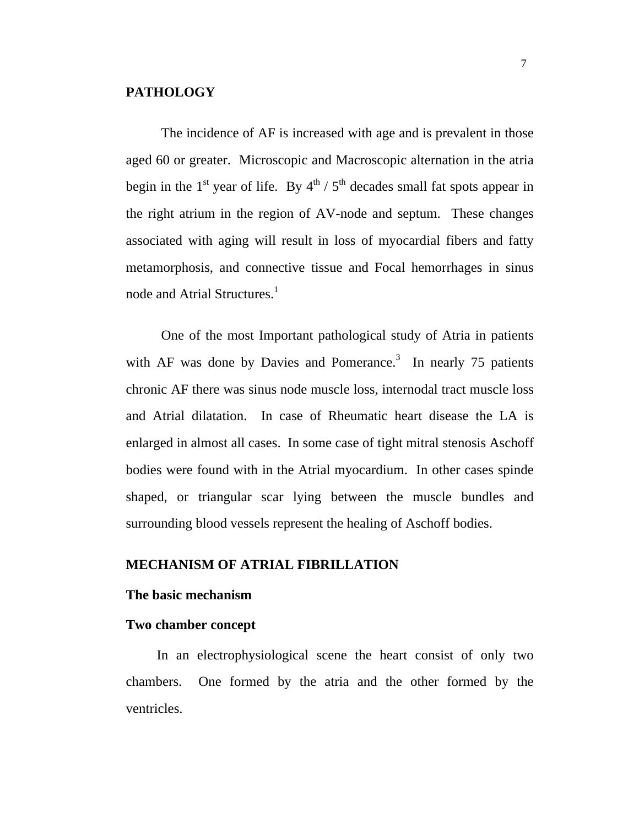#### **PATHOLOGY**

The incidence of AF is increased with age and is prevalent in those aged 60 or greater. Microscopic and Macroscopic alternation in the atria begin in the 1<sup>st</sup> year of life. By  $4^{th}$  /  $5^{th}$  decades small fat spots appear in the right atrium in the region of AV-node and septum. These changes associated with aging will result in loss of myocardial fibers and fatty metamorphosis, and connective tissue and Focal hemorrhages in sinus node and Atrial Structures.<sup>1</sup>

One of the most Important pathological study of Atria in patients with AF was done by Davies and Pomerance.<sup>3</sup> In nearly 75 patients chronic AF there was sinus node muscle loss, internodal tract muscle loss and Atrial dilatation. In case of Rheumatic heart disease the LA is enlarged in almost all cases. In some case of tight mitral stenosis Aschoff bodies were found with in the Atrial myocardium. In other cases spinde shaped, or triangular scar lying between the muscle bundles and surrounding blood vessels represent the healing of Aschoff bodies.

## **MECHANISM OF ATRIAL FIBRILLATION**

## **The basic mechanism**

#### **Two chamber concept**

 In an electrophysiological scene the heart consist of only two chambers. One formed by the atria and the other formed by the ventricles.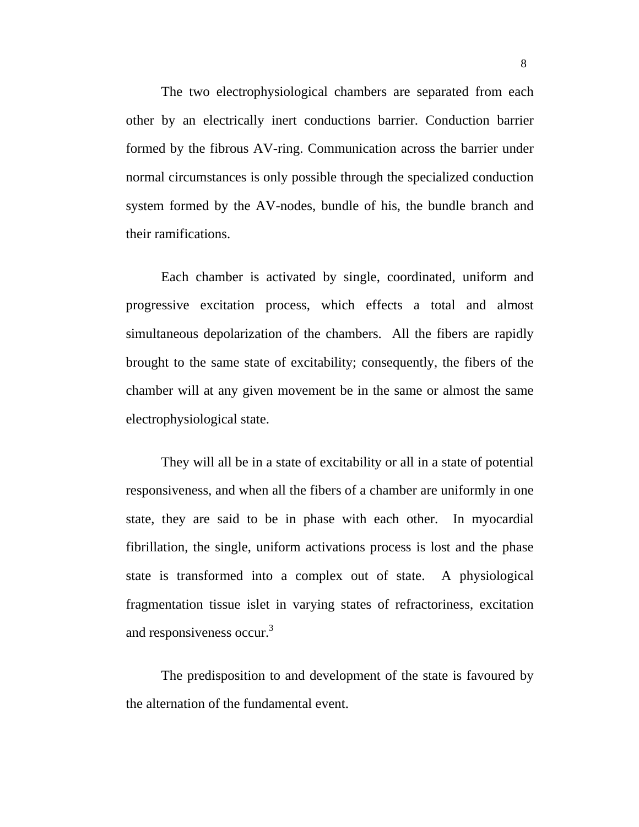The two electrophysiological chambers are separated from each other by an electrically inert conductions barrier. Conduction barrier formed by the fibrous AV-ring. Communication across the barrier under normal circumstances is only possible through the specialized conduction system formed by the AV-nodes, bundle of his, the bundle branch and their ramifications.

Each chamber is activated by single, coordinated, uniform and progressive excitation process, which effects a total and almost simultaneous depolarization of the chambers. All the fibers are rapidly brought to the same state of excitability; consequently, the fibers of the chamber will at any given movement be in the same or almost the same electrophysiological state.

They will all be in a state of excitability or all in a state of potential responsiveness, and when all the fibers of a chamber are uniformly in one state, they are said to be in phase with each other. In myocardial fibrillation, the single, uniform activations process is lost and the phase state is transformed into a complex out of state. A physiological fragmentation tissue islet in varying states of refractoriness, excitation and responsiveness occur.<sup>3</sup>

The predisposition to and development of the state is favoured by the alternation of the fundamental event.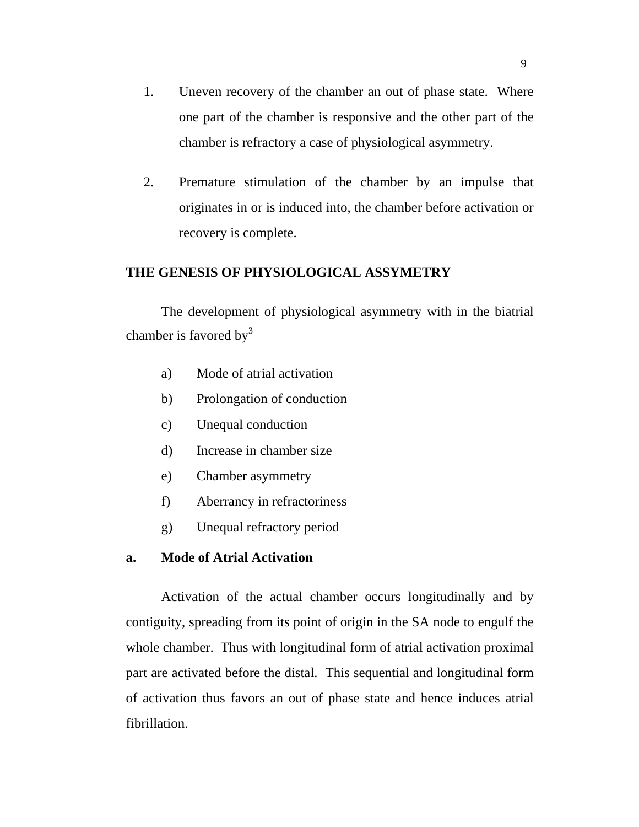- 1. Uneven recovery of the chamber an out of phase state. Where one part of the chamber is responsive and the other part of the chamber is refractory a case of physiological asymmetry.
- 2. Premature stimulation of the chamber by an impulse that originates in or is induced into, the chamber before activation or recovery is complete.

## **THE GENESIS OF PHYSIOLOGICAL ASSYMETRY**

The development of physiological asymmetry with in the biatrial chamber is favored by  $3<sup>3</sup>$ 

- a) Mode of atrial activation
- b) Prolongation of conduction
- c) Unequal conduction
- d) Increase in chamber size
- e) Chamber asymmetry
- f) Aberrancy in refractoriness
- g) Unequal refractory period

## **a. Mode of Atrial Activation**

Activation of the actual chamber occurs longitudinally and by contiguity, spreading from its point of origin in the SA node to engulf the whole chamber. Thus with longitudinal form of atrial activation proximal part are activated before the distal. This sequential and longitudinal form of activation thus favors an out of phase state and hence induces atrial fibrillation.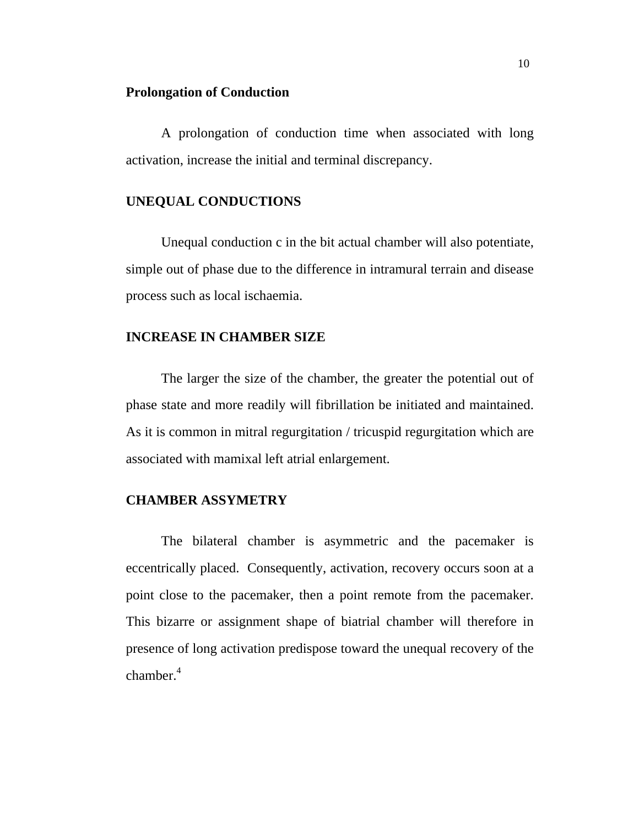#### **Prolongation of Conduction**

A prolongation of conduction time when associated with long activation, increase the initial and terminal discrepancy.

## **UNEQUAL CONDUCTIONS**

Unequal conduction c in the bit actual chamber will also potentiate, simple out of phase due to the difference in intramural terrain and disease process such as local ischaemia.

#### **INCREASE IN CHAMBER SIZE**

The larger the size of the chamber, the greater the potential out of phase state and more readily will fibrillation be initiated and maintained. As it is common in mitral regurgitation / tricuspid regurgitation which are associated with mamixal left atrial enlargement.

#### **CHAMBER ASSYMETRY**

The bilateral chamber is asymmetric and the pacemaker is eccentrically placed. Consequently, activation, recovery occurs soon at a point close to the pacemaker, then a point remote from the pacemaker. This bizarre or assignment shape of biatrial chamber will therefore in presence of long activation predispose toward the unequal recovery of the chamber.<sup>4</sup>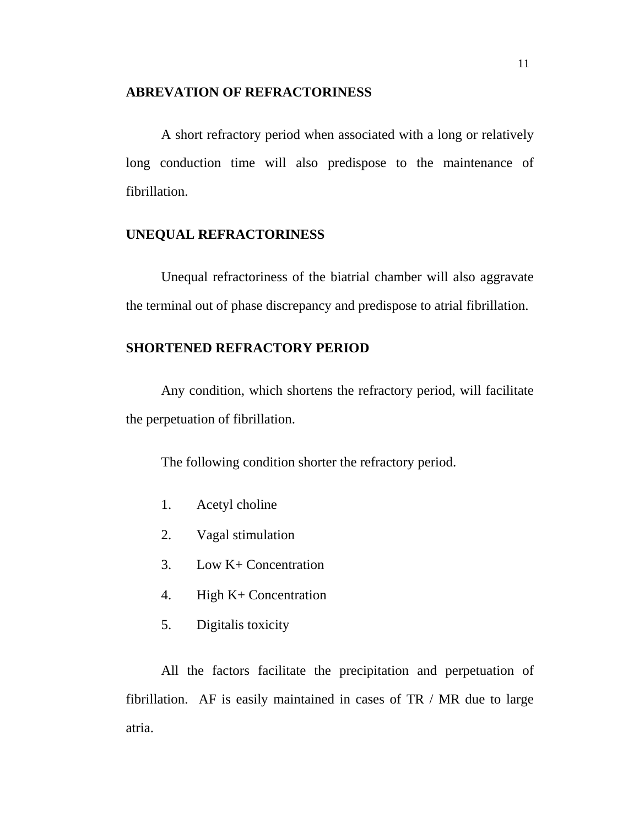#### **ABREVATION OF REFRACTORINESS**

A short refractory period when associated with a long or relatively long conduction time will also predispose to the maintenance of fibrillation.

## **UNEQUAL REFRACTORINESS**

Unequal refractoriness of the biatrial chamber will also aggravate the terminal out of phase discrepancy and predispose to atrial fibrillation.

## **SHORTENED REFRACTORY PERIOD**

Any condition, which shortens the refractory period, will facilitate the perpetuation of fibrillation.

The following condition shorter the refractory period.

- 1. Acetyl choline
- 2. Vagal stimulation
- 3. Low K+ Concentration
- 4. High K+ Concentration
- 5. Digitalis toxicity

All the factors facilitate the precipitation and perpetuation of fibrillation. AF is easily maintained in cases of  $TR / MR$  due to large atria.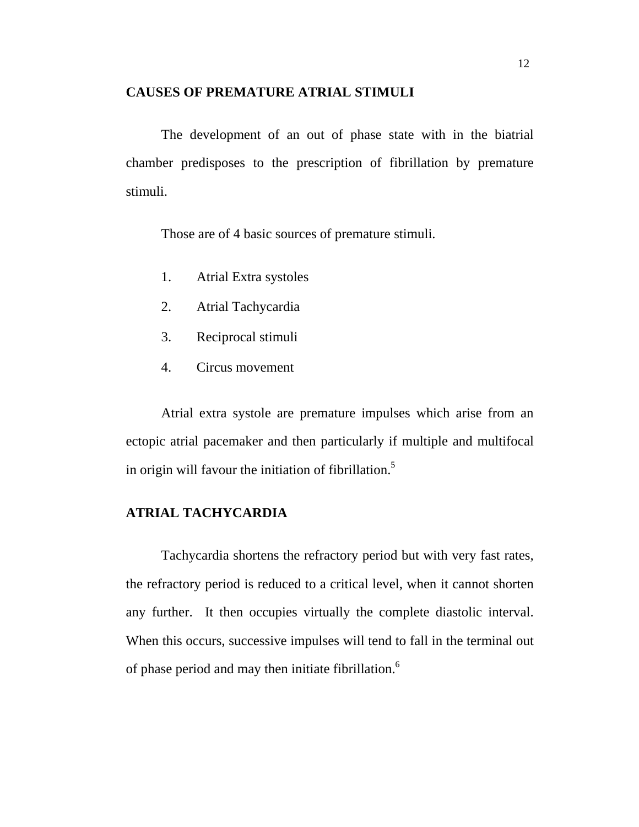#### **CAUSES OF PREMATURE ATRIAL STIMULI**

The development of an out of phase state with in the biatrial chamber predisposes to the prescription of fibrillation by premature stimuli.

Those are of 4 basic sources of premature stimuli.

- 1. Atrial Extra systoles
- 2. Atrial Tachycardia
- 3. Reciprocal stimuli
- 4. Circus movement

Atrial extra systole are premature impulses which arise from an ectopic atrial pacemaker and then particularly if multiple and multifocal in origin will favour the initiation of fibrillation.<sup>5</sup>

## **ATRIAL TACHYCARDIA**

Tachycardia shortens the refractory period but with very fast rates, the refractory period is reduced to a critical level, when it cannot shorten any further. It then occupies virtually the complete diastolic interval. When this occurs, successive impulses will tend to fall in the terminal out of phase period and may then initiate fibrillation.<sup>6</sup>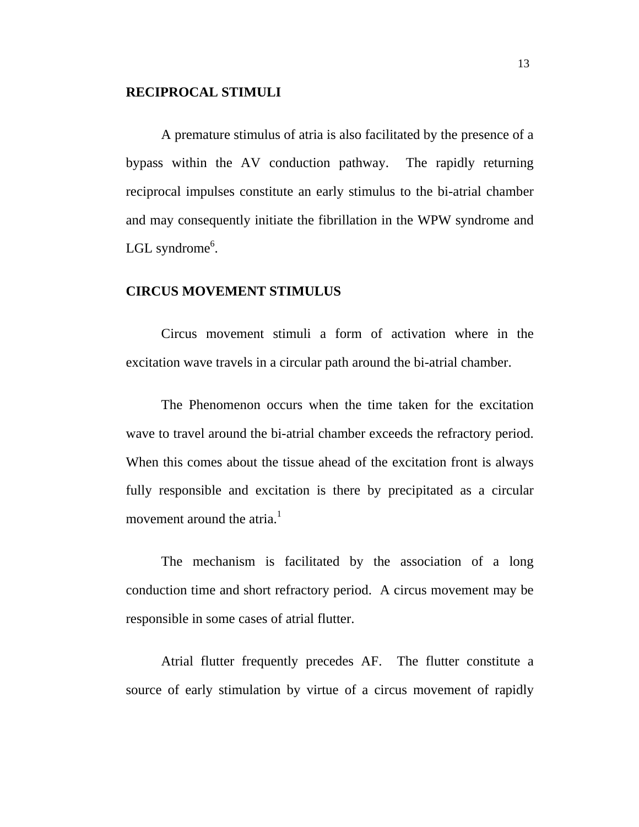#### **RECIPROCAL STIMULI**

A premature stimulus of atria is also facilitated by the presence of a bypass within the AV conduction pathway. The rapidly returning reciprocal impulses constitute an early stimulus to the bi-atrial chamber and may consequently initiate the fibrillation in the WPW syndrome and LGL syndrome<sup>6</sup>.

#### **CIRCUS MOVEMENT STIMULUS**

Circus movement stimuli a form of activation where in the excitation wave travels in a circular path around the bi-atrial chamber.

The Phenomenon occurs when the time taken for the excitation wave to travel around the bi-atrial chamber exceeds the refractory period. When this comes about the tissue ahead of the excitation front is always fully responsible and excitation is there by precipitated as a circular movement around the atria. $1$ 

The mechanism is facilitated by the association of a long conduction time and short refractory period. A circus movement may be responsible in some cases of atrial flutter.

Atrial flutter frequently precedes AF. The flutter constitute a source of early stimulation by virtue of a circus movement of rapidly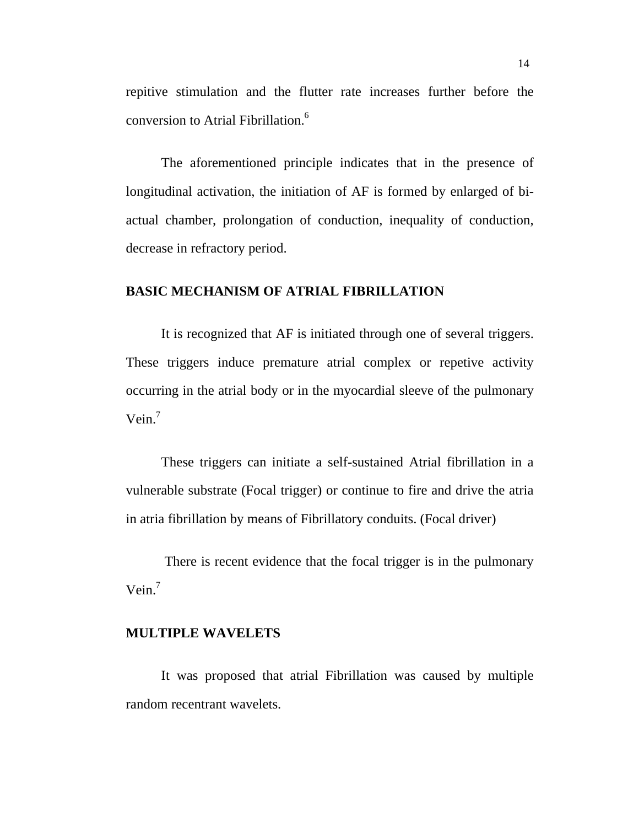repitive stimulation and the flutter rate increases further before the conversion to Atrial Fibrillation.6

The aforementioned principle indicates that in the presence of longitudinal activation, the initiation of AF is formed by enlarged of biactual chamber, prolongation of conduction, inequality of conduction, decrease in refractory period.

#### **BASIC MECHANISM OF ATRIAL FIBRILLATION**

It is recognized that AF is initiated through one of several triggers. These triggers induce premature atrial complex or repetive activity occurring in the atrial body or in the myocardial sleeve of the pulmonary Vein.<sup>7</sup>

These triggers can initiate a self-sustained Atrial fibrillation in a vulnerable substrate (Focal trigger) or continue to fire and drive the atria in atria fibrillation by means of Fibrillatory conduits. (Focal driver)

 There is recent evidence that the focal trigger is in the pulmonary Vein.<sup>7</sup>

## **MULTIPLE WAVELETS**

It was proposed that atrial Fibrillation was caused by multiple random recentrant wavelets.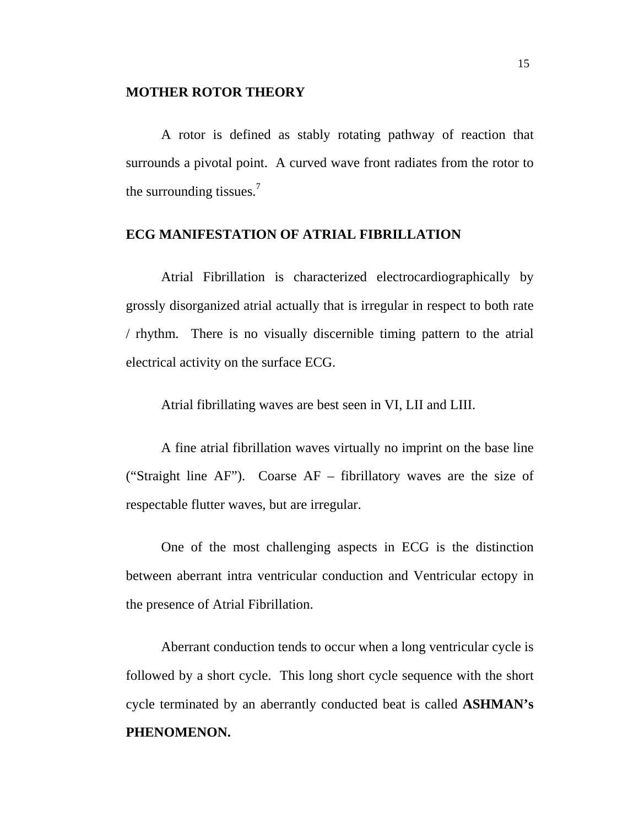#### **MOTHER ROTOR THEORY**

A rotor is defined as stably rotating pathway of reaction that surrounds a pivotal point. A curved wave front radiates from the rotor to the surrounding tissues.<sup>7</sup>

## **ECG MANIFESTATION OF ATRIAL FIBRILLATION**

Atrial Fibrillation is characterized electrocardiographically by grossly disorganized atrial actually that is irregular in respect to both rate / rhythm. There is no visually discernible timing pattern to the atrial electrical activity on the surface ECG.

Atrial fibrillating waves are best seen in VI, LII and LIII.

A fine atrial fibrillation waves virtually no imprint on the base line ("Straight line AF"). Coarse AF – fibrillatory waves are the size of respectable flutter waves, but are irregular.

One of the most challenging aspects in ECG is the distinction between aberrant intra ventricular conduction and Ventricular ectopy in the presence of Atrial Fibrillation.

Aberrant conduction tends to occur when a long ventricular cycle is followed by a short cycle. This long short cycle sequence with the short cycle terminated by an aberrantly conducted beat is called **ASHMAN's PHENOMENON.**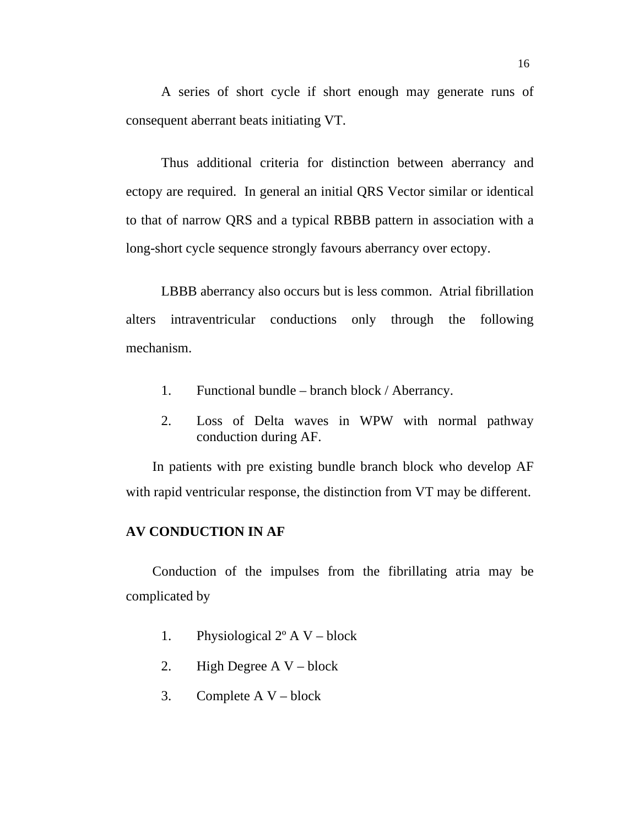A series of short cycle if short enough may generate runs of consequent aberrant beats initiating VT.

Thus additional criteria for distinction between aberrancy and ectopy are required. In general an initial QRS Vector similar or identical to that of narrow QRS and a typical RBBB pattern in association with a long-short cycle sequence strongly favours aberrancy over ectopy.

LBBB aberrancy also occurs but is less common. Atrial fibrillation alters intraventricular conductions only through the following mechanism.

- 1. Functional bundle branch block / Aberrancy.
- 2. Loss of Delta waves in WPW with normal pathway conduction during AF.

In patients with pre existing bundle branch block who develop AF with rapid ventricular response, the distinction from VT may be different.

#### **AV CONDUCTION IN AF**

Conduction of the impulses from the fibrillating atria may be complicated by

- 1. Physiological  $2^{\circ}$  A V block
- 2. High Degree A V block
- 3. Complete  $A V block$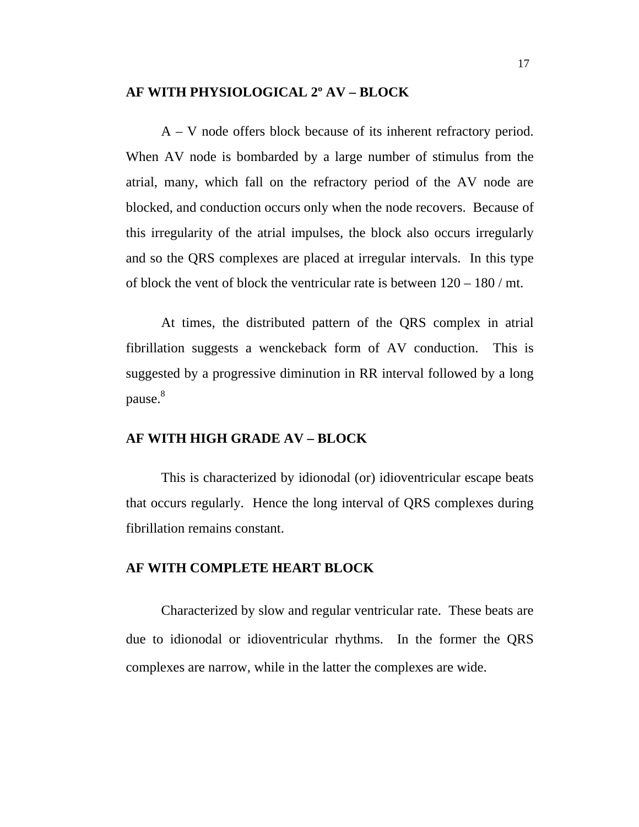## **AF WITH PHYSIOLOGICAL 2º AV – BLOCK**

A – V node offers block because of its inherent refractory period. When AV node is bombarded by a large number of stimulus from the atrial, many, which fall on the refractory period of the AV node are blocked, and conduction occurs only when the node recovers. Because of this irregularity of the atrial impulses, the block also occurs irregularly and so the QRS complexes are placed at irregular intervals. In this type of block the vent of block the ventricular rate is between  $120 - 180 / \text{mt}$ .

At times, the distributed pattern of the QRS complex in atrial fibrillation suggests a wenckeback form of AV conduction. This is suggested by a progressive diminution in RR interval followed by a long pause.<sup>8</sup>

#### **AF WITH HIGH GRADE AV – BLOCK**

This is characterized by idionodal (or) idioventricular escape beats that occurs regularly. Hence the long interval of QRS complexes during fibrillation remains constant.

#### **AF WITH COMPLETE HEART BLOCK**

Characterized by slow and regular ventricular rate. These beats are due to idionodal or idioventricular rhythms. In the former the QRS complexes are narrow, while in the latter the complexes are wide.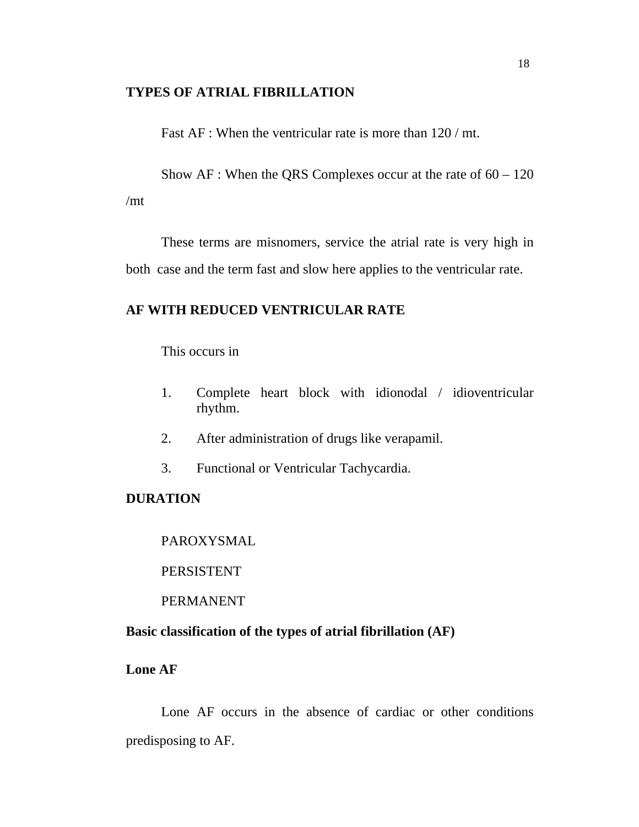#### **TYPES OF ATRIAL FIBRILLATION**

Fast AF : When the ventricular rate is more than  $120 / mt$ .

Show  $AF$ : When the QRS Complexes occur at the rate of  $60 - 120$ /mt

These terms are misnomers, service the atrial rate is very high in both case and the term fast and slow here applies to the ventricular rate.

## **AF WITH REDUCED VENTRICULAR RATE**

This occurs in

- 1. Complete heart block with idionodal / idioventricular rhythm.
- 2. After administration of drugs like verapamil.
- 3. Functional or Ventricular Tachycardia.

### **DURATION**

PAROXYSMAL

**PERSISTENT** 

PERMANENT

## **Basic classification of the types of atrial fibrillation (AF)**

**Lone AF**

Lone AF occurs in the absence of cardiac or other conditions predisposing to AF.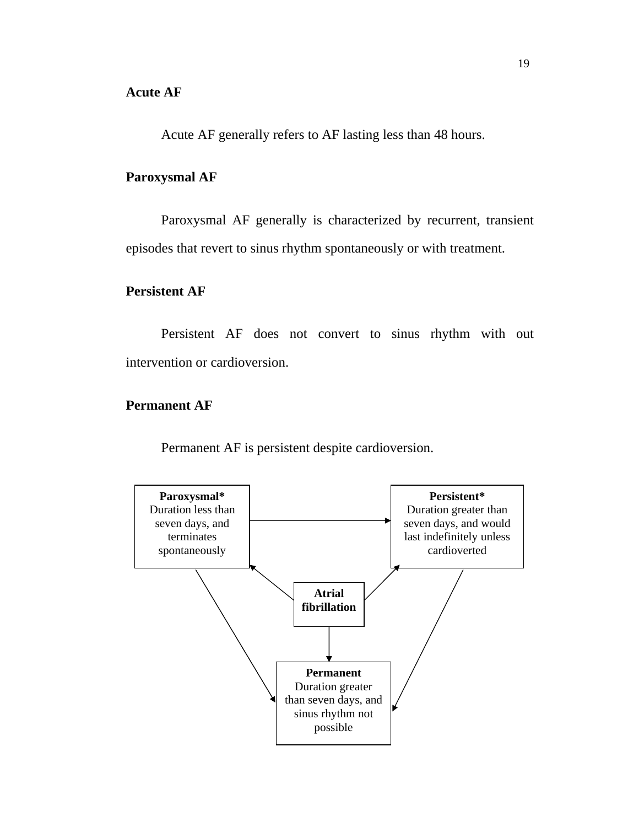Acute AF generally refers to AF lasting less than 48 hours.

## **Paroxysmal AF**

Paroxysmal AF generally is characterized by recurrent, transient episodes that revert to sinus rhythm spontaneously or with treatment.

## **Persistent AF**

Persistent AF does not convert to sinus rhythm with out intervention or cardioversion.

## **Permanent AF**

Permanent AF is persistent despite cardioversion.

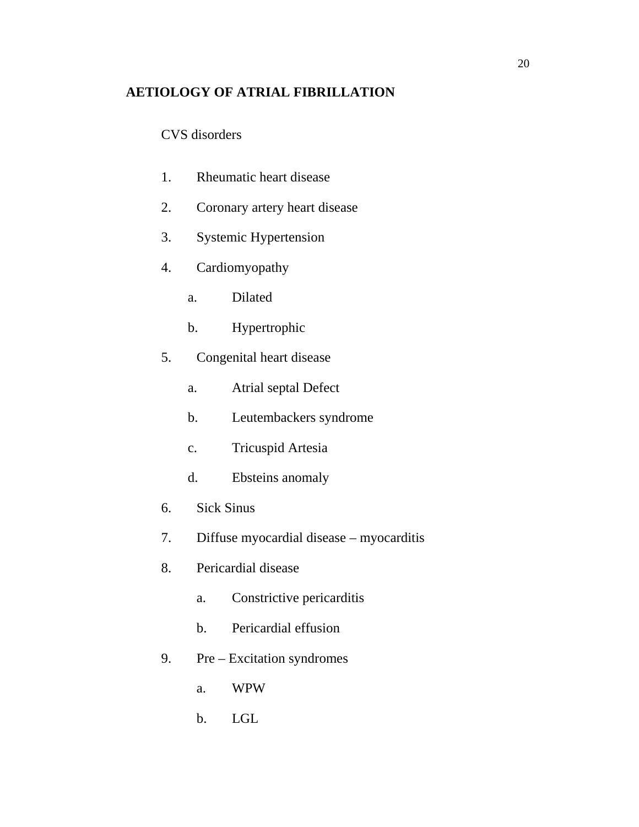## **AETIOLOGY OF ATRIAL FIBRILLATION**

CVS disorders

- 1. Rheumatic heart disease
- 2. Coronary artery heart disease
- 3. Systemic Hypertension
- 4. Cardiomyopathy
	- a. Dilated
	- b. Hypertrophic
- 5. Congenital heart disease
	- a. Atrial septal Defect
	- b. Leutembackers syndrome
	- c. Tricuspid Artesia
	- d. Ebsteins anomaly
- 6. Sick Sinus
- 7. Diffuse myocardial disease myocarditis
- 8. Pericardial disease
	- a. Constrictive pericarditis
	- b. Pericardial effusion
- 9. Pre Excitation syndromes
	- a. WPW
	- b. LGL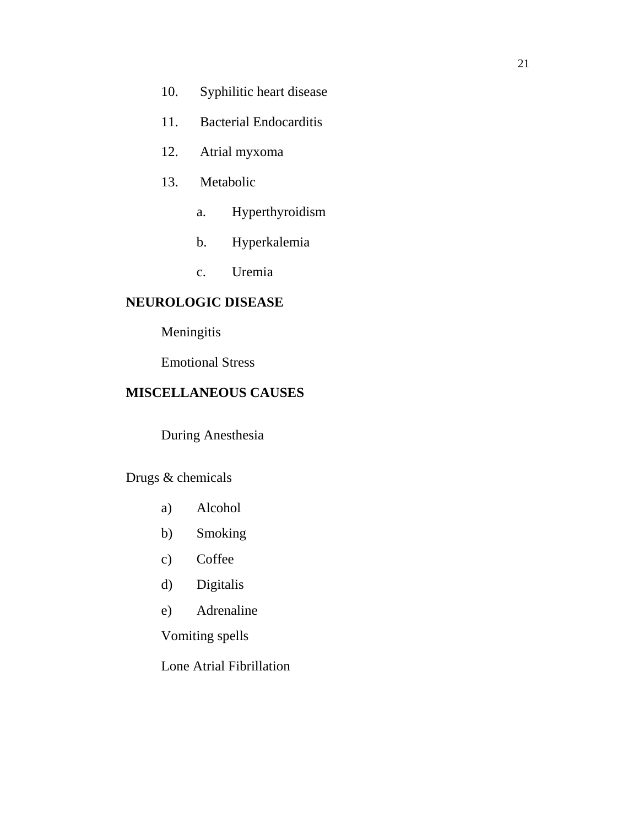- 10. Syphilitic heart disease
- 11. Bacterial Endocarditis
- 12. Atrial myxoma
- 13. Metabolic
	- a. Hyperthyroidism
	- b. Hyperkalemia
	- c. Uremia

## **NEUROLOGIC DISEASE**

## Meningitis

Emotional Stress

## **MISCELLANEOUS CAUSES**

During Anesthesia

Drugs & chemicals

- a) Alcohol
- b) Smoking
- c) Coffee
- d) Digitalis
- e) Adrenaline

Vomiting spells

Lone Atrial Fibrillation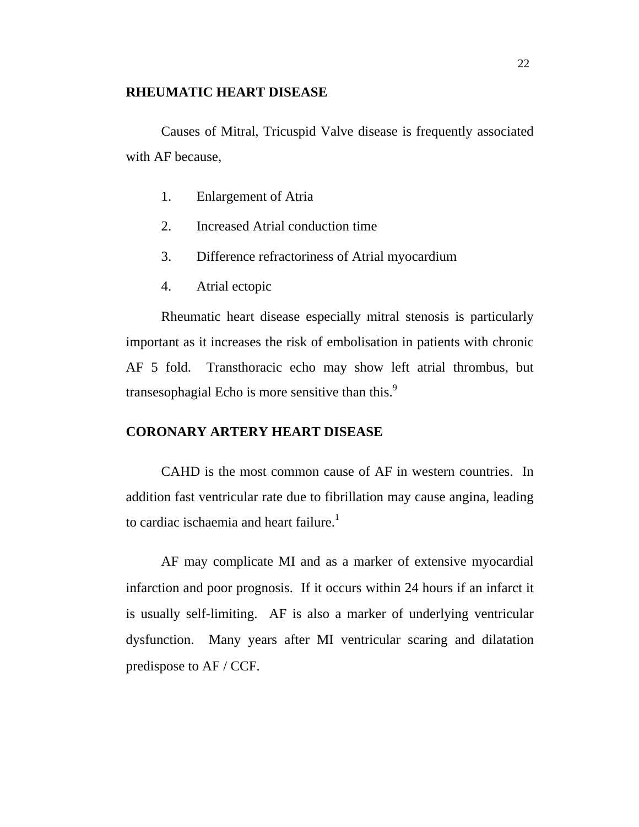#### **RHEUMATIC HEART DISEASE**

Causes of Mitral, Tricuspid Valve disease is frequently associated with AF because,

- 1. Enlargement of Atria
- 2. Increased Atrial conduction time
- 3. Difference refractoriness of Atrial myocardium
- 4. Atrial ectopic

Rheumatic heart disease especially mitral stenosis is particularly important as it increases the risk of embolisation in patients with chronic AF 5 fold. Transthoracic echo may show left atrial thrombus, but transesophagial Echo is more sensitive than this.<sup>9</sup>

## **CORONARY ARTERY HEART DISEASE**

CAHD is the most common cause of AF in western countries. In addition fast ventricular rate due to fibrillation may cause angina, leading to cardiac ischaemia and heart failure.<sup>1</sup>

AF may complicate MI and as a marker of extensive myocardial infarction and poor prognosis. If it occurs within 24 hours if an infarct it is usually self-limiting. AF is also a marker of underlying ventricular dysfunction. Many years after MI ventricular scaring and dilatation predispose to AF / CCF.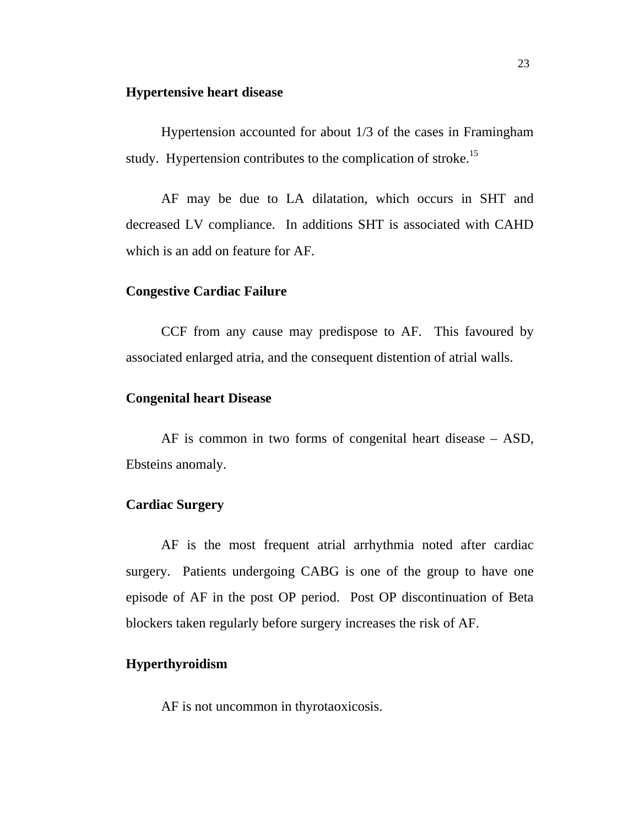#### **Hypertensive heart disease**

Hypertension accounted for about 1/3 of the cases in Framingham study. Hypertension contributes to the complication of stroke.<sup>15</sup>

AF may be due to LA dilatation, which occurs in SHT and decreased LV compliance. In additions SHT is associated with CAHD which is an add on feature for AF.

#### **Congestive Cardiac Failure**

CCF from any cause may predispose to AF. This favoured by associated enlarged atria, and the consequent distention of atrial walls.

#### **Congenital heart Disease**

AF is common in two forms of congenital heart disease – ASD, Ebsteins anomaly.

## **Cardiac Surgery**

AF is the most frequent atrial arrhythmia noted after cardiac surgery. Patients undergoing CABG is one of the group to have one episode of AF in the post OP period. Post OP discontinuation of Beta blockers taken regularly before surgery increases the risk of AF.

#### **Hyperthyroidism**

AF is not uncommon in thyrotaoxicosis.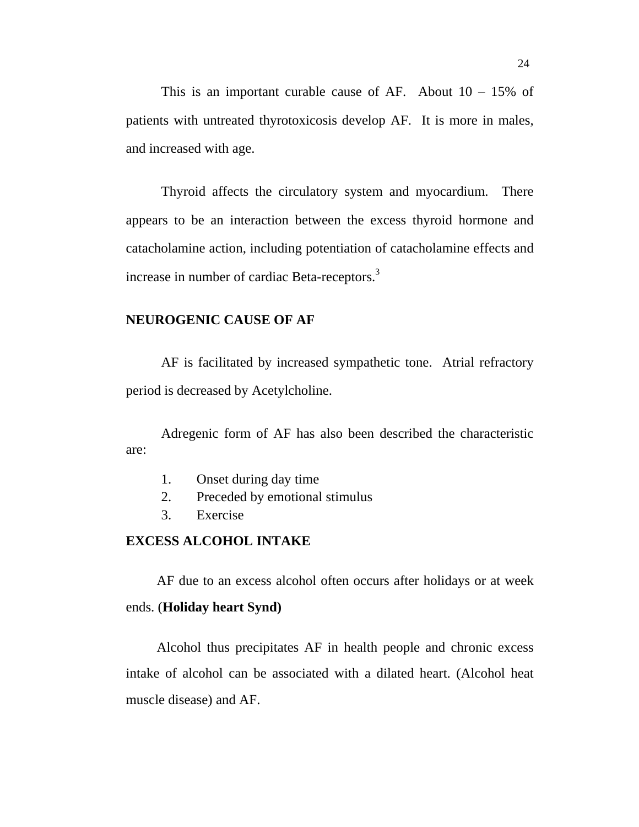This is an important curable cause of AF. About  $10 - 15\%$  of patients with untreated thyrotoxicosis develop AF. It is more in males, and increased with age.

Thyroid affects the circulatory system and myocardium. There appears to be an interaction between the excess thyroid hormone and catacholamine action, including potentiation of catacholamine effects and increase in number of cardiac Beta-receptors.<sup>3</sup>

#### **NEUROGENIC CAUSE OF AF**

AF is facilitated by increased sympathetic tone. Atrial refractory period is decreased by Acetylcholine.

Adregenic form of AF has also been described the characteristic are:

- 1. Onset during day time
- 2. Preceded by emotional stimulus
- 3. Exercise

## **EXCESS ALCOHOL INTAKE**

AF due to an excess alcohol often occurs after holidays or at week

## ends. (**Holiday heart Synd)**

 Alcohol thus precipitates AF in health people and chronic excess intake of alcohol can be associated with a dilated heart. (Alcohol heat muscle disease) and AF.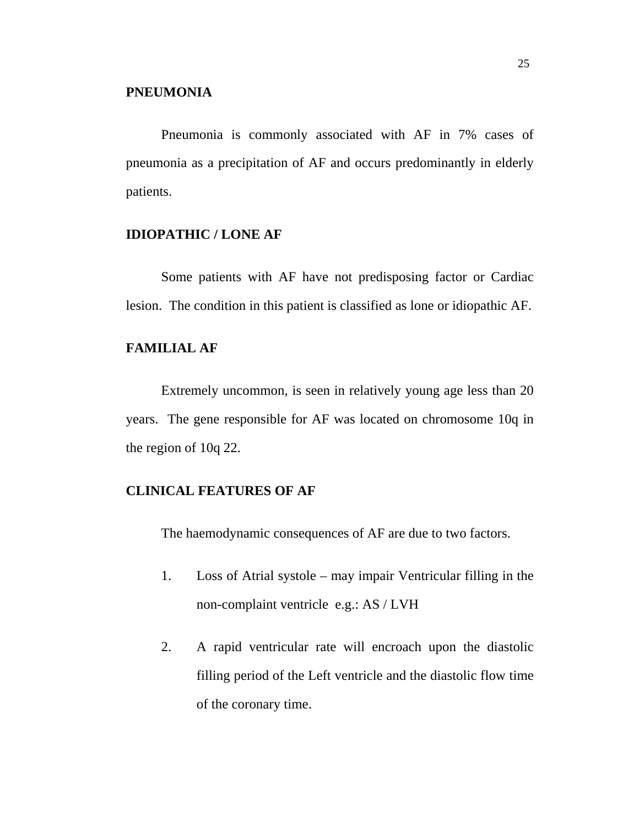Pneumonia is commonly associated with AF in 7% cases of pneumonia as a precipitation of AF and occurs predominantly in elderly patients.

#### **IDIOPATHIC / LONE AF**

Some patients with AF have not predisposing factor or Cardiac lesion. The condition in this patient is classified as lone or idiopathic AF.

## **FAMILIAL AF**

Extremely uncommon, is seen in relatively young age less than 20 years. The gene responsible for AF was located on chromosome 10q in the region of 10q 22.

## **CLINICAL FEATURES OF AF**

The haemodynamic consequences of AF are due to two factors.

- 1. Loss of Atrial systole may impair Ventricular filling in the non-complaint ventricle e.g.: AS / LVH
- 2. A rapid ventricular rate will encroach upon the diastolic filling period of the Left ventricle and the diastolic flow time of the coronary time.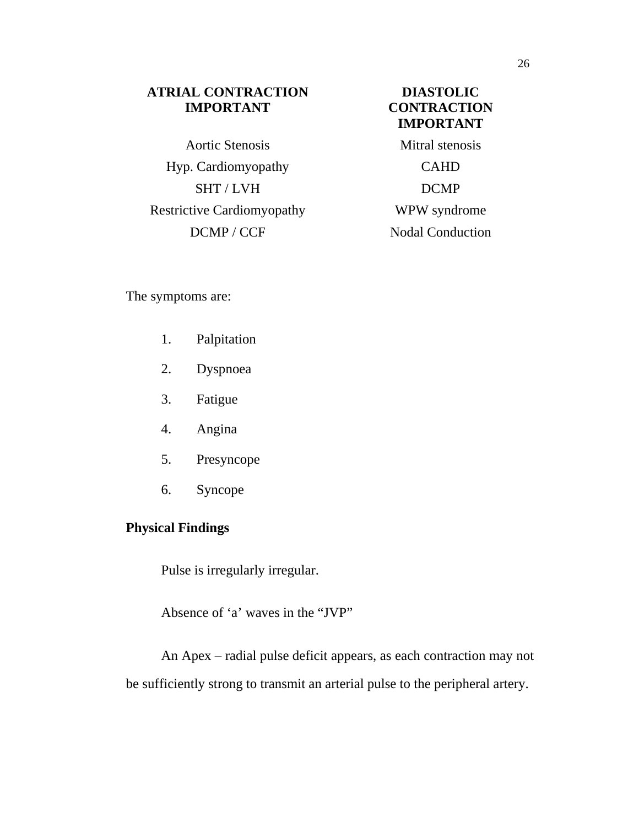## **ATRIAL CONTRACTION IMPORTANT**

Aortic Stenosis Mitral stenosis Hyp. Cardiomyopathy CAHD SHT / LVH DCMP Restrictive Cardiomyopathy WPW syndrome DCMP / CCF Nodal Conduction

## **DIASTOLIC CONTRACTION IMPORTANT**

The symptoms are:

- 1. Palpitation
- 2. Dyspnoea
- 3. Fatigue
- 4. Angina
- 5. Presyncope
- 6. Syncope

## **Physical Findings**

Pulse is irregularly irregular.

Absence of 'a' waves in the "JVP"

An Apex – radial pulse deficit appears, as each contraction may not be sufficiently strong to transmit an arterial pulse to the peripheral artery.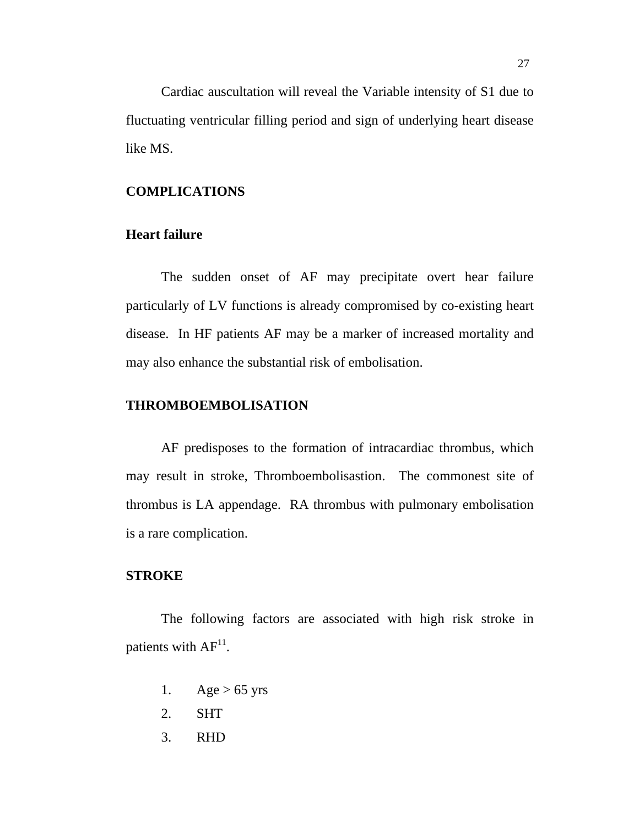Cardiac auscultation will reveal the Variable intensity of S1 due to fluctuating ventricular filling period and sign of underlying heart disease like MS.

## **COMPLICATIONS**

#### **Heart failure**

The sudden onset of AF may precipitate overt hear failure particularly of LV functions is already compromised by co-existing heart disease. In HF patients AF may be a marker of increased mortality and may also enhance the substantial risk of embolisation.

## **THROMBOEMBOLISATION**

AF predisposes to the formation of intracardiac thrombus, which may result in stroke, Thromboembolisastion. The commonest site of thrombus is LA appendage. RA thrombus with pulmonary embolisation is a rare complication.

### **STROKE**

The following factors are associated with high risk stroke in patients with  $AF^{11}$ .

- 1. Age  $> 65$  yrs
- 2. SHT
- 3. RHD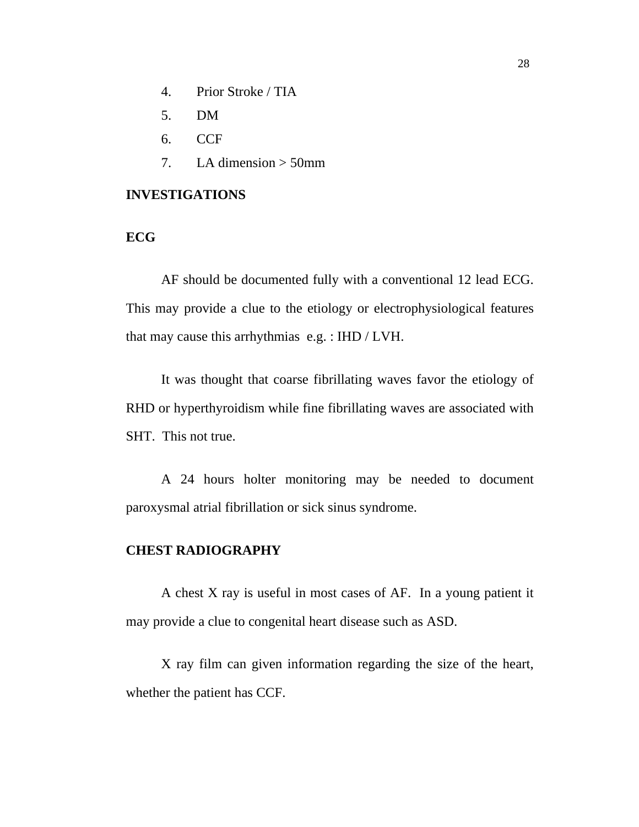- 4. Prior Stroke / TIA
- 5. DM
- 6. CCF
- 7. LA dimension  $>$  50mm

### **INVESTIGATIONS**

## **ECG**

AF should be documented fully with a conventional 12 lead ECG. This may provide a clue to the etiology or electrophysiological features that may cause this arrhythmias e.g. : IHD / LVH.

It was thought that coarse fibrillating waves favor the etiology of RHD or hyperthyroidism while fine fibrillating waves are associated with SHT. This not true.

A 24 hours holter monitoring may be needed to document paroxysmal atrial fibrillation or sick sinus syndrome.

### **CHEST RADIOGRAPHY**

A chest X ray is useful in most cases of AF. In a young patient it may provide a clue to congenital heart disease such as ASD.

X ray film can given information regarding the size of the heart, whether the patient has CCF.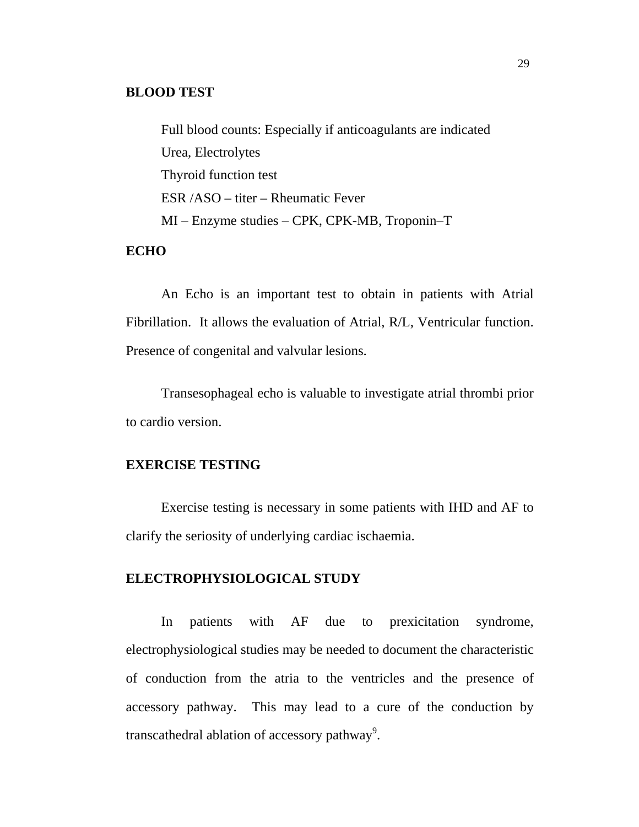#### **BLOOD TEST**

Full blood counts: Especially if anticoagulants are indicated Urea, Electrolytes Thyroid function test ESR /ASO – titer – Rheumatic Fever MI – Enzyme studies – CPK, CPK-MB, Troponin–T

#### **ECHO**

An Echo is an important test to obtain in patients with Atrial Fibrillation. It allows the evaluation of Atrial, R/L, Ventricular function. Presence of congenital and valvular lesions.

Transesophageal echo is valuable to investigate atrial thrombi prior to cardio version.

#### **EXERCISE TESTING**

Exercise testing is necessary in some patients with IHD and AF to clarify the seriosity of underlying cardiac ischaemia.

#### **ELECTROPHYSIOLOGICAL STUDY**

In patients with AF due to prexicitation syndrome, electrophysiological studies may be needed to document the characteristic of conduction from the atria to the ventricles and the presence of accessory pathway. This may lead to a cure of the conduction by transcathedral ablation of accessory pathway<sup>9</sup>.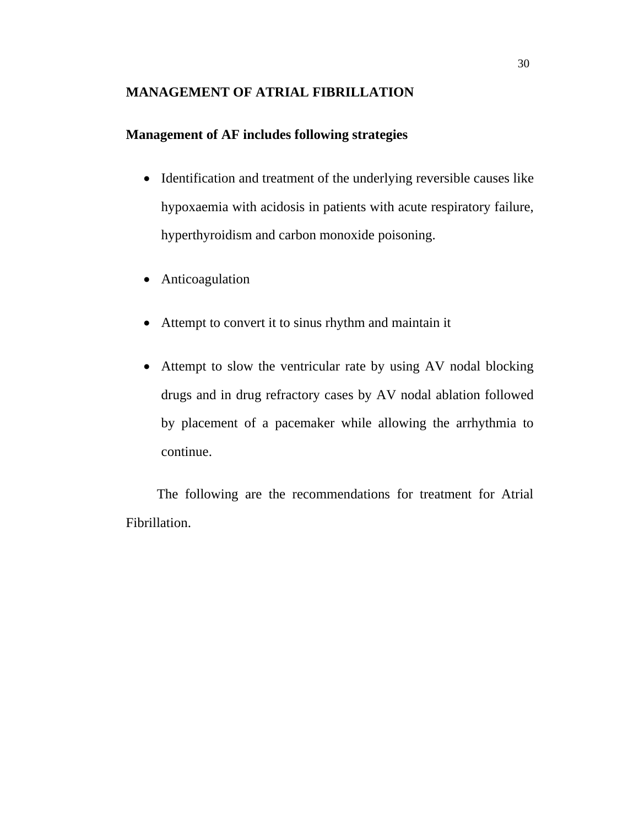#### **MANAGEMENT OF ATRIAL FIBRILLATION**

### **Management of AF includes following strategies**

- Identification and treatment of the underlying reversible causes like hypoxaemia with acidosis in patients with acute respiratory failure, hyperthyroidism and carbon monoxide poisoning.
- Anticoagulation
- Attempt to convert it to sinus rhythm and maintain it
- Attempt to slow the ventricular rate by using AV nodal blocking drugs and in drug refractory cases by AV nodal ablation followed by placement of a pacemaker while allowing the arrhythmia to continue.

 The following are the recommendations for treatment for Atrial Fibrillation.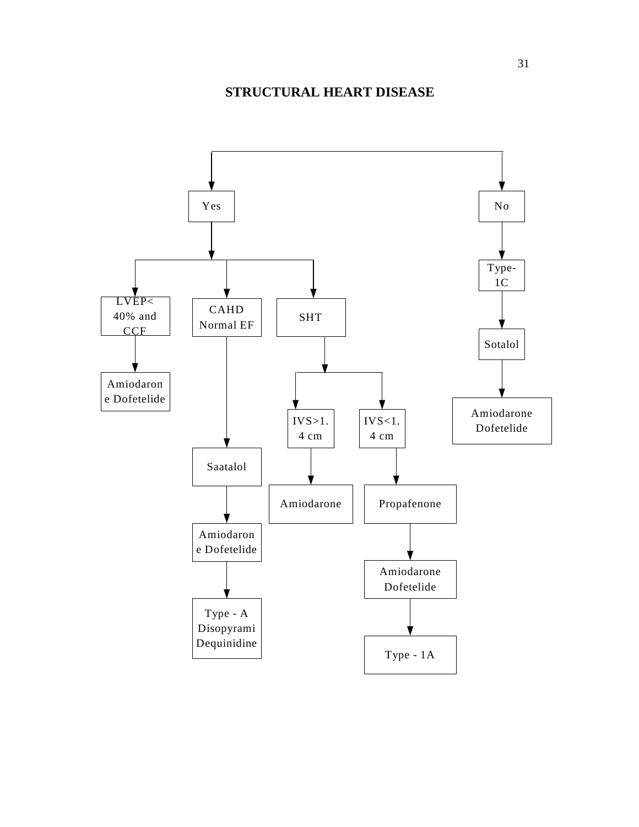### **STRUCTURAL HEART DISEASE**

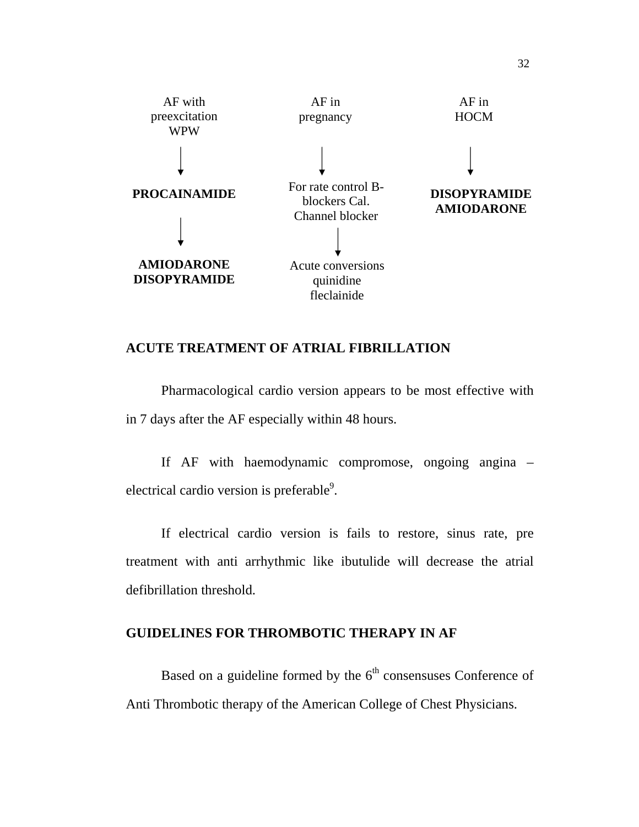

#### **ACUTE TREATMENT OF ATRIAL FIBRILLATION**

Pharmacological cardio version appears to be most effective with in 7 days after the AF especially within 48 hours.

If AF with haemodynamic compromose, ongoing angina – electrical cardio version is preferable $9$ .

If electrical cardio version is fails to restore, sinus rate, pre treatment with anti arrhythmic like ibutulide will decrease the atrial defibrillation threshold.

#### **GUIDELINES FOR THROMBOTIC THERAPY IN AF**

Based on a guideline formed by the  $6<sup>th</sup>$  consensuses Conference of Anti Thrombotic therapy of the American College of Chest Physicians.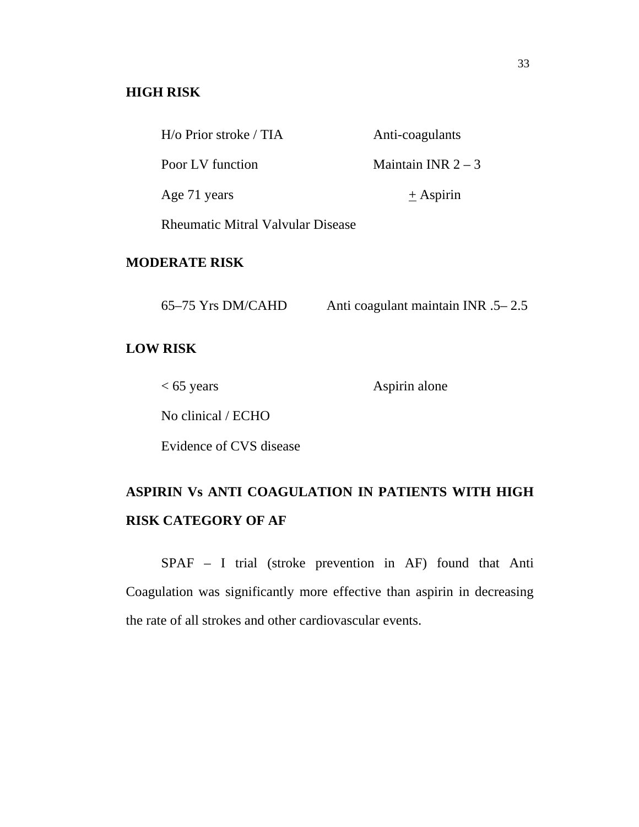#### **HIGH RISK**

| $H$ /o Prior stroke / TIA                | Anti-coagulants    |
|------------------------------------------|--------------------|
| Poor LV function                         | Maintain INR $2-3$ |
| Age 71 years                             | $\pm$ Aspirin      |
| <b>Rheumatic Mitral Valvular Disease</b> |                    |

#### **MODERATE RISK**

| 65–75 Yrs DM/CAHD | Anti coagulant maintain INR .5–2.5 |
|-------------------|------------------------------------|
|                   |                                    |

#### **LOW RISK**

< 65 years Aspirin alone

No clinical / ECHO

Evidence of CVS disease

# **ASPIRIN Vs ANTI COAGULATION IN PATIENTS WITH HIGH RISK CATEGORY OF AF**

SPAF – I trial (stroke prevention in AF) found that Anti Coagulation was significantly more effective than aspirin in decreasing the rate of all strokes and other cardiovascular events.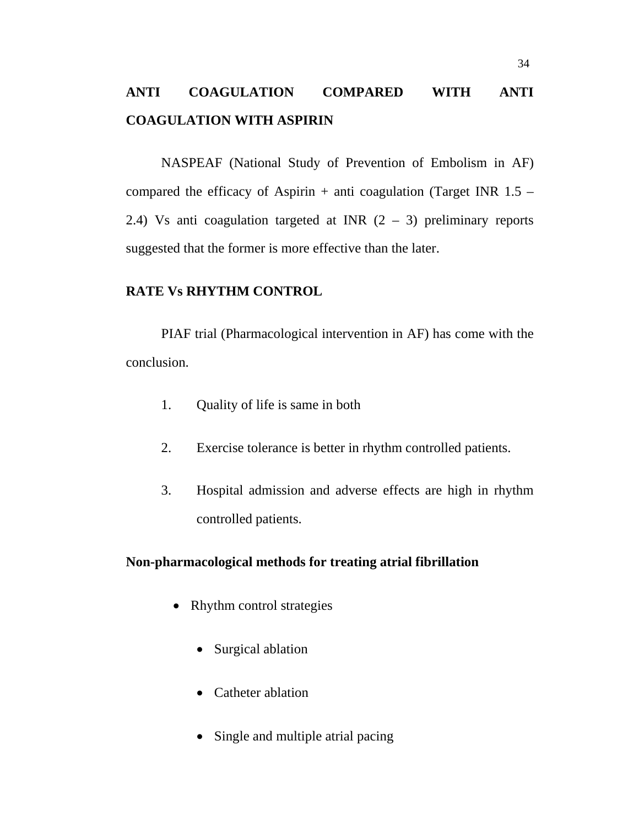# **ANTI COAGULATION COMPARED WITH ANTI COAGULATION WITH ASPIRIN**

NASPEAF (National Study of Prevention of Embolism in AF) compared the efficacy of Aspirin  $+$  anti coagulation (Target INR 1.5 – 2.4) Vs anti coagulation targeted at INR  $(2 - 3)$  preliminary reports suggested that the former is more effective than the later.

#### **RATE Vs RHYTHM CONTROL**

PIAF trial (Pharmacological intervention in AF) has come with the conclusion.

- 1. Quality of life is same in both
- 2. Exercise tolerance is better in rhythm controlled patients.
- 3. Hospital admission and adverse effects are high in rhythm controlled patients.

#### **Non-pharmacological methods for treating atrial fibrillation**

- Rhythm control strategies
	- Surgical ablation
	- Catheter ablation
	- Single and multiple atrial pacing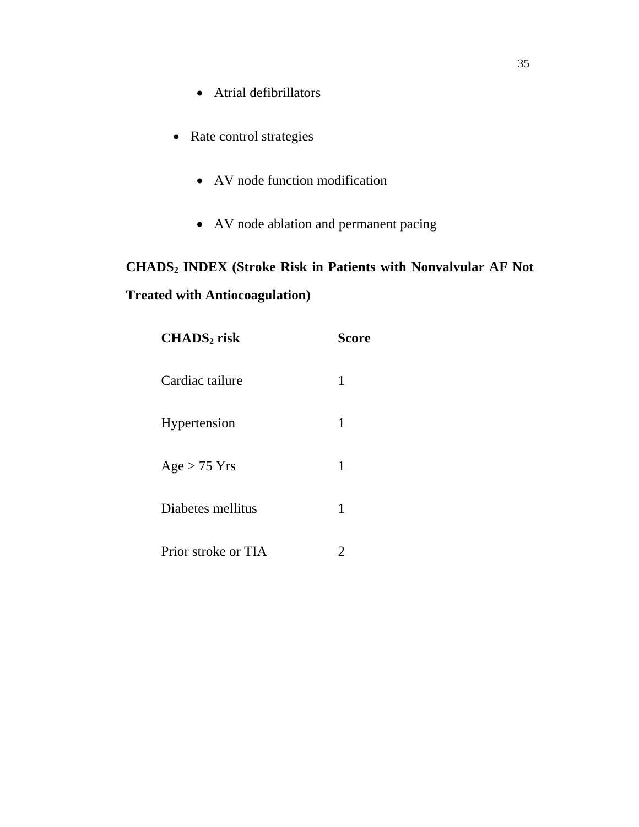- Atrial defibrillators
- Rate control strategies
	- AV node function modification
	- AV node ablation and permanent pacing

# **CHADS2 INDEX (Stroke Risk in Patients with Nonvalvular AF Not Treated with Antiocoagulation)**

| $CHADS2$ risk       | <b>Score</b> |
|---------------------|--------------|
| Cardiac tailure     | 1            |
| Hypertension        | 1            |
| $Age > 75$ Yrs      | 1            |
| Diabetes mellitus   | 1            |
| Prior stroke or TIA |              |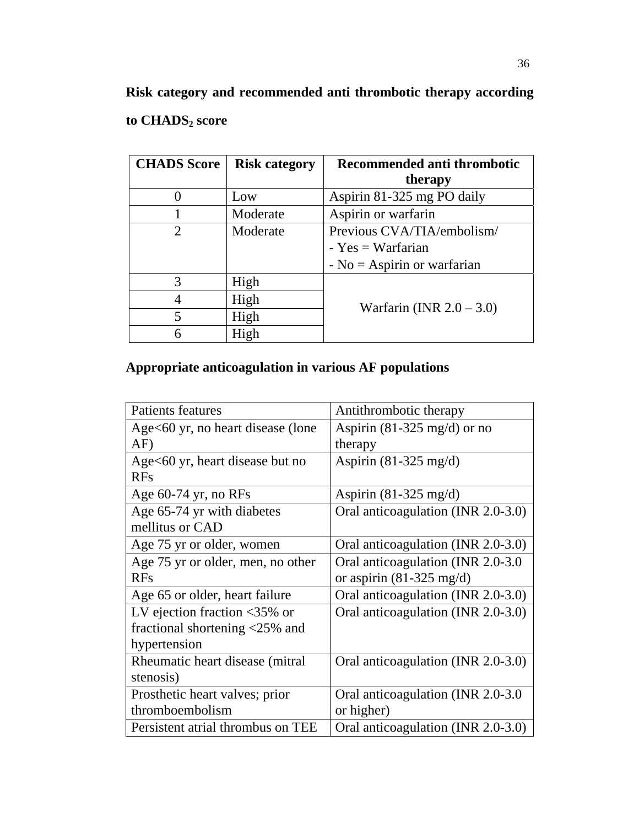**Risk category and recommended anti thrombotic therapy according**  to CHADS<sub>2</sub> score

| <b>CHADS</b> Score          | <b>Risk category</b> | <b>Recommended anti thrombotic</b><br>therapy |  |
|-----------------------------|----------------------|-----------------------------------------------|--|
|                             | Low                  | Aspirin 81-325 mg PO daily                    |  |
|                             | Moderate             | Aspirin or warfarin                           |  |
| $\mathcal{D}_{\mathcal{L}}$ | Moderate             | Previous CVA/TIA/embolism/                    |  |
|                             |                      | - $Yes = Warfarian$                           |  |
|                             |                      | - $No = Aspirin$ or warfarian                 |  |
| 3                           | High                 |                                               |  |
| 4                           | High                 |                                               |  |
| 5                           | High                 | Warfarin (INR $2.0 - 3.0$ )                   |  |
| 6                           | High                 |                                               |  |

## **Appropriate anticoagulation in various AF populations**

| Patients features                                | Antithrombotic therapy                |
|--------------------------------------------------|---------------------------------------|
| Age<60 yr, no heart disease (lone                | Aspirin $(81-325 \text{ mg/d})$ or no |
| AF)                                              | therapy                               |
| Age $<60$ yr, heart disease but no               | Aspirin $(81-325 \text{ mg/d})$       |
| <b>RFs</b>                                       |                                       |
| Age $60-74$ yr, no RFs                           | Aspirin $(81-325 \text{ mg/d})$       |
| Age 65-74 yr with diabetes                       | Oral anticoagulation (INR 2.0-3.0)    |
| mellitus or CAD                                  |                                       |
| Age 75 yr or older, women                        | Oral anticoagulation (INR 2.0-3.0)    |
| Age 75 yr or older, men, no other                | Oral anticoagulation (INR 2.0-3.0)    |
| <b>RFs</b>                                       | or aspirin $(81-325 \text{ mg/d})$    |
| Age 65 or older, heart failure                   | Oral anticoagulation (INR 2.0-3.0)    |
| LV ejection fraction $\langle 35\% \rangle$ or   | Oral anticoagulation (INR 2.0-3.0)    |
| fractional shortening $\langle 25\% \rangle$ and |                                       |
| hypertension                                     |                                       |
| Rheumatic heart disease (mitral)                 | Oral anticoagulation (INR 2.0-3.0)    |
| stenosis)                                        |                                       |
| Prosthetic heart valves; prior                   | Oral anticoagulation (INR 2.0-3.0)    |
| thromboembolism                                  | or higher)                            |
| Persistent atrial thrombus on TEE                | Oral anticoagulation (INR 2.0-3.0)    |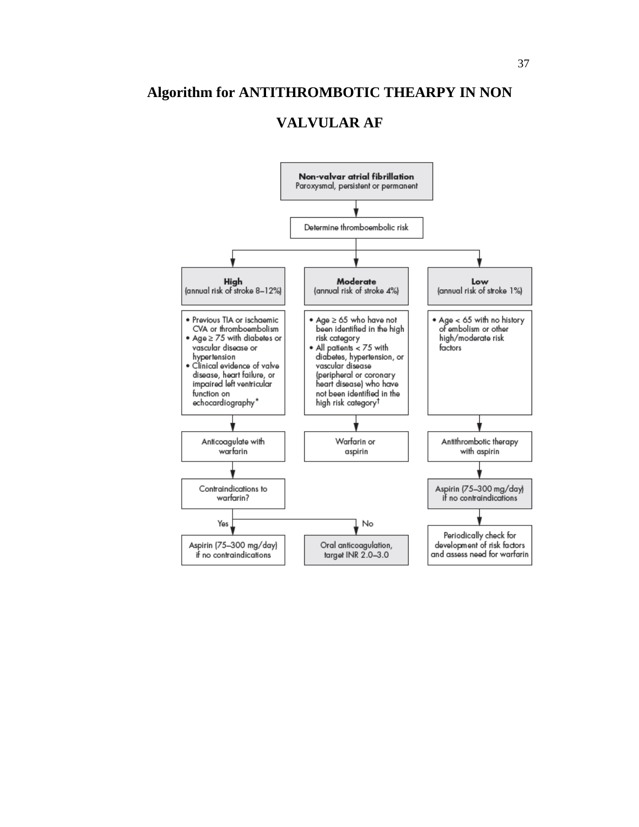### **Algorithm for ANTITHROMBOTIC THEARPY IN NON**

### **VALVULAR AF**

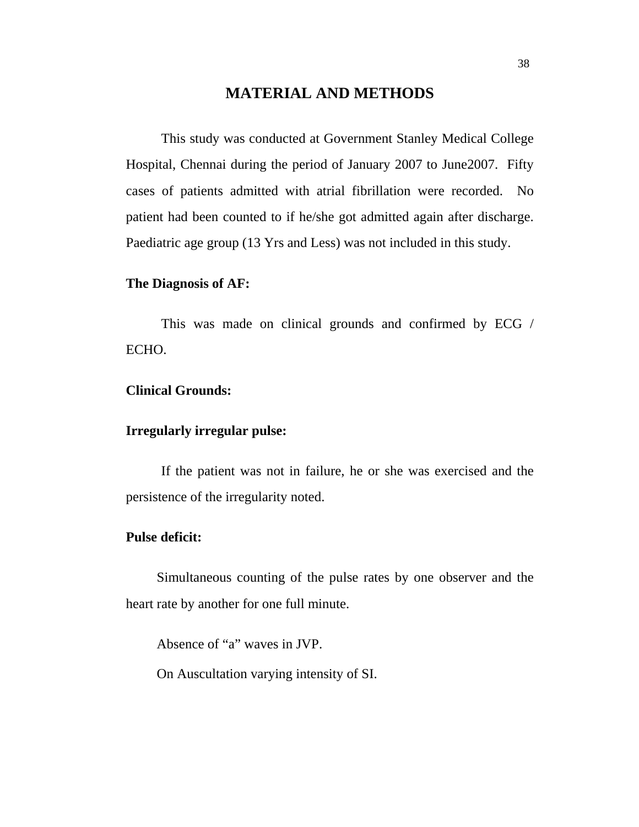### **MATERIAL AND METHODS**

This study was conducted at Government Stanley Medical College Hospital, Chennai during the period of January 2007 to June2007. Fifty cases of patients admitted with atrial fibrillation were recorded. No patient had been counted to if he/she got admitted again after discharge. Paediatric age group (13 Yrs and Less) was not included in this study.

#### **The Diagnosis of AF:**

This was made on clinical grounds and confirmed by ECG / ECHO.

#### **Clinical Grounds:**

#### **Irregularly irregular pulse:**

If the patient was not in failure, he or she was exercised and the persistence of the irregularity noted.

#### **Pulse deficit:**

Simultaneous counting of the pulse rates by one observer and the heart rate by another for one full minute.

Absence of "a" waves in JVP.

On Auscultation varying intensity of SI.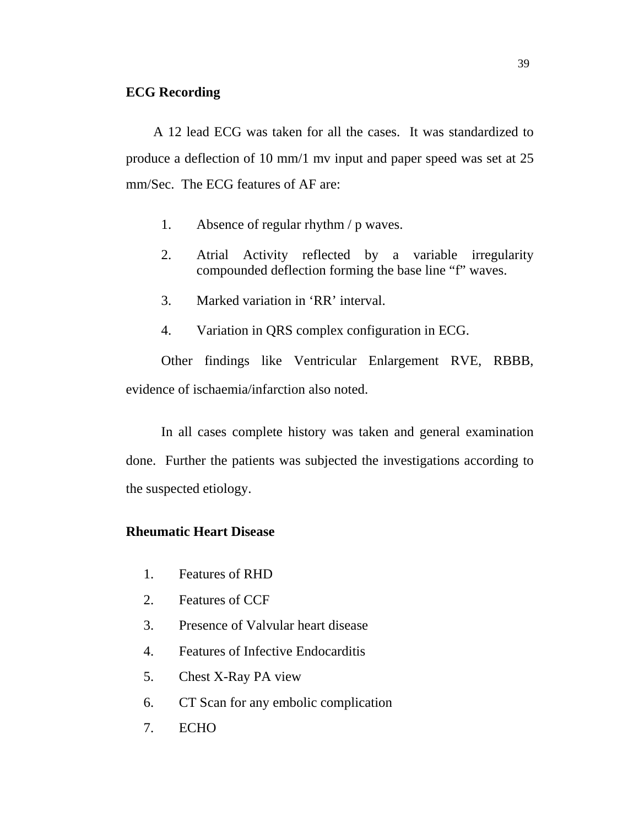#### **ECG Recording**

 A 12 lead ECG was taken for all the cases. It was standardized to produce a deflection of 10 mm/1 mv input and paper speed was set at 25 mm/Sec. The ECG features of AF are:

- 1. Absence of regular rhythm / p waves.
- 2. Atrial Activity reflected by a variable irregularity compounded deflection forming the base line "f" waves.
- 3. Marked variation in 'RR' interval.
- 4. Variation in QRS complex configuration in ECG.

Other findings like Ventricular Enlargement RVE, RBBB, evidence of ischaemia/infarction also noted.

In all cases complete history was taken and general examination done. Further the patients was subjected the investigations according to the suspected etiology.

### **Rheumatic Heart Disease**

- 1. Features of RHD
- 2. Features of CCF
- 3. Presence of Valvular heart disease
- 4. Features of Infective Endocarditis
- 5. Chest X-Ray PA view
- 6. CT Scan for any embolic complication
- 7. ECHO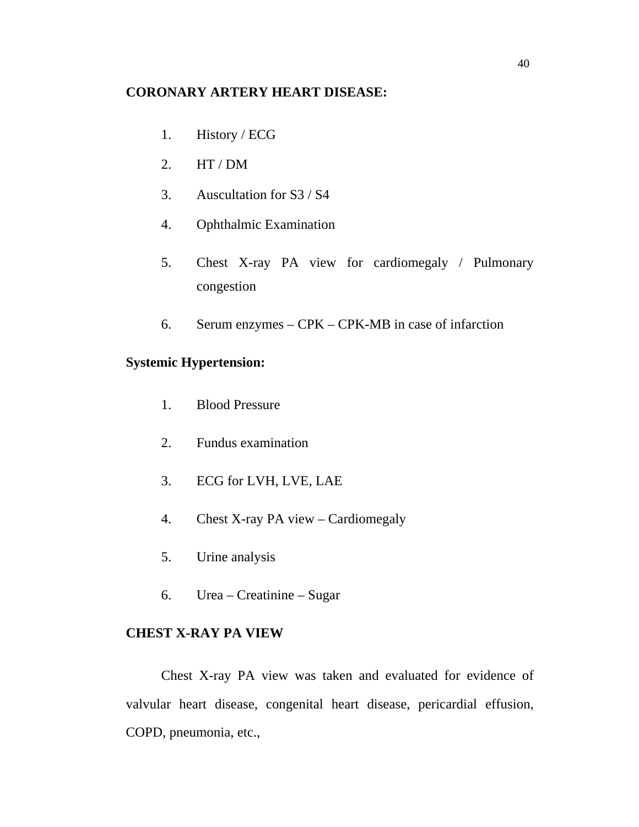#### **CORONARY ARTERY HEART DISEASE:**

- 1. History / ECG
- 2. HT / DM
- 3. Auscultation for S3 / S4
- 4. Ophthalmic Examination
- 5. Chest X-ray PA view for cardiomegaly / Pulmonary congestion
- 6. Serum enzymes CPK CPK-MB in case of infarction

### **Systemic Hypertension:**

- 1. Blood Pressure
- 2. Fundus examination
- 3. ECG for LVH, LVE, LAE
- 4. Chest X-ray PA view Cardiomegaly
- 5. Urine analysis
- 6. Urea Creatinine Sugar

### **CHEST X-RAY PA VIEW**

Chest X-ray PA view was taken and evaluated for evidence of valvular heart disease, congenital heart disease, pericardial effusion, COPD, pneumonia, etc.,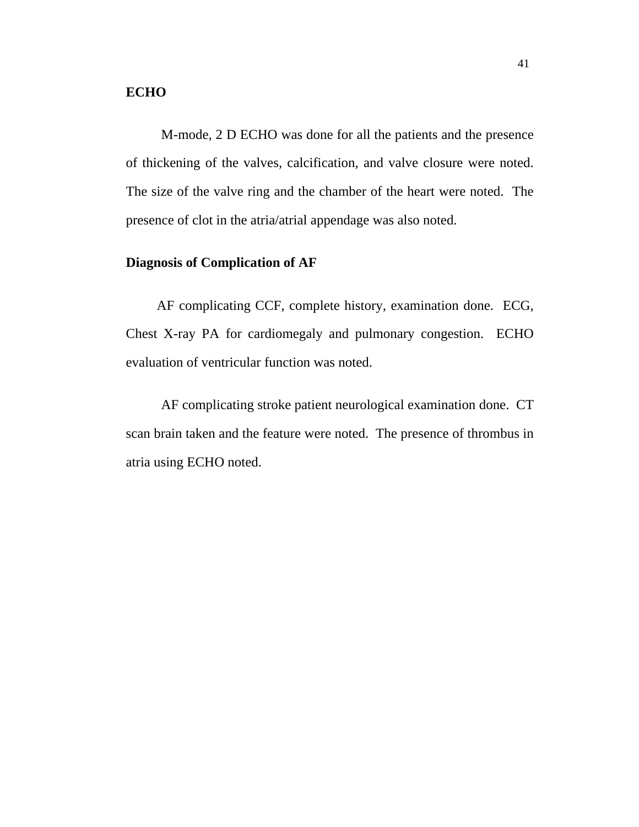#### **ECHO**

M-mode, 2 D ECHO was done for all the patients and the presence of thickening of the valves, calcification, and valve closure were noted. The size of the valve ring and the chamber of the heart were noted. The presence of clot in the atria/atrial appendage was also noted.

#### **Diagnosis of Complication of AF**

 AF complicating CCF, complete history, examination done. ECG, Chest X-ray PA for cardiomegaly and pulmonary congestion. ECHO evaluation of ventricular function was noted.

AF complicating stroke patient neurological examination done. CT scan brain taken and the feature were noted. The presence of thrombus in atria using ECHO noted.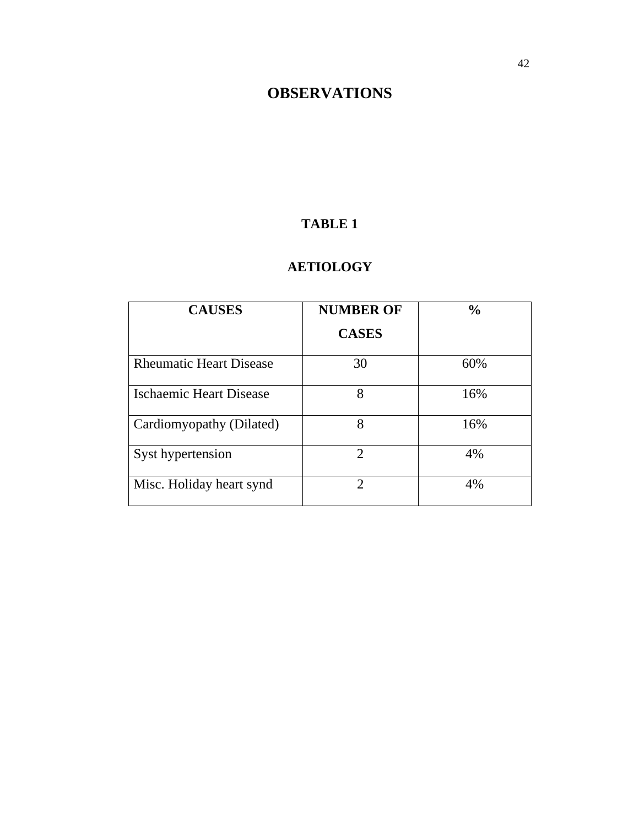# **OBSERVATIONS**

### **TABLE 1**

### **AETIOLOGY**

| <b>CAUSES</b>                  | <b>NUMBER OF</b>            | $\frac{0}{0}$ |
|--------------------------------|-----------------------------|---------------|
|                                | <b>CASES</b>                |               |
| <b>Rheumatic Heart Disease</b> | 30                          | 60%           |
| <b>Ischaemic Heart Disease</b> | 8                           | 16%           |
| Cardiomyopathy (Dilated)       | 8                           | 16%           |
| Syst hypertension              | $\mathcal{D}$               | 4%            |
| Misc. Holiday heart synd       | $\mathcal{D}_{\mathcal{L}}$ | 4%            |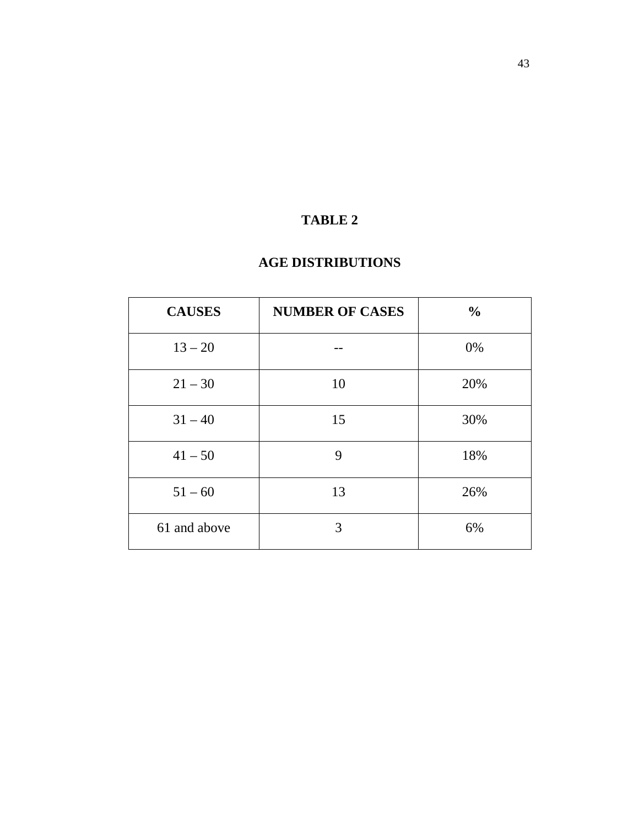### **AGE DISTRIBUTIONS**

| <b>CAUSES</b> | <b>NUMBER OF CASES</b> | $\frac{0}{0}$ |
|---------------|------------------------|---------------|
| $13 - 20$     |                        | 0%            |
| $21 - 30$     | 10                     | 20%           |
| $31 - 40$     | 15                     | 30%           |
| $41 - 50$     | 9                      | 18%           |
| $51 - 60$     | 13                     | 26%           |
| 61 and above  | 3                      | 6%            |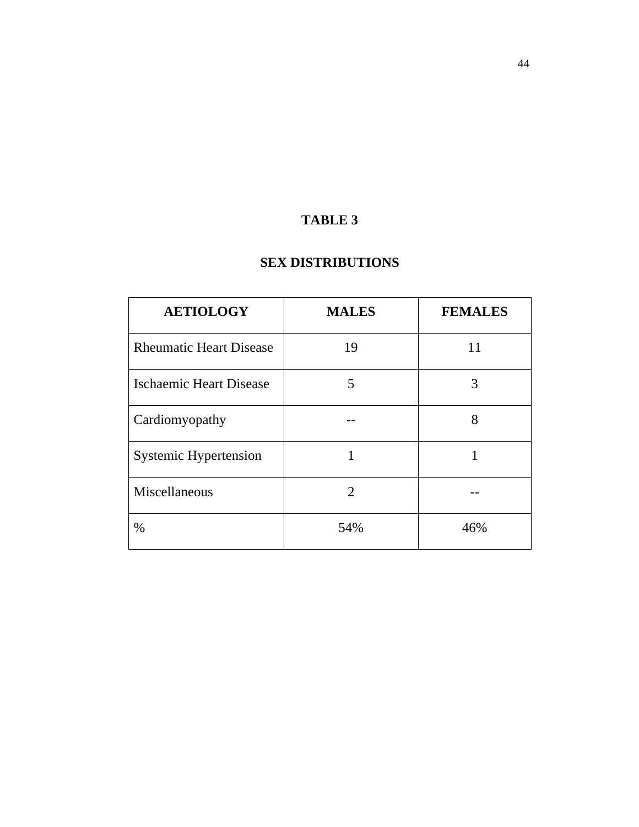### **SEX DISTRIBUTIONS**

| <b>AETIOLOGY</b>               | <b>MALES</b>   | <b>FEMALES</b> |
|--------------------------------|----------------|----------------|
| <b>Rheumatic Heart Disease</b> | 19             | 11             |
| Ischaemic Heart Disease        | 5              | 3              |
| Cardiomyopathy                 |                | 8              |
| <b>Systemic Hypertension</b>   |                |                |
| Miscellaneous                  | $\overline{2}$ |                |
| %                              | 54%            | 46%            |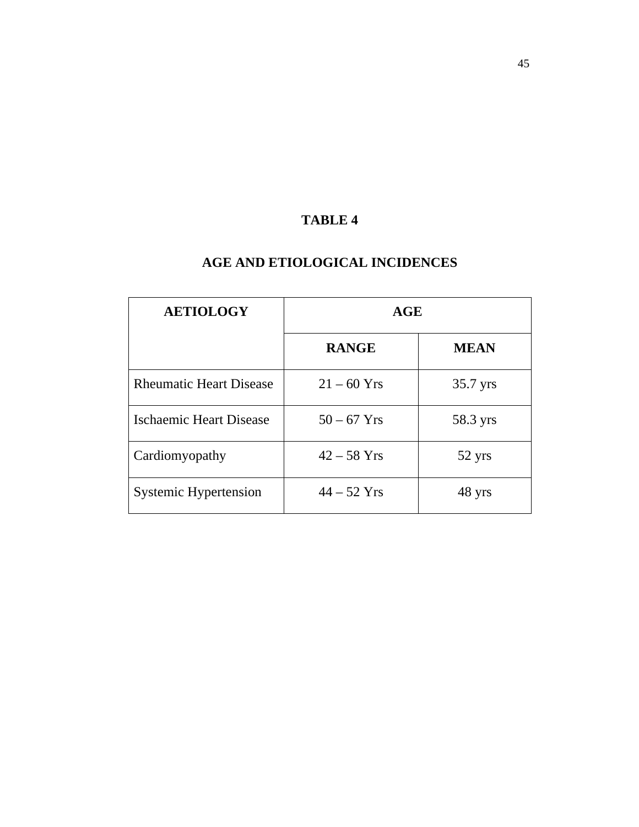### **AGE AND ETIOLOGICAL INCIDENCES**

| <b>AETIOLOGY</b>               | AGE           |             |
|--------------------------------|---------------|-------------|
|                                | <b>RANGE</b>  | <b>MEAN</b> |
| <b>Rheumatic Heart Disease</b> | $21 - 60$ Yrs | 35.7 yrs    |
| Ischaemic Heart Disease        | $50 - 67$ Yrs | 58.3 yrs    |
| Cardiomyopathy                 | $42 - 58$ Yrs | 52 yrs      |
| <b>Systemic Hypertension</b>   | $44 - 52$ Yrs | 48 yrs      |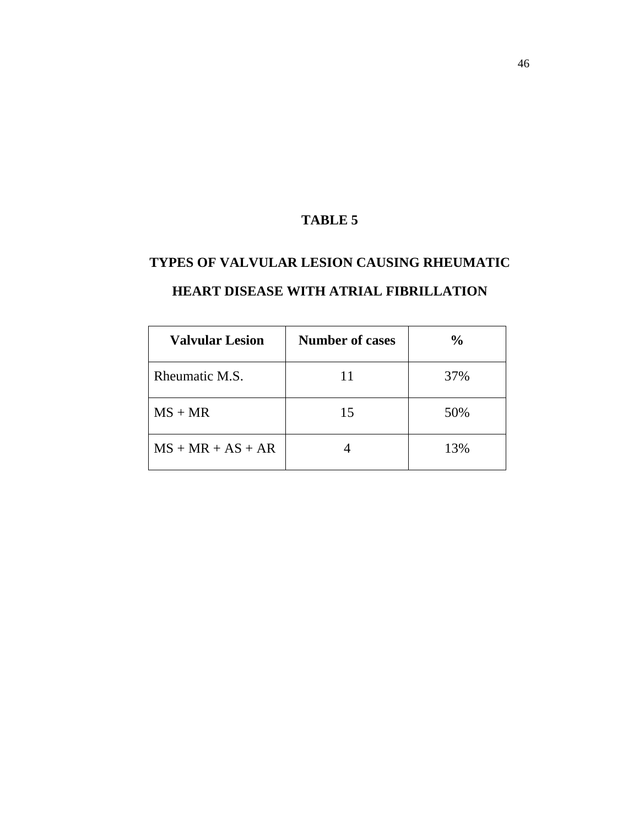# **TYPES OF VALVULAR LESION CAUSING RHEUMATIC**

| <b>Valvular Lesion</b> | <b>Number of cases</b> | $\frac{0}{0}$ |
|------------------------|------------------------|---------------|
| Rheumatic M.S.         |                        | 37%           |
| $MS + MR$              | 15                     | 50%           |
| $MS + MR + AS + AR$    |                        | 13%           |

### **HEART DISEASE WITH ATRIAL FIBRILLATION**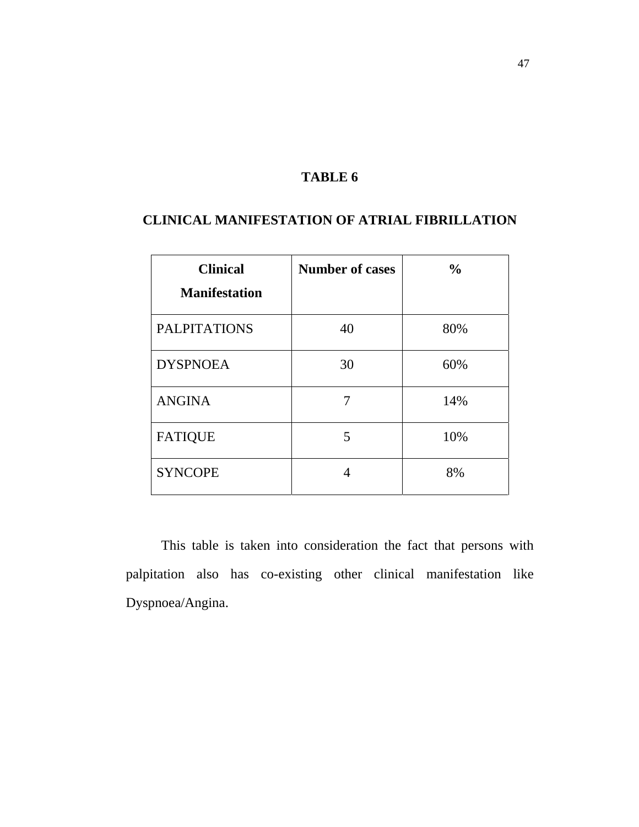### **CLINICAL MANIFESTATION OF ATRIAL FIBRILLATION**

| <b>Clinical</b>      | <b>Number of cases</b> | $\frac{6}{6}$ |
|----------------------|------------------------|---------------|
| <b>Manifestation</b> |                        |               |
| <b>PALPITATIONS</b>  | 40                     | 80%           |
| <b>DYSPNOEA</b>      | 30                     | 60%           |
| <b>ANGINA</b>        |                        | 14%           |
| <b>FATIQUE</b>       | 5                      | 10%           |
| <b>SYNCOPE</b>       |                        | 8%            |

This table is taken into consideration the fact that persons with palpitation also has co-existing other clinical manifestation like Dyspnoea/Angina.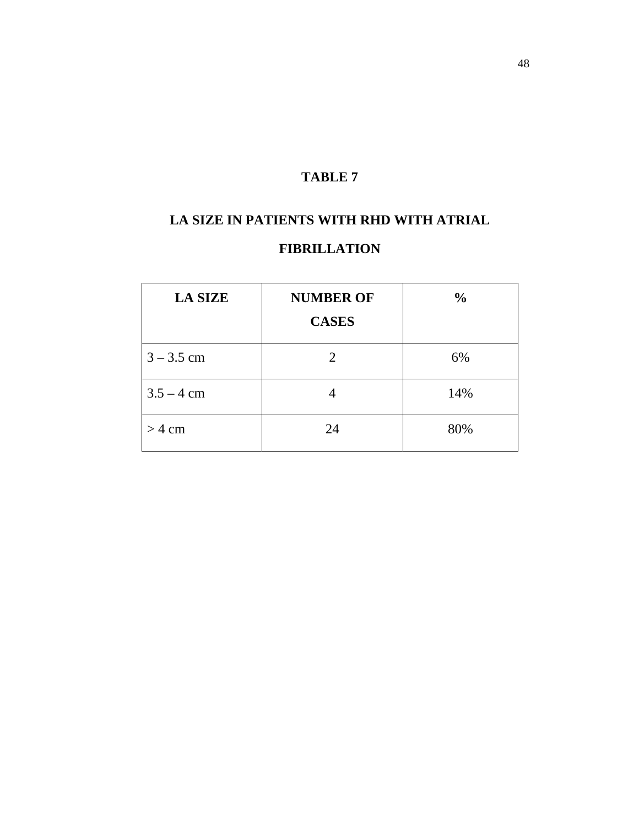# **LA SIZE IN PATIENTS WITH RHD WITH ATRIAL**

### **FIBRILLATION**

| <b>LA SIZE</b> | <b>NUMBER OF</b><br><b>CASES</b> | $\frac{0}{0}$ |
|----------------|----------------------------------|---------------|
| $3 - 3.5$ cm   | 2                                | 6%            |
| $3.5 - 4$ cm   |                                  | 14%           |
| $>$ 4 cm       | 24                               | 80%           |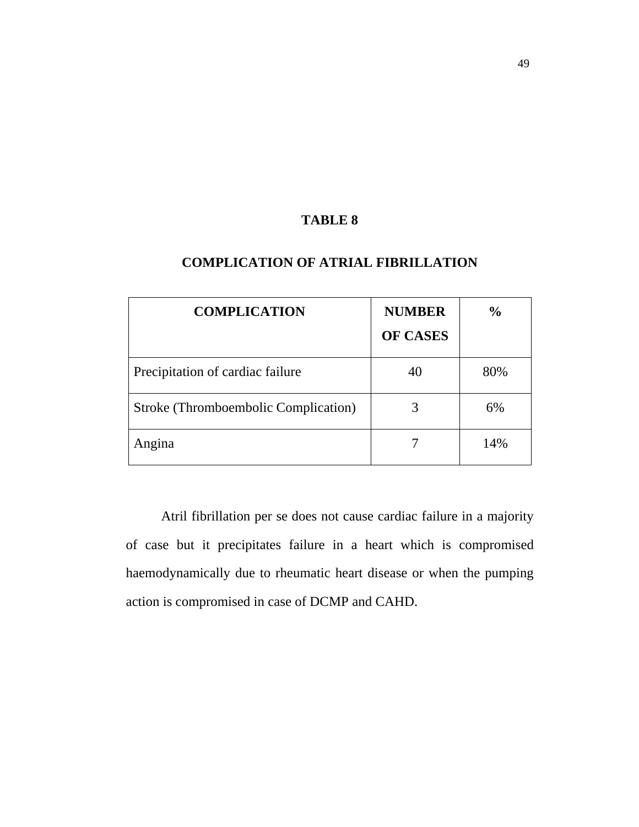| <b>COMPLICATION</b>                  | <b>NUMBER</b><br><b>OF CASES</b> | $\frac{0}{0}$ |
|--------------------------------------|----------------------------------|---------------|
| Precipitation of cardiac failure     | 40                               | 80%           |
| Stroke (Thromboembolic Complication) |                                  | 6%            |
| Angina                               |                                  | 14%           |

### **COMPLICATION OF ATRIAL FIBRILLATION**

Atril fibrillation per se does not cause cardiac failure in a majority of case but it precipitates failure in a heart which is compromised haemodynamically due to rheumatic heart disease or when the pumping action is compromised in case of DCMP and CAHD.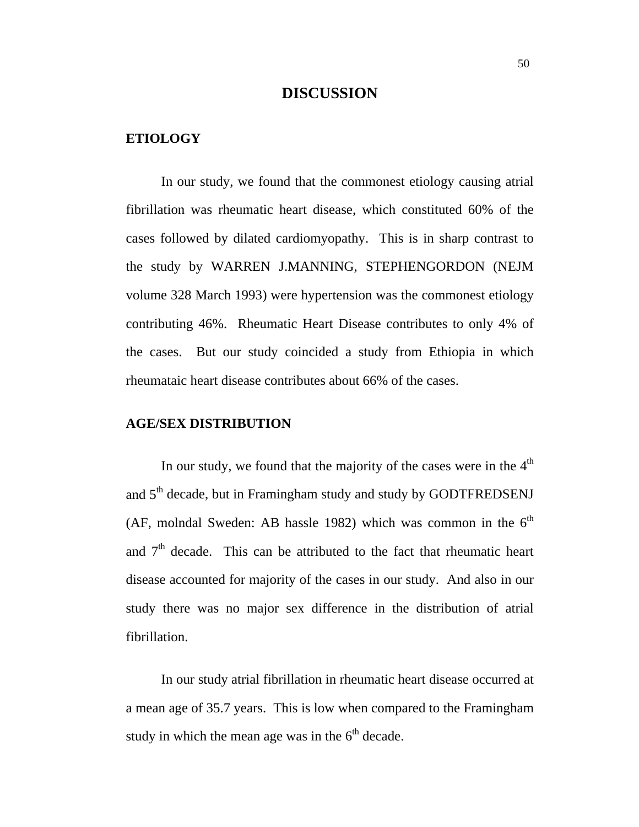### **DISCUSSION**

#### **ETIOLOGY**

In our study, we found that the commonest etiology causing atrial fibrillation was rheumatic heart disease, which constituted 60% of the cases followed by dilated cardiomyopathy. This is in sharp contrast to the study by WARREN J.MANNING, STEPHENGORDON (NEJM volume 328 March 1993) were hypertension was the commonest etiology contributing 46%. Rheumatic Heart Disease contributes to only 4% of the cases. But our study coincided a study from Ethiopia in which rheumataic heart disease contributes about 66% of the cases.

#### **AGE/SEX DISTRIBUTION**

In our study, we found that the majority of the cases were in the  $4<sup>th</sup>$ and 5<sup>th</sup> decade, but in Framingham study and study by GODTFREDSENJ (AF, molndal Sweden: AB hassle 1982) which was common in the  $6<sup>th</sup>$ and  $7<sup>th</sup>$  decade. This can be attributed to the fact that rheumatic heart disease accounted for majority of the cases in our study. And also in our study there was no major sex difference in the distribution of atrial fibrillation.

In our study atrial fibrillation in rheumatic heart disease occurred at a mean age of 35.7 years. This is low when compared to the Framingham study in which the mean age was in the  $6<sup>th</sup>$  decade.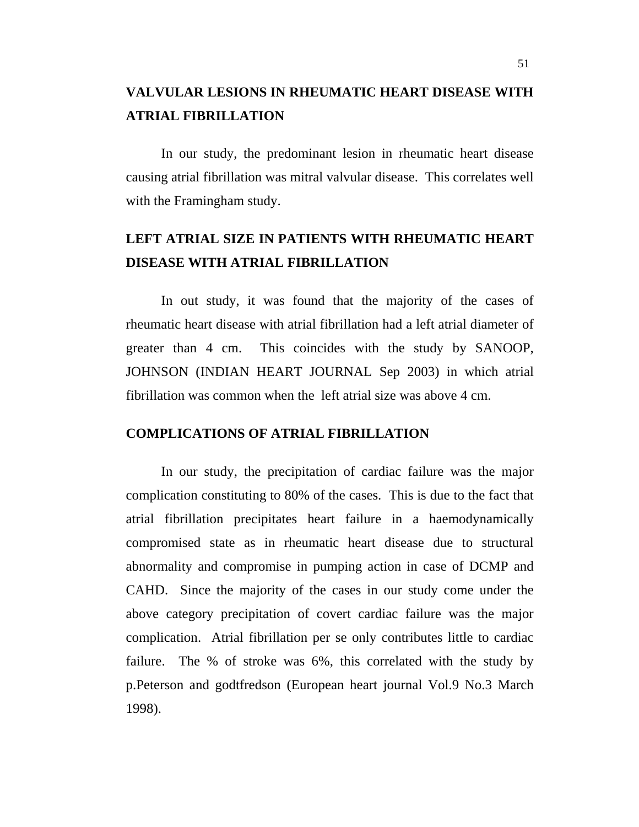### **VALVULAR LESIONS IN RHEUMATIC HEART DISEASE WITH ATRIAL FIBRILLATION**

In our study, the predominant lesion in rheumatic heart disease causing atrial fibrillation was mitral valvular disease. This correlates well with the Framingham study.

### **LEFT ATRIAL SIZE IN PATIENTS WITH RHEUMATIC HEART DISEASE WITH ATRIAL FIBRILLATION**

In out study, it was found that the majority of the cases of rheumatic heart disease with atrial fibrillation had a left atrial diameter of greater than 4 cm. This coincides with the study by SANOOP, JOHNSON (INDIAN HEART JOURNAL Sep 2003) in which atrial fibrillation was common when the left atrial size was above 4 cm.

#### **COMPLICATIONS OF ATRIAL FIBRILLATION**

In our study, the precipitation of cardiac failure was the major complication constituting to 80% of the cases. This is due to the fact that atrial fibrillation precipitates heart failure in a haemodynamically compromised state as in rheumatic heart disease due to structural abnormality and compromise in pumping action in case of DCMP and CAHD. Since the majority of the cases in our study come under the above category precipitation of covert cardiac failure was the major complication. Atrial fibrillation per se only contributes little to cardiac failure. The % of stroke was 6%, this correlated with the study by p.Peterson and godtfredson (European heart journal Vol.9 No.3 March 1998).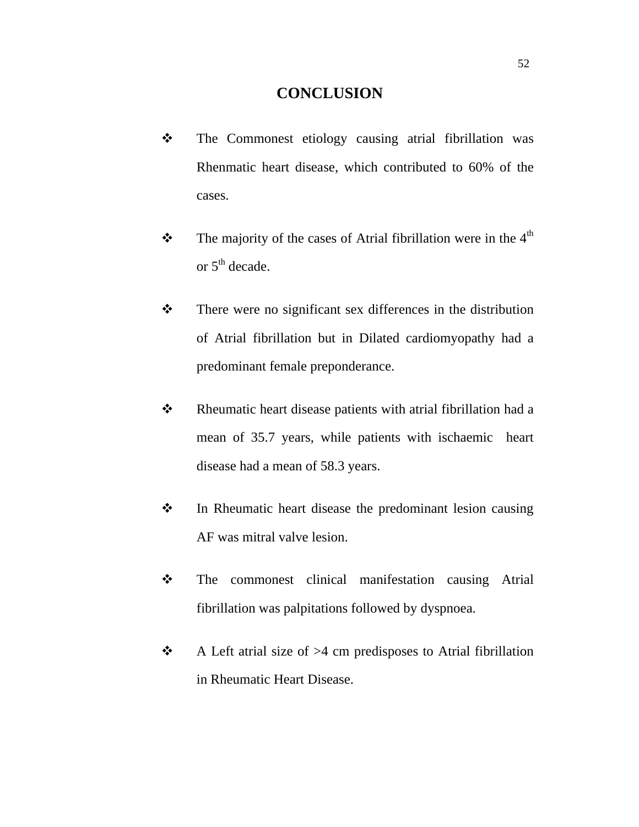### **CONCLUSION**

- The Commonest etiology causing atrial fibrillation was Rhenmatic heart disease, which contributed to 60% of the cases.
- $\mathbf{\hat{P}}$  The majority of the cases of Atrial fibrillation were in the 4<sup>th</sup> or  $5<sup>th</sup>$  decade.
- There were no significant sex differences in the distribution of Atrial fibrillation but in Dilated cardiomyopathy had a predominant female preponderance.
- $\triangle$  Rheumatic heart disease patients with atrial fibrillation had a mean of 35.7 years, while patients with ischaemic heart disease had a mean of 58.3 years.
- $\mathbf{\hat{P}}$  In Rheumatic heart disease the predominant lesion causing AF was mitral valve lesion.
- The commonest clinical manifestation causing Atrial fibrillation was palpitations followed by dyspnoea.
- $\triangle$  A Left atrial size of >4 cm predisposes to Atrial fibrillation in Rheumatic Heart Disease.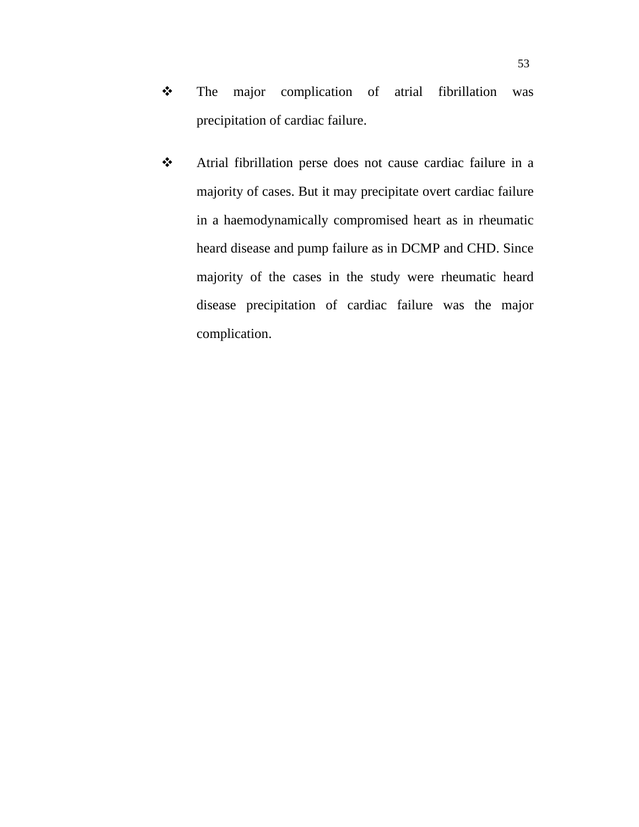- \* The major complication of atrial fibrillation was precipitation of cardiac failure.
- Atrial fibrillation perse does not cause cardiac failure in a majority of cases. But it may precipitate overt cardiac failure in a haemodynamically compromised heart as in rheumatic heard disease and pump failure as in DCMP and CHD. Since majority of the cases in the study were rheumatic heard disease precipitation of cardiac failure was the major complication.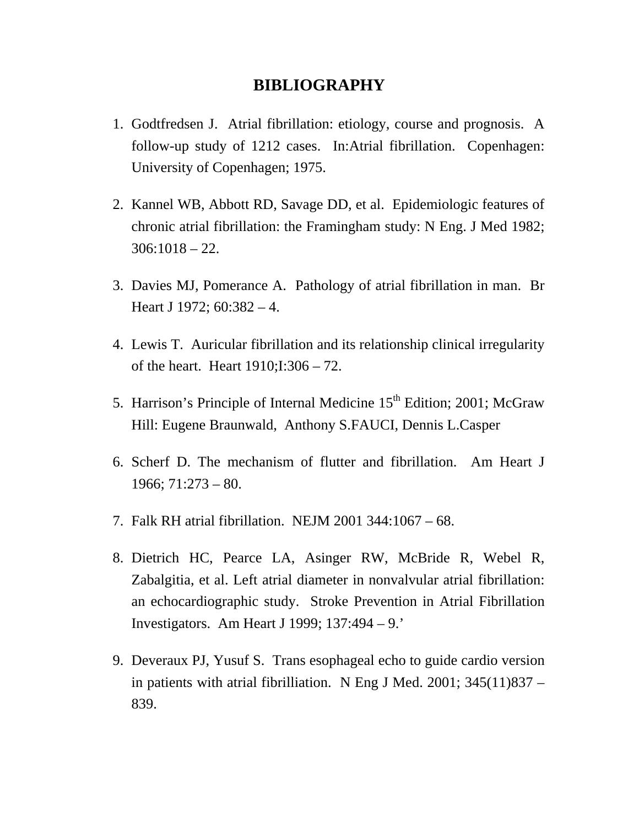### **BIBLIOGRAPHY**

- 1. Godtfredsen J. Atrial fibrillation: etiology, course and prognosis. A follow-up study of 1212 cases. In:Atrial fibrillation. Copenhagen: University of Copenhagen; 1975.
- 2. Kannel WB, Abbott RD, Savage DD, et al. Epidemiologic features of chronic atrial fibrillation: the Framingham study: N Eng. J Med 1982;  $306:1018 - 22.$
- 3. Davies MJ, Pomerance A. Pathology of atrial fibrillation in man. Br Heart J 1972;  $60:382 - 4$ .
- 4. Lewis T. Auricular fibrillation and its relationship clinical irregularity of the heart. Heart 1910;I:306 – 72.
- 5. Harrison's Principle of Internal Medicine 15<sup>th</sup> Edition; 2001; McGraw Hill: Eugene Braunwald, Anthony S.FAUCI, Dennis L.Casper
- 6. Scherf D. The mechanism of flutter and fibrillation. Am Heart J  $1966$ ;  $71:273 - 80$ .
- 7. Falk RH atrial fibrillation. NEJM 2001 344:1067 68.
- 8. Dietrich HC, Pearce LA, Asinger RW, McBride R, Webel R, Zabalgitia, et al. Left atrial diameter in nonvalvular atrial fibrillation: an echocardiographic study. Stroke Prevention in Atrial Fibrillation Investigators. Am Heart J 1999; 137:494 – 9.'
- 9. Deveraux PJ, Yusuf S. Trans esophageal echo to guide cardio version in patients with atrial fibrilliation. N Eng J Med. 2001; 345(11)837 – 839.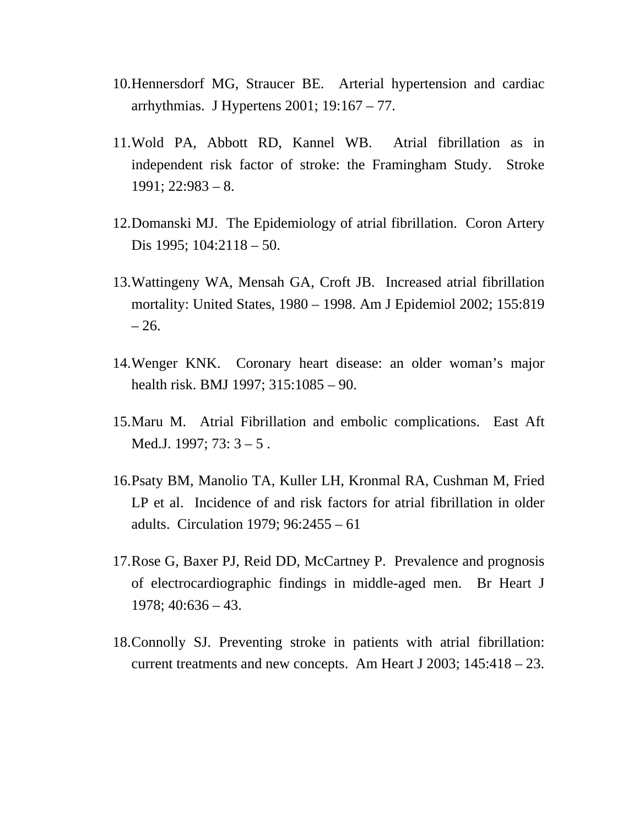- 10.Hennersdorf MG, Straucer BE. Arterial hypertension and cardiac arrhythmias. J Hypertens 2001; 19:167 – 77.
- 11.Wold PA, Abbott RD, Kannel WB. Atrial fibrillation as in independent risk factor of stroke: the Framingham Study. Stroke  $1991; 22:983 - 8.$
- 12.Domanski MJ. The Epidemiology of atrial fibrillation. Coron Artery Dis 1995; 104:2118 – 50.
- 13.Wattingeny WA, Mensah GA, Croft JB. Increased atrial fibrillation mortality: United States, 1980 – 1998. Am J Epidemiol 2002; 155:819  $-26.$
- 14.Wenger KNK. Coronary heart disease: an older woman's major health risk. BMJ 1997; 315:1085 – 90.
- 15.Maru M. Atrial Fibrillation and embolic complications. East Aft Med.J. 1997; 73: 3 – 5 .
- 16.Psaty BM, Manolio TA, Kuller LH, Kronmal RA, Cushman M, Fried LP et al. Incidence of and risk factors for atrial fibrillation in older adults. Circulation 1979; 96:2455 – 61
- 17.Rose G, Baxer PJ, Reid DD, McCartney P. Prevalence and prognosis of electrocardiographic findings in middle-aged men. Br Heart J  $1978$ ;  $40:636 - 43$ .
- 18.Connolly SJ. Preventing stroke in patients with atrial fibrillation: current treatments and new concepts. Am Heart J 2003; 145:418 – 23.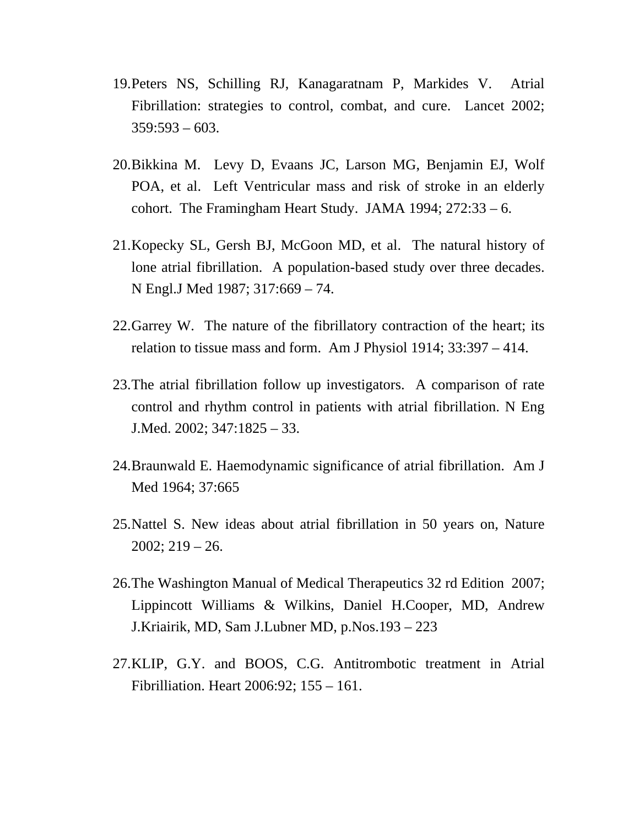- 19.Peters NS, Schilling RJ, Kanagaratnam P, Markides V. Atrial Fibrillation: strategies to control, combat, and cure. Lancet 2002;  $359:593 - 603$ .
- 20.Bikkina M. Levy D, Evaans JC, Larson MG, Benjamin EJ, Wolf POA, et al. Left Ventricular mass and risk of stroke in an elderly cohort. The Framingham Heart Study. JAMA 1994; 272:33 – 6.
- 21.Kopecky SL, Gersh BJ, McGoon MD, et al. The natural history of lone atrial fibrillation. A population-based study over three decades. N Engl.J Med 1987; 317:669 – 74.
- 22.Garrey W. The nature of the fibrillatory contraction of the heart; its relation to tissue mass and form. Am J Physiol 1914; 33:397 – 414.
- 23.The atrial fibrillation follow up investigators. A comparison of rate control and rhythm control in patients with atrial fibrillation. N Eng J.Med. 2002; 347:1825 – 33.
- 24.Braunwald E. Haemodynamic significance of atrial fibrillation. Am J Med 1964; 37:665
- 25.Nattel S. New ideas about atrial fibrillation in 50 years on, Nature  $2002; 219 - 26.$
- 26.The Washington Manual of Medical Therapeutics 32 rd Edition 2007; Lippincott Williams & Wilkins, Daniel H.Cooper, MD, Andrew J.Kriairik, MD, Sam J.Lubner MD, p.Nos.193 – 223
- 27.KLIP, G.Y. and BOOS, C.G. Antitrombotic treatment in Atrial Fibrilliation. Heart 2006:92; 155 – 161.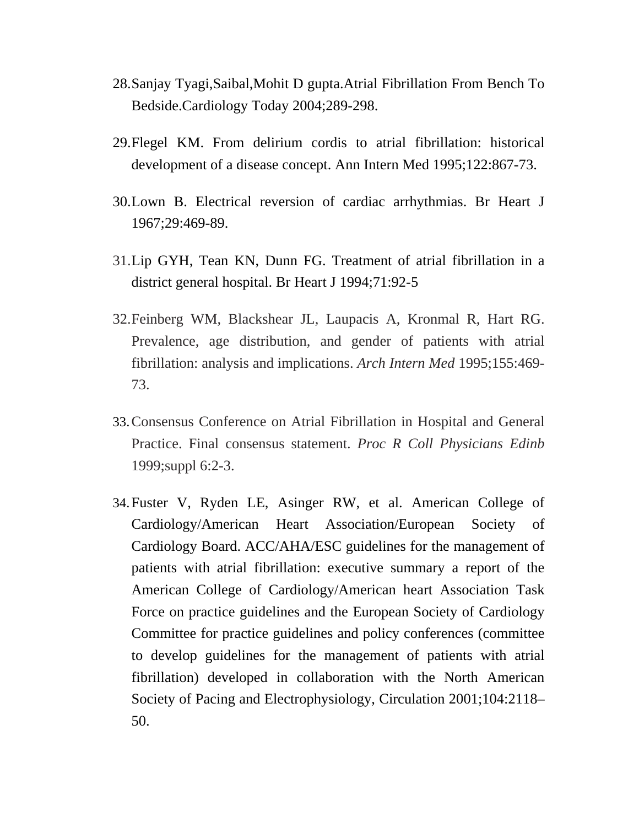- 28.Sanjay Tyagi,Saibal,Mohit D gupta.Atrial Fibrillation From Bench To Bedside.Cardiology Today 2004;289-298.
- 29.Flegel KM. From delirium cordis to atrial fibrillation: historical development of a disease concept. Ann Intern Med 1995;122:867-73.
- 30.Lown B. Electrical reversion of cardiac arrhythmias. Br Heart J 1967;29:469-89.
- 31.Lip GYH, Tean KN, Dunn FG. Treatment of atrial fibrillation in a district general hospital. Br Heart J 1994;71:92-5
- 32.Feinberg WM, Blackshear JL, Laupacis A, Kronmal R, Hart RG. Prevalence, age distribution, and gender of patients with atrial fibrillation: analysis and implications. *Arch Intern Med* 1995;155:469- 73.
- 33.Consensus Conference on Atrial Fibrillation in Hospital and General Practice. Final consensus statement. *Proc R Coll Physicians Edinb*  1999;suppl 6:2-3.
- 34.Fuster V, Ryden LE, Asinger RW, et al. American College of Cardiology/American Heart Association/European Society of Cardiology Board. ACC/AHA/ESC guidelines for the management of patients with atrial fibrillation: executive summary a report of the American College of Cardiology/American heart Association Task Force on practice guidelines and the European Society of Cardiology Committee for practice guidelines and policy conferences (committee to develop guidelines for the management of patients with atrial fibrillation) developed in collaboration with the North American Society of Pacing and Electrophysiology, Circulation 2001;104:2118– 50.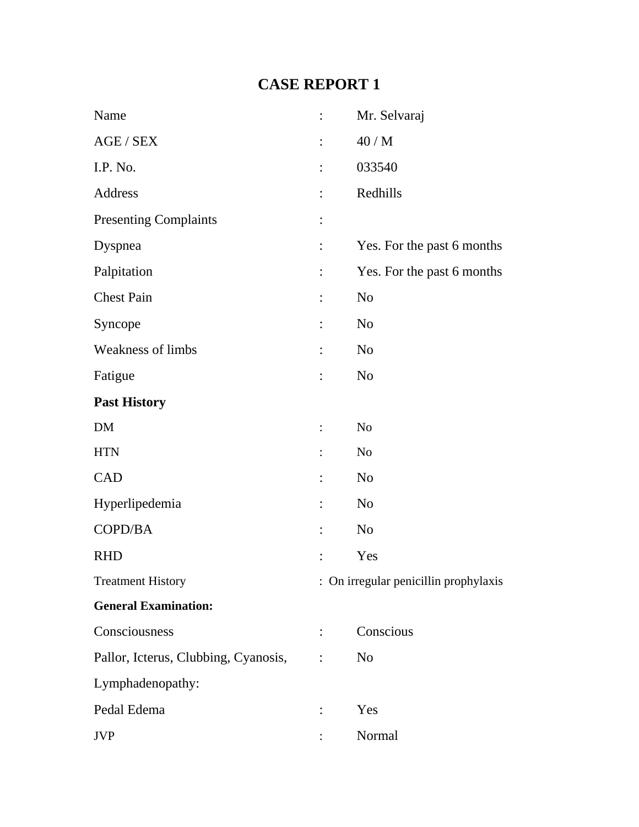# **CASE REPORT 1**

| Name                                 | $\ddot{\cdot}$ | Mr. Selvaraj                          |
|--------------------------------------|----------------|---------------------------------------|
| AGE / SEX                            | $\ddot{\cdot}$ | 40/M                                  |
| I.P. No.                             | $\ddot{\cdot}$ | 033540                                |
| Address                              | $\ddot{\cdot}$ | Redhills                              |
| <b>Presenting Complaints</b>         | $\vdots$       |                                       |
| Dyspnea                              | $\ddot{\cdot}$ | Yes. For the past 6 months            |
| Palpitation                          | $\vdots$       | Yes. For the past 6 months            |
| <b>Chest Pain</b>                    | $\ddot{\cdot}$ | N <sub>o</sub>                        |
| Syncope                              | $\vdots$       | N <sub>o</sub>                        |
| <b>Weakness of limbs</b>             | $\ddot{\cdot}$ | N <sub>o</sub>                        |
| Fatigue                              | $\ddot{\cdot}$ | N <sub>o</sub>                        |
| <b>Past History</b>                  |                |                                       |
| DM                                   | $\vdots$       | N <sub>o</sub>                        |
| <b>HTN</b>                           | $\ddot{\cdot}$ | N <sub>0</sub>                        |
| <b>CAD</b>                           | $\ddot{\cdot}$ | N <sub>o</sub>                        |
| Hyperlipedemia                       | $\vdots$       | N <sub>o</sub>                        |
| COPD/BA                              |                | N <sub>0</sub>                        |
| <b>RHD</b>                           |                | Yes                                   |
| <b>Treatment History</b>             |                | : On irregular penicillin prophylaxis |
| <b>General Examination:</b>          |                |                                       |
| Consciousness                        |                | Conscious                             |
| Pallor, Icterus, Clubbing, Cyanosis, |                | N <sub>o</sub>                        |
| Lymphadenopathy:                     |                |                                       |
| Pedal Edema                          |                | Yes                                   |
| <b>JVP</b>                           |                | Normal                                |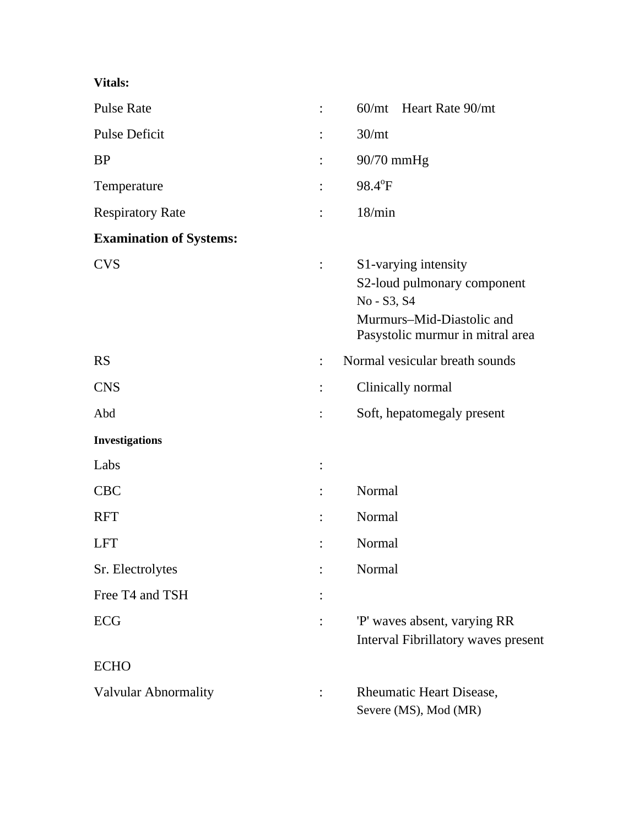| <b>Pulse Rate</b>              |                | 60/mt Heart Rate 90/mt                                                                                                              |
|--------------------------------|----------------|-------------------------------------------------------------------------------------------------------------------------------------|
| <b>Pulse Deficit</b>           |                | 30 <sub>mt</sub>                                                                                                                    |
| <b>BP</b>                      |                | 90/70 mmHg                                                                                                                          |
| Temperature                    |                | 98.4°F                                                                                                                              |
| <b>Respiratory Rate</b>        |                | 18/min                                                                                                                              |
| <b>Examination of Systems:</b> |                |                                                                                                                                     |
| <b>CVS</b>                     | $\ddot{\cdot}$ | S1-varying intensity<br>S2-loud pulmonary component<br>No - S3, S4<br>Murmurs-Mid-Diastolic and<br>Pasystolic murmur in mitral area |
| <b>RS</b>                      | $\ddot{\cdot}$ | Normal vesicular breath sounds                                                                                                      |
| <b>CNS</b>                     |                | Clinically normal                                                                                                                   |
| Abd                            |                | Soft, hepatomegaly present                                                                                                          |
| <b>Investigations</b>          |                |                                                                                                                                     |
| Labs                           | :              |                                                                                                                                     |
| <b>CBC</b>                     |                | Normal                                                                                                                              |
| <b>RFT</b>                     |                | Normal                                                                                                                              |
| <b>LFT</b>                     |                | Normal                                                                                                                              |
| Sr. Electrolytes               |                | Normal                                                                                                                              |
| Free T4 and TSH                |                |                                                                                                                                     |
| ECG                            |                | 'P' waves absent, varying RR<br><b>Interval Fibrillatory waves present</b>                                                          |
| <b>ECHO</b>                    |                |                                                                                                                                     |
| Valvular Abnormality           |                | <b>Rheumatic Heart Disease,</b><br>Severe (MS), Mod (MR)                                                                            |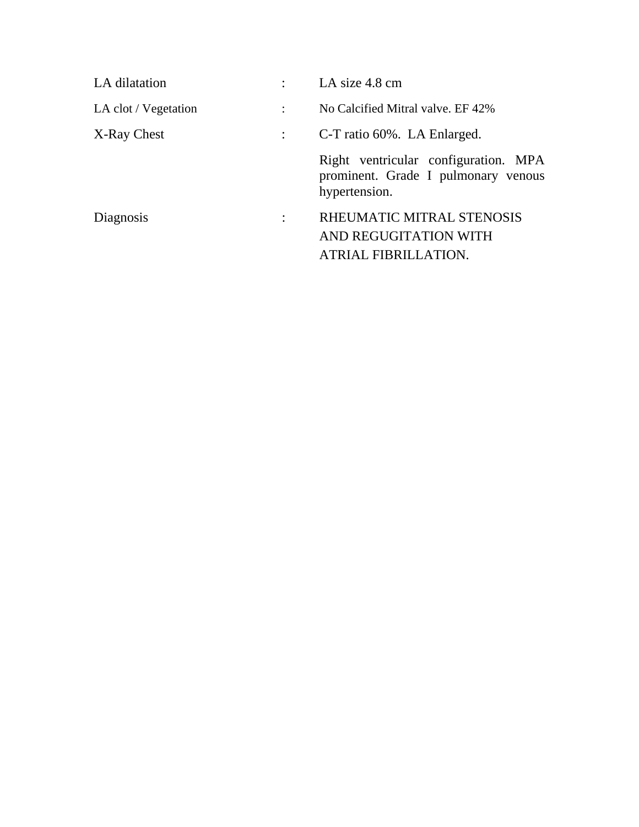| LA dilatation        |                      | LA size 4.8 cm                                                                               |
|----------------------|----------------------|----------------------------------------------------------------------------------------------|
| LA clot / Vegetation | $\ddot{\cdot}$       | No Calcified Mitral valve. EF 42%                                                            |
| X-Ray Chest          |                      | C-T ratio 60%. LA Enlarged.                                                                  |
|                      |                      | Right ventricular configuration. MPA<br>prominent. Grade I pulmonary venous<br>hypertension. |
| Diagnosis            | $\ddot{\phantom{a}}$ | RHEUMATIC MITRAL STENOSIS<br>AND REGUGITATION WITH<br><b>ATRIAL FIBRILLATION.</b>            |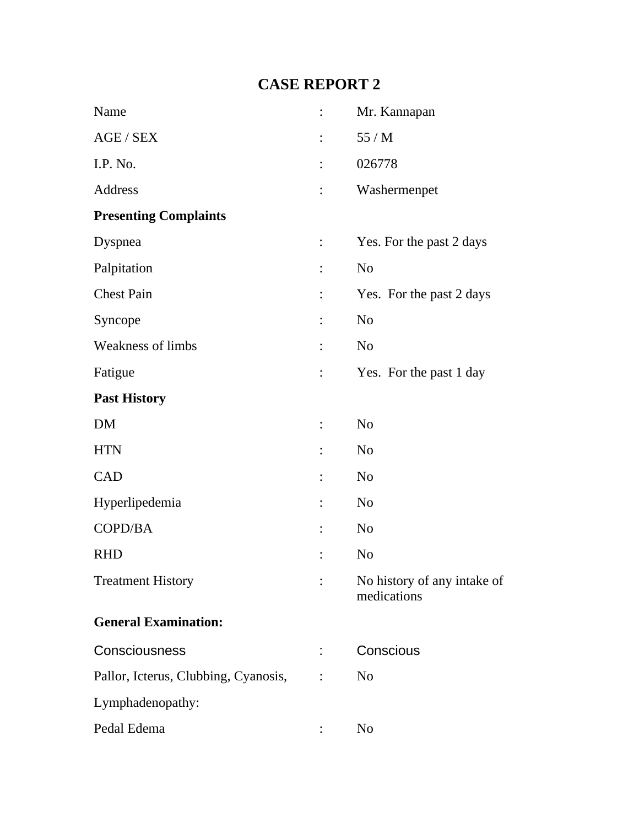# **CASE REPORT 2**

| Name                                 | $\ddot{\cdot}$ | Mr. Kannapan                               |
|--------------------------------------|----------------|--------------------------------------------|
| AGE / SEX                            | $\ddot{\cdot}$ | 55/M                                       |
| I.P. No.                             | $\ddot{\cdot}$ | 026778                                     |
| Address                              | $\vdots$       | Washermenpet                               |
| <b>Presenting Complaints</b>         |                |                                            |
| Dyspnea                              | $\vdots$       | Yes. For the past 2 days                   |
| Palpitation                          | $\ddot{\cdot}$ | N <sub>o</sub>                             |
| <b>Chest Pain</b>                    | $\vdots$       | Yes. For the past 2 days                   |
| Syncope                              | $\ddot{\cdot}$ | N <sub>o</sub>                             |
| <b>Weakness of limbs</b>             | $\ddot{\cdot}$ | N <sub>o</sub>                             |
| Fatigue                              | $\vdots$       | Yes. For the past 1 day                    |
| <b>Past History</b>                  |                |                                            |
| DM                                   | $\vdots$       | N <sub>o</sub>                             |
| <b>HTN</b>                           | $\ddot{\cdot}$ | N <sub>o</sub>                             |
| CAD                                  | $\ddot{\cdot}$ | N <sub>o</sub>                             |
| Hyperlipedemia                       | $\ddot{\cdot}$ | N <sub>o</sub>                             |
| COPD/BA                              | $\ddot{\cdot}$ | N <sub>o</sub>                             |
| <b>RHD</b>                           |                | N <sub>o</sub>                             |
| <b>Treatment History</b>             | $\ddot{\cdot}$ | No history of any intake of<br>medications |
| <b>General Examination:</b>          |                |                                            |
| Consciousness                        | :              | Conscious                                  |
| Pallor, Icterus, Clubbing, Cyanosis, | $\ddot{\cdot}$ | N <sub>o</sub>                             |
| Lymphadenopathy:                     |                |                                            |
| Pedal Edema                          |                | No                                         |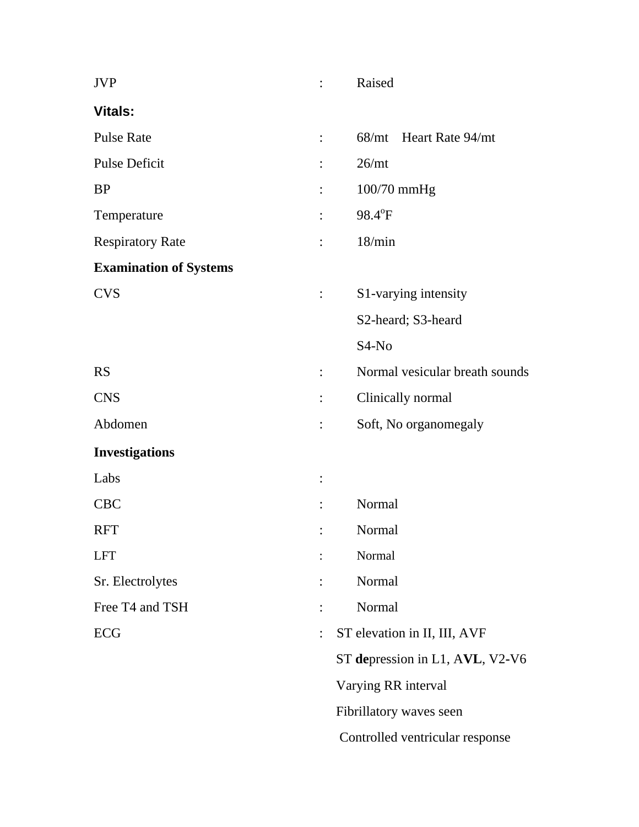| <b>JVP</b>                    | $\ddot{\cdot}$ | Raised                          |
|-------------------------------|----------------|---------------------------------|
| <b>Vitals:</b>                |                |                                 |
| <b>Pulse Rate</b>             | $\ddot{\cdot}$ | 68/mt Heart Rate 94/mt          |
| <b>Pulse Deficit</b>          |                | 26/mt                           |
| <b>BP</b>                     |                | 100/70 mmHg                     |
| Temperature                   |                | 98.4°F                          |
| <b>Respiratory Rate</b>       |                | 18/min                          |
| <b>Examination of Systems</b> |                |                                 |
| <b>CVS</b>                    | $\ddot{\cdot}$ | S1-varying intensity            |
|                               |                | S2-heard; S3-heard              |
|                               |                | S <sub>4</sub> -N <sub>o</sub>  |
| <b>RS</b>                     | $\ddot{\cdot}$ | Normal vesicular breath sounds  |
| <b>CNS</b>                    | $\vdots$       | Clinically normal               |
| Abdomen                       | $\ddot{\cdot}$ | Soft, No organomegaly           |
| <b>Investigations</b>         |                |                                 |
| Labs                          | $\ddot{\cdot}$ |                                 |
| <b>CBC</b>                    |                | Normal                          |
| <b>RFT</b>                    |                | Normal                          |
| <b>LFT</b>                    |                | Normal                          |
| Sr. Electrolytes              |                | Normal                          |
| Free T4 and TSH               |                | Normal                          |
| ECG                           |                | ST elevation in II, III, AVF    |
|                               |                | ST depression in L1, AVL, V2-V6 |
|                               |                | Varying RR interval             |
|                               |                | Fibrillatory waves seen         |
|                               |                | Controlled ventricular response |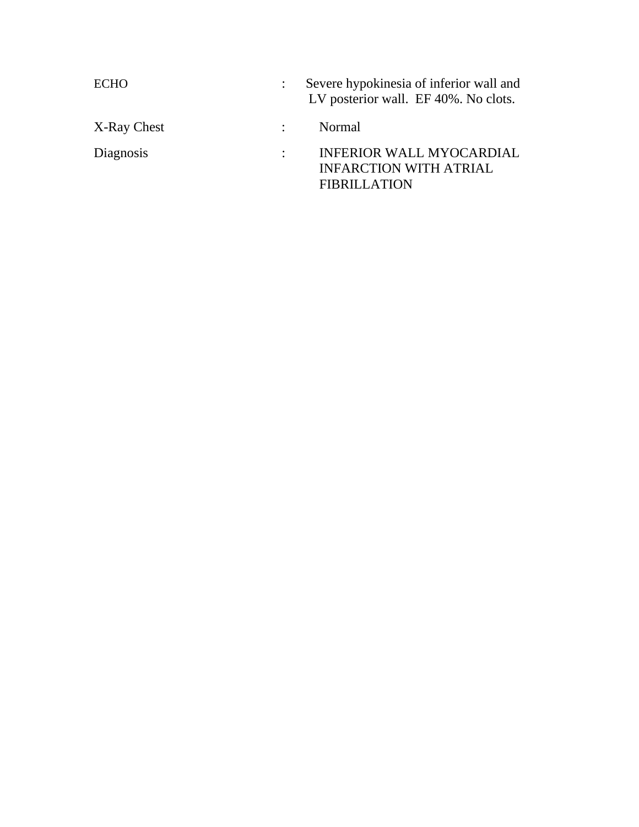| ECHO        | Severe hypokinesia of inferior wall and<br>LV posterior wall. EF 40%. No clots.         |
|-------------|-----------------------------------------------------------------------------------------|
| X-Ray Chest | Normal                                                                                  |
| Diagnosis   | <b>INFERIOR WALL MYOCARDIAL</b><br><b>INFARCTION WITH ATRIAL</b><br><b>FIBRILLATION</b> |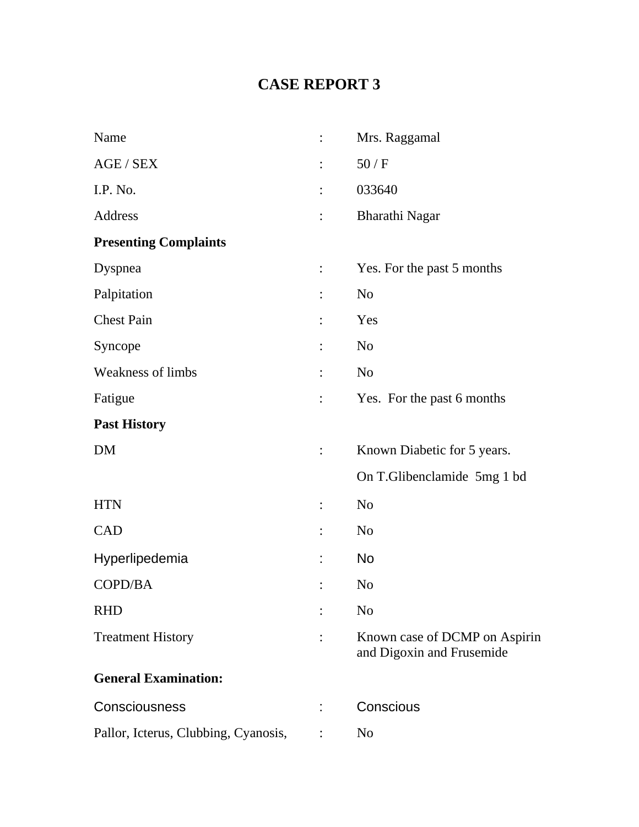# **CASE REPORT 3**

| Name                                 | Mrs. Raggamal                                              |
|--------------------------------------|------------------------------------------------------------|
| AGE / SEX                            | 50/F                                                       |
| I.P. No.                             | 033640                                                     |
| Address                              | Bharathi Nagar                                             |
| <b>Presenting Complaints</b>         |                                                            |
| Dyspnea                              | Yes. For the past 5 months                                 |
| Palpitation                          | N <sub>o</sub>                                             |
| <b>Chest Pain</b>                    | Yes                                                        |
| Syncope                              | N <sub>o</sub>                                             |
| <b>Weakness of limbs</b>             | N <sub>o</sub>                                             |
| Fatigue                              | Yes. For the past 6 months                                 |
| <b>Past History</b>                  |                                                            |
| <b>DM</b>                            | Known Diabetic for 5 years.                                |
|                                      | On T.Glibenclamide 5mg 1 bd                                |
| <b>HTN</b>                           | N <sub>o</sub>                                             |
| <b>CAD</b>                           | N <sub>o</sub>                                             |
| Hyperlipedemia                       | <b>No</b>                                                  |
| COPD/BA                              | N <sub>0</sub>                                             |
| <b>RHD</b>                           | N <sub>o</sub>                                             |
| <b>Treatment History</b>             | Known case of DCMP on Aspirin<br>and Digoxin and Frusemide |
| <b>General Examination:</b>          |                                                            |
| Consciousness                        | Conscious                                                  |
| Pallor, Icterus, Clubbing, Cyanosis, | N <sub>o</sub>                                             |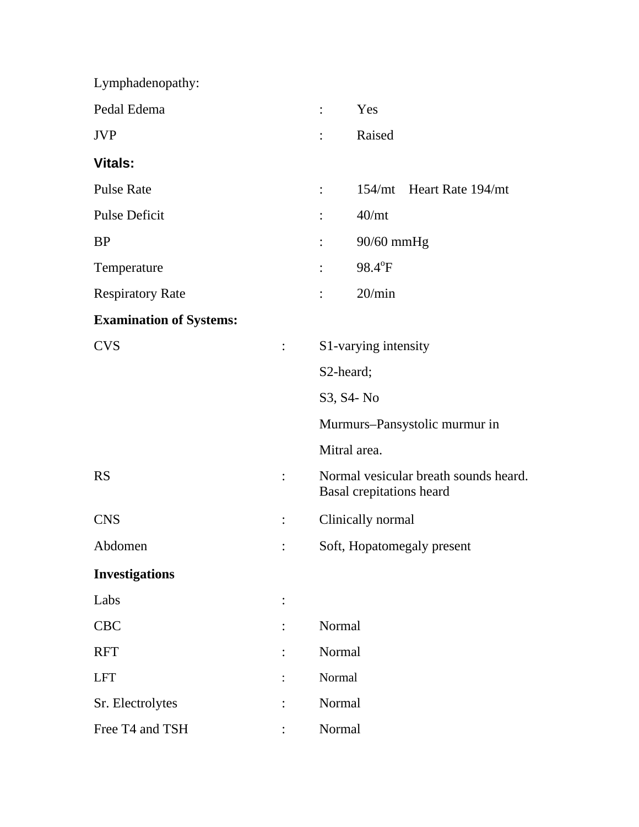| Lymphadenopathy:               |                |                                                                   |
|--------------------------------|----------------|-------------------------------------------------------------------|
| Pedal Edema                    |                | Yes<br>$\ddot{\cdot}$                                             |
| <b>JVP</b>                     |                | Raised                                                            |
| <b>Vitals:</b>                 |                |                                                                   |
| <b>Pulse Rate</b>              |                | 154/mt Heart Rate 194/mt<br>$\ddot{\cdot}$                        |
| <b>Pulse Deficit</b>           |                | 40/mt                                                             |
| <b>BP</b>                      |                | 90/60 mmHg                                                        |
| Temperature                    |                | 98.4°F                                                            |
| <b>Respiratory Rate</b>        |                | 20/min                                                            |
| <b>Examination of Systems:</b> |                |                                                                   |
| <b>CVS</b>                     | $\ddot{\cdot}$ | S1-varying intensity                                              |
|                                |                | S2-heard;                                                         |
|                                |                | S3, S4- No                                                        |
|                                |                | Murmurs-Pansystolic murmur in                                     |
|                                |                | Mitral area.                                                      |
| <b>RS</b>                      | $\ddot{\cdot}$ | Normal vesicular breath sounds heard.<br>Basal crepitations heard |
| <b>CNS</b>                     |                | Clinically normal                                                 |
| Abdomen                        |                | Soft, Hopatomegaly present                                        |
| <b>Investigations</b>          |                |                                                                   |
| Labs                           |                |                                                                   |
| CBC                            |                | Normal                                                            |
| <b>RFT</b>                     |                | Normal                                                            |
| <b>LFT</b>                     |                | Normal                                                            |
| Sr. Electrolytes               |                | Normal                                                            |
| Free T4 and TSH                |                | Normal                                                            |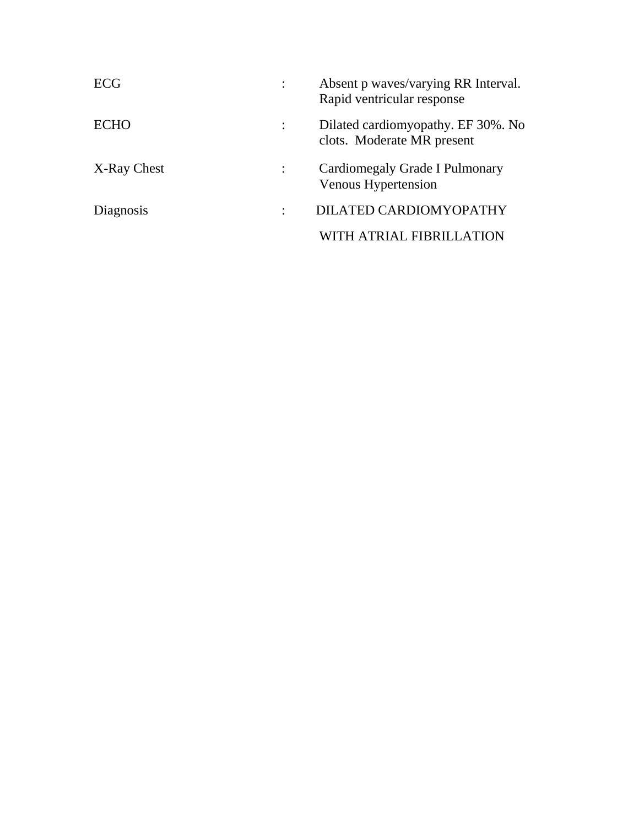| ECG         | Absent p waves/varying RR Interval.<br>Rapid ventricular response |
|-------------|-------------------------------------------------------------------|
| ECHO        | Dilated cardiomy opathy. EF 30%. No<br>clots. Moderate MR present |
| X-Ray Chest | Cardiomegaly Grade I Pulmonary<br>Venous Hypertension             |
| Diagnosis   | DILATED CARDIOMYOPATHY                                            |
|             | ATRIAL FIBRILLA                                                   |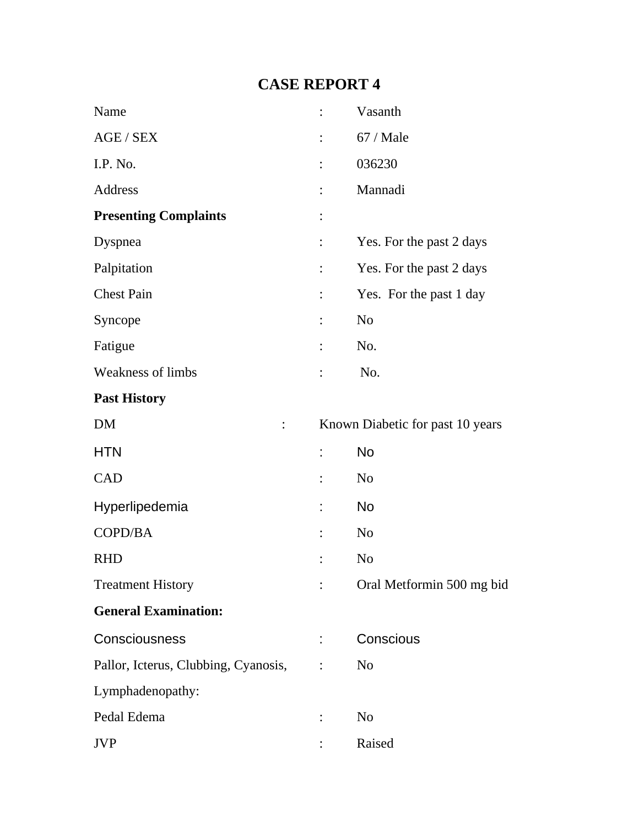## **CASE REPORT 4**

| Name                                 |                | Vasanth                          |
|--------------------------------------|----------------|----------------------------------|
| AGE / SEX                            |                | 67 / Male                        |
| I.P. No.                             |                | 036230                           |
| Address                              | $\vdots$       | Mannadi                          |
| <b>Presenting Complaints</b>         | $\ddot{\cdot}$ |                                  |
| Dyspnea                              | $\ddot{\cdot}$ | Yes. For the past 2 days         |
| Palpitation                          |                | Yes. For the past 2 days         |
| <b>Chest Pain</b>                    |                | Yes. For the past 1 day          |
| Syncope                              |                | N <sub>o</sub>                   |
| Fatigue                              | $\ddot{\cdot}$ | No.                              |
| Weakness of limbs                    | $\ddot{\cdot}$ | No.                              |
| <b>Past History</b>                  |                |                                  |
| <b>DM</b><br>$\ddot{\cdot}$          |                | Known Diabetic for past 10 years |
| <b>HTN</b>                           | t,             | <b>No</b>                        |
| <b>CAD</b>                           | $\vdots$       | N <sub>0</sub>                   |
| Hyperlipedemia                       |                | <b>No</b>                        |
| COPD/BA                              |                | N <sub>0</sub>                   |
| <b>RHD</b>                           |                | N <sub>o</sub>                   |
| <b>Treatment History</b>             | $\ddot{\cdot}$ | Oral Metformin 500 mg bid        |
| <b>General Examination:</b>          |                |                                  |
| Consciousness                        |                | Conscious                        |
| Pallor, Icterus, Clubbing, Cyanosis, | $\ddot{\cdot}$ | N <sub>o</sub>                   |
| Lymphadenopathy:                     |                |                                  |
| Pedal Edema                          |                | N <sub>o</sub>                   |
| <b>JVP</b>                           |                | Raised                           |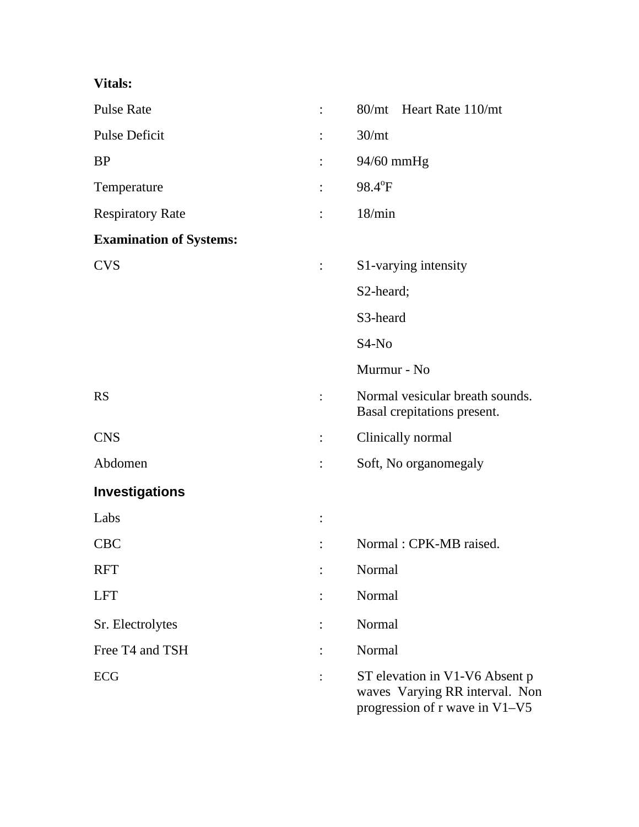### **Vitals:**

| <b>Pulse Rate</b>              |                | 80/mt Heart Rate 110/mt                                                                            |
|--------------------------------|----------------|----------------------------------------------------------------------------------------------------|
| <b>Pulse Deficit</b>           |                | 30 <sub>mt</sub>                                                                                   |
| <b>BP</b>                      |                | 94/60 mmHg                                                                                         |
| Temperature                    |                | 98.4°F                                                                                             |
| <b>Respiratory Rate</b>        |                | 18/min                                                                                             |
| <b>Examination of Systems:</b> |                |                                                                                                    |
| <b>CVS</b>                     |                | S1-varying intensity                                                                               |
|                                |                | S2-heard;                                                                                          |
|                                |                | S3-heard                                                                                           |
|                                |                | $S4-No$                                                                                            |
|                                |                | Murmur - No                                                                                        |
| <b>RS</b>                      | $\ddot{\cdot}$ | Normal vesicular breath sounds.<br>Basal crepitations present.                                     |
| <b>CNS</b>                     |                | Clinically normal                                                                                  |
| Abdomen                        |                | Soft, No organomegaly                                                                              |
| <b>Investigations</b>          |                |                                                                                                    |
| Labs                           |                |                                                                                                    |
| <b>CBC</b>                     |                | Normal: CPK-MB raised.                                                                             |
| <b>RFT</b>                     |                | Normal                                                                                             |
| <b>LFT</b>                     |                | Normal                                                                                             |
| Sr. Electrolytes               |                | Normal                                                                                             |
| Free T4 and TSH                |                | Normal                                                                                             |
| ECG                            |                | ST elevation in V1-V6 Absent p<br>waves Varying RR interval. Non<br>progression of r wave in V1-V5 |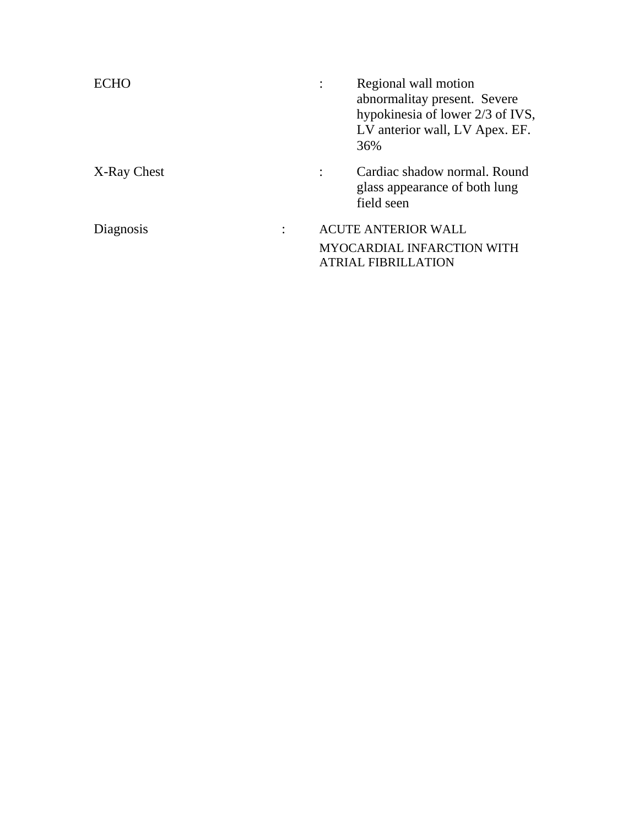|             | Regional wall motion<br>abnormalitay present. Severe<br>hypokinesia of lower 2/3 of IVS,<br>LV anterior wall, LV Apex. EF.<br>36% |
|-------------|-----------------------------------------------------------------------------------------------------------------------------------|
| X-Ray Chest | Cardiac shadow normal, Round<br>glass appearance of both lung<br>field seen                                                       |
| Diagnosis   | <b>ACUTE ANTERIOR WALL</b><br><b>MYOCARDIAL INFARCTION WITH</b><br><b>ATRIAL FIBRILLATION</b>                                     |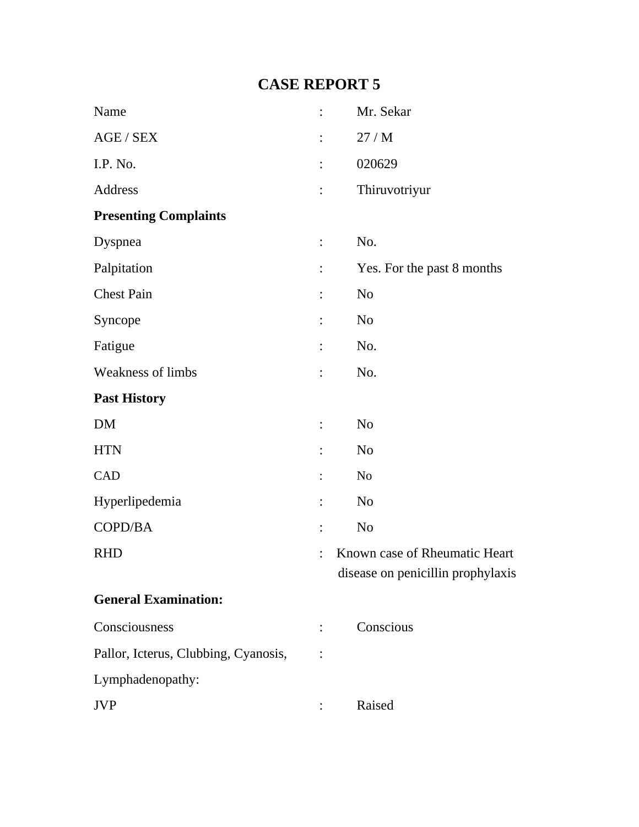## **CASE REPORT 5**

| Name                                 | $\ddot{\cdot}$ | Mr. Sekar                         |
|--------------------------------------|----------------|-----------------------------------|
| AGE / SEX                            | $\ddot{\cdot}$ | 27/M                              |
| I.P. No.                             |                | 020629                            |
| Address                              | $\ddot{\cdot}$ | Thiruvotriyur                     |
| <b>Presenting Complaints</b>         |                |                                   |
| Dyspnea                              | $\ddot{\cdot}$ | No.                               |
| Palpitation                          | $\ddot{\cdot}$ | Yes. For the past 8 months        |
| <b>Chest Pain</b>                    | $\ddot{\cdot}$ | N <sub>o</sub>                    |
| Syncope                              |                | N <sub>0</sub>                    |
| Fatigue                              | $\vdots$       | No.                               |
| <b>Weakness of limbs</b>             | $\ddot{\cdot}$ | No.                               |
| <b>Past History</b>                  |                |                                   |
| DM                                   | $\vdots$       | N <sub>o</sub>                    |
| <b>HTN</b>                           |                | N <sub>o</sub>                    |
| CAD                                  |                | N <sub>o</sub>                    |
| Hyperlipedemia                       |                | N <sub>o</sub>                    |
| COPD/BA                              | $\ddot{\cdot}$ | N <sub>o</sub>                    |
| <b>RHD</b>                           |                | Known case of Rheumatic Heart     |
|                                      |                | disease on penicillin prophylaxis |
| <b>General Examination:</b>          |                |                                   |
| Consciousness                        |                | Conscious                         |
| Pallor, Icterus, Clubbing, Cyanosis, |                |                                   |
| Lymphadenopathy:                     |                |                                   |
| <b>JVP</b>                           |                | Raised                            |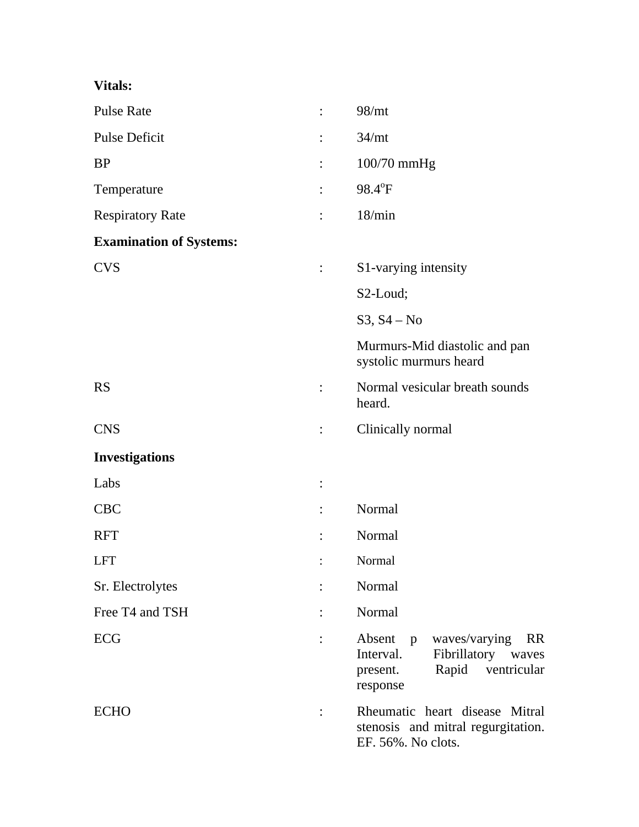### **Vitals:**

| <b>Pulse Rate</b>              | $\ddot{\cdot}$ | 98/mt                                                                                                                                   |
|--------------------------------|----------------|-----------------------------------------------------------------------------------------------------------------------------------------|
| <b>Pulse Deficit</b>           |                | 34/mt                                                                                                                                   |
| <b>BP</b>                      | $\ddot{\cdot}$ | 100/70 mmHg                                                                                                                             |
| Temperature                    | $\ddot{\cdot}$ | 98.4°F                                                                                                                                  |
| <b>Respiratory Rate</b>        | $\ddot{\cdot}$ | 18/min                                                                                                                                  |
| <b>Examination of Systems:</b> |                |                                                                                                                                         |
| <b>CVS</b>                     | $\ddot{\cdot}$ | S1-varying intensity                                                                                                                    |
|                                |                | S2-Loud;                                                                                                                                |
|                                |                | $S3, S4 - No$                                                                                                                           |
|                                |                | Murmurs-Mid diastolic and pan<br>systolic murmurs heard                                                                                 |
| <b>RS</b>                      | $\ddot{\cdot}$ | Normal vesicular breath sounds<br>heard.                                                                                                |
| <b>CNS</b>                     |                | Clinically normal                                                                                                                       |
| <b>Investigations</b>          |                |                                                                                                                                         |
| Labs                           | $\ddot{\cdot}$ |                                                                                                                                         |
| <b>CBC</b>                     |                | Normal                                                                                                                                  |
| <b>RFT</b>                     |                | Normal                                                                                                                                  |
| <b>LFT</b>                     |                | Normal                                                                                                                                  |
| Sr. Electrolytes               |                | Normal                                                                                                                                  |
| Free T4 and TSH                |                | Normal                                                                                                                                  |
| ECG                            |                | waves/varying<br>Absent<br><b>RR</b><br>$\mathbf{p}$<br>Interval.<br>Fibrillatory waves<br>Rapid<br>ventricular<br>present.<br>response |
| <b>ECHO</b>                    |                | Rheumatic heart disease Mitral<br>stenosis and mitral regurgitation.<br>EF. 56%. No clots.                                              |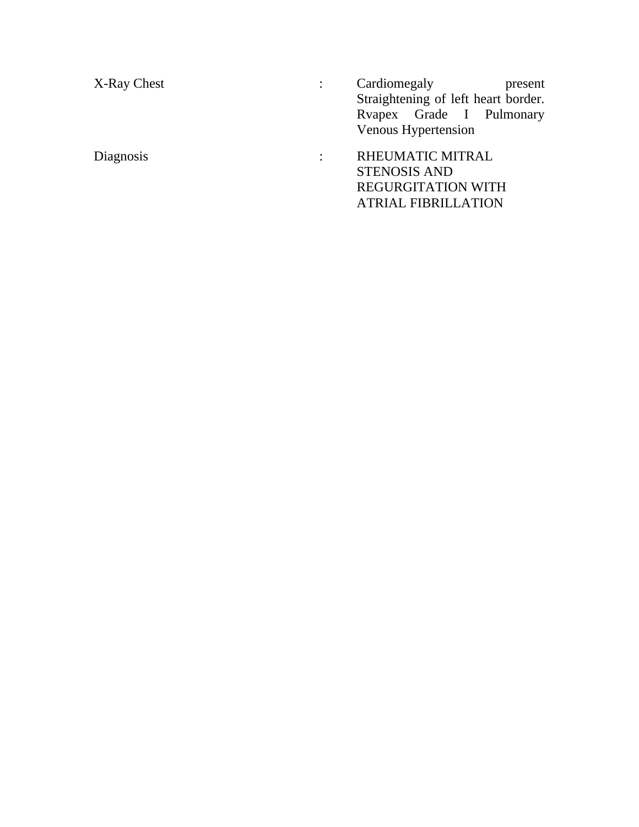X-Ray Chest : Cardiomegaly Present Straightening of left heart border. Rvapex Grade I Pulmonary Venous Hypertension Diagnosis : RHEUMATIC MITRAL STENOSIS AND REGURGITATION WITH ATRIAL FIBRILLATION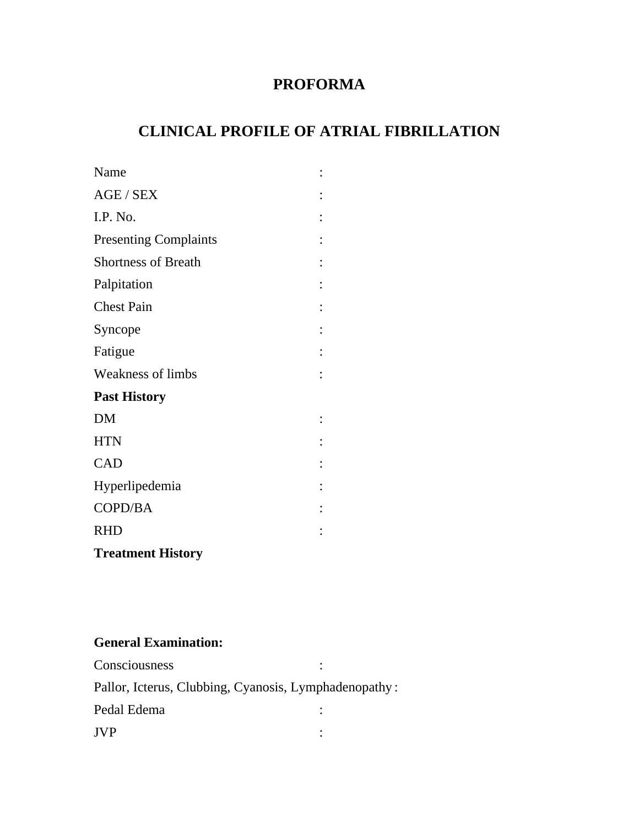## **PROFORMA**

## **CLINICAL PROFILE OF ATRIAL FIBRILLATION**

| Name                         |  |
|------------------------------|--|
| AGE / SEX                    |  |
| I.P. No.                     |  |
| <b>Presenting Complaints</b> |  |
| <b>Shortness of Breath</b>   |  |
| Palpitation                  |  |
| <b>Chest Pain</b>            |  |
| Syncope                      |  |
| Fatigue                      |  |
| <b>Weakness of limbs</b>     |  |
| <b>Past History</b>          |  |
| <b>DM</b>                    |  |
| <b>HTN</b>                   |  |
| CAD                          |  |
| Hyperlipedemia               |  |
| COPD/BA                      |  |
| <b>RHD</b>                   |  |
| <b>Treatment History</b>     |  |

### **General Examination:**

| Consciousness                                         |  |
|-------------------------------------------------------|--|
| Pallor, Icterus, Clubbing, Cyanosis, Lymphadenopathy: |  |
| Pedal Edema                                           |  |
| <b>TVP</b>                                            |  |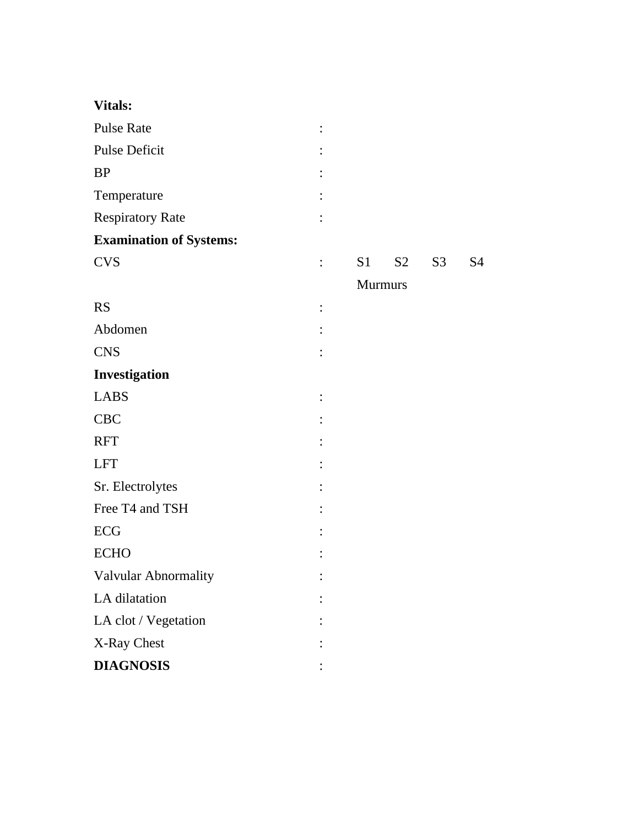| <b>Vitals:</b>                 |                |                |                |                |    |
|--------------------------------|----------------|----------------|----------------|----------------|----|
| <b>Pulse Rate</b>              |                |                |                |                |    |
| Pulse Deficit                  |                |                |                |                |    |
| <b>BP</b>                      |                |                |                |                |    |
| Temperature                    |                |                |                |                |    |
| <b>Respiratory Rate</b>        |                |                |                |                |    |
| <b>Examination of Systems:</b> |                |                |                |                |    |
| <b>CVS</b>                     | $\ddot{\cdot}$ | S <sub>1</sub> | S <sub>2</sub> | S <sub>3</sub> | S4 |
|                                |                |                | <b>Murmurs</b> |                |    |
| <b>RS</b>                      | $\vdots$       |                |                |                |    |
| Abdomen                        |                |                |                |                |    |
| <b>CNS</b>                     | $\ddot{\cdot}$ |                |                |                |    |
| Investigation                  |                |                |                |                |    |
| <b>LABS</b>                    | $\ddot{\cdot}$ |                |                |                |    |
| <b>CBC</b>                     |                |                |                |                |    |
| <b>RFT</b>                     |                |                |                |                |    |
| <b>LFT</b>                     |                |                |                |                |    |
| Sr. Electrolytes               |                |                |                |                |    |
| Free T4 and TSH                |                |                |                |                |    |
| ECG                            |                |                |                |                |    |
| <b>ECHO</b>                    |                |                |                |                |    |
| Valvular Abnormality           |                |                |                |                |    |
| LA dilatation                  |                |                |                |                |    |
| LA clot / Vegetation           |                |                |                |                |    |
| X-Ray Chest                    |                |                |                |                |    |
| <b>DIAGNOSIS</b>               |                |                |                |                |    |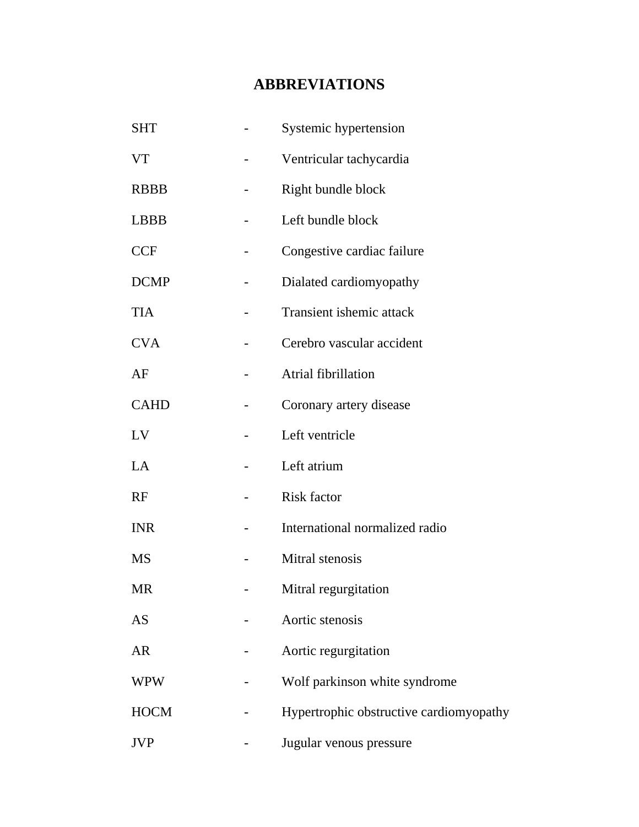# **ABBREVIATIONS**

| <b>SHT</b>  | Systemic hypertension                   |
|-------------|-----------------------------------------|
| <b>VT</b>   | Ventricular tachycardia                 |
| <b>RBBB</b> | Right bundle block                      |
| <b>LBBB</b> | Left bundle block                       |
| <b>CCF</b>  | Congestive cardiac failure              |
| <b>DCMP</b> | Dialated cardiomyopathy                 |
| <b>TIA</b>  | Transient ishemic attack                |
| <b>CVA</b>  | Cerebro vascular accident               |
| AF          | Atrial fibrillation                     |
| <b>CAHD</b> | Coronary artery disease                 |
| LV          | Left ventricle                          |
| LA          | Left atrium                             |
| RF          | <b>Risk factor</b>                      |
| <b>INR</b>  | International normalized radio          |
| <b>MS</b>   | Mitral stenosis                         |
| MR          | Mitral regurgitation                    |
| <b>AS</b>   | Aortic stenosis                         |
| <b>AR</b>   | Aortic regurgitation                    |
| <b>WPW</b>  | Wolf parkinson white syndrome           |
| <b>HOCM</b> | Hypertrophic obstructive cardiomyopathy |
| <b>JVP</b>  | Jugular venous pressure                 |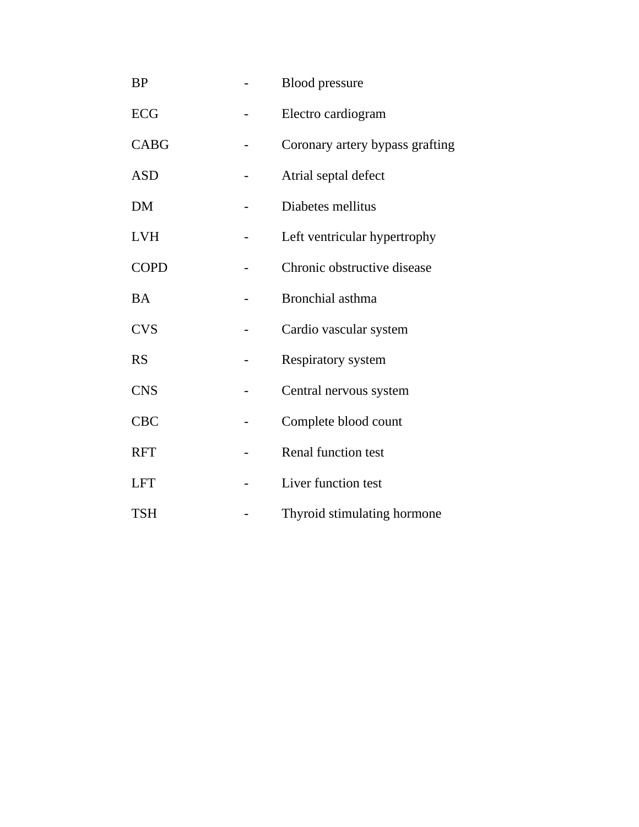| <b>BP</b>   | <b>Blood</b> pressure           |
|-------------|---------------------------------|
| <b>ECG</b>  | Electro cardiogram              |
| <b>CABG</b> | Coronary artery bypass grafting |
| <b>ASD</b>  | Atrial septal defect            |
| <b>DM</b>   | Diabetes mellitus               |
| <b>LVH</b>  | Left ventricular hypertrophy    |
| <b>COPD</b> | Chronic obstructive disease     |
| <b>BA</b>   | Bronchial asthma                |
| <b>CVS</b>  | Cardio vascular system          |
| <b>RS</b>   | Respiratory system              |
| <b>CNS</b>  | Central nervous system          |
| <b>CBC</b>  | Complete blood count            |
| <b>RFT</b>  | <b>Renal function test</b>      |
| <b>LFT</b>  | Liver function test             |
| <b>TSH</b>  | Thyroid stimulating hormone     |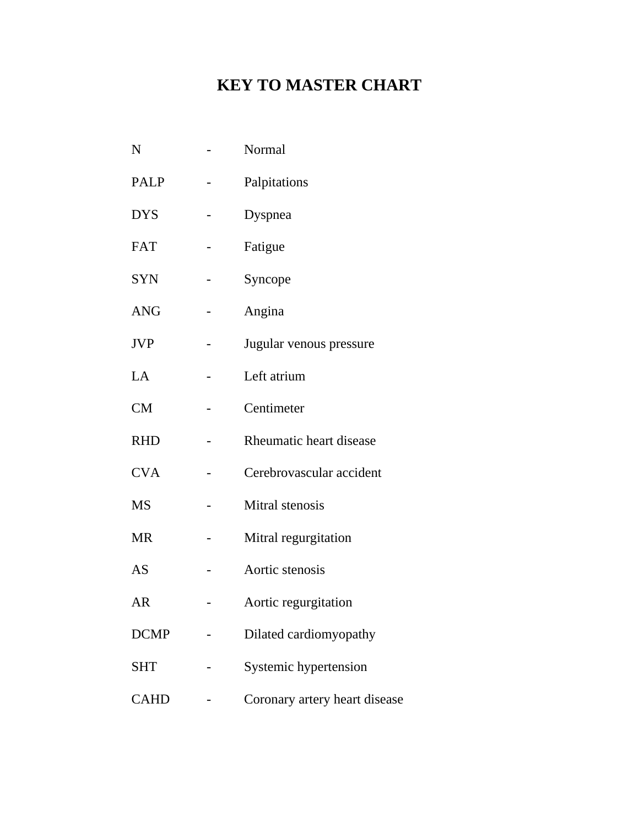# **KEY TO MASTER CHART**

| N           | Normal                        |
|-------------|-------------------------------|
| <b>PALP</b> | Palpitations                  |
| <b>DYS</b>  | Dyspnea                       |
| <b>FAT</b>  | Fatigue                       |
| <b>SYN</b>  | Syncope                       |
| <b>ANG</b>  | Angina                        |
| <b>JVP</b>  | Jugular venous pressure       |
| LA          | Left atrium                   |
| <b>CM</b>   | Centimeter                    |
| <b>RHD</b>  | Rheumatic heart disease       |
| <b>CVA</b>  | Cerebrovascular accident      |
| <b>MS</b>   | Mitral stenosis               |
| MR          | Mitral regurgitation          |
| AS          | Aortic stenosis               |
| AR          | Aortic regurgitation          |
| <b>DCMP</b> | Dilated cardiomyopathy        |
| <b>SHT</b>  | Systemic hypertension         |
| <b>CAHD</b> | Coronary artery heart disease |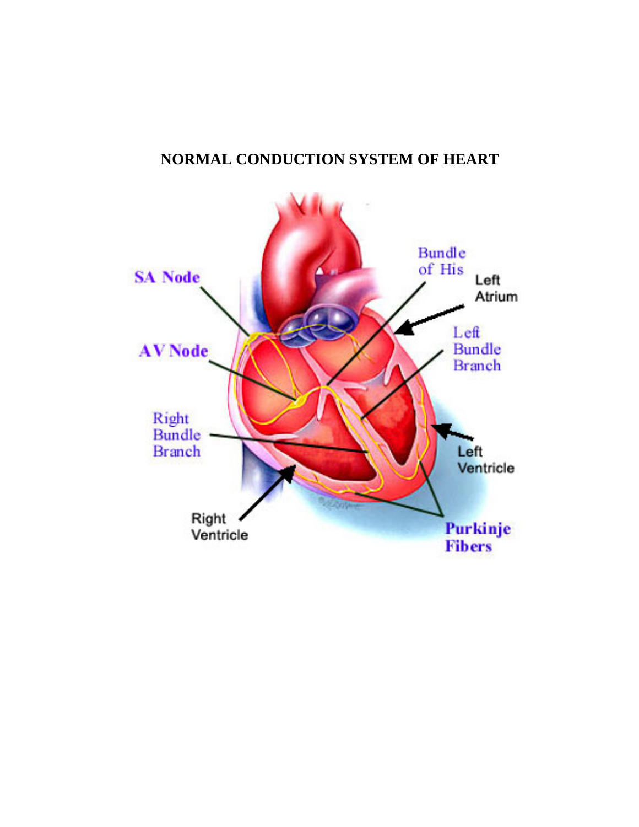## **NORMAL CONDUCTION SYSTEM OF HEART**